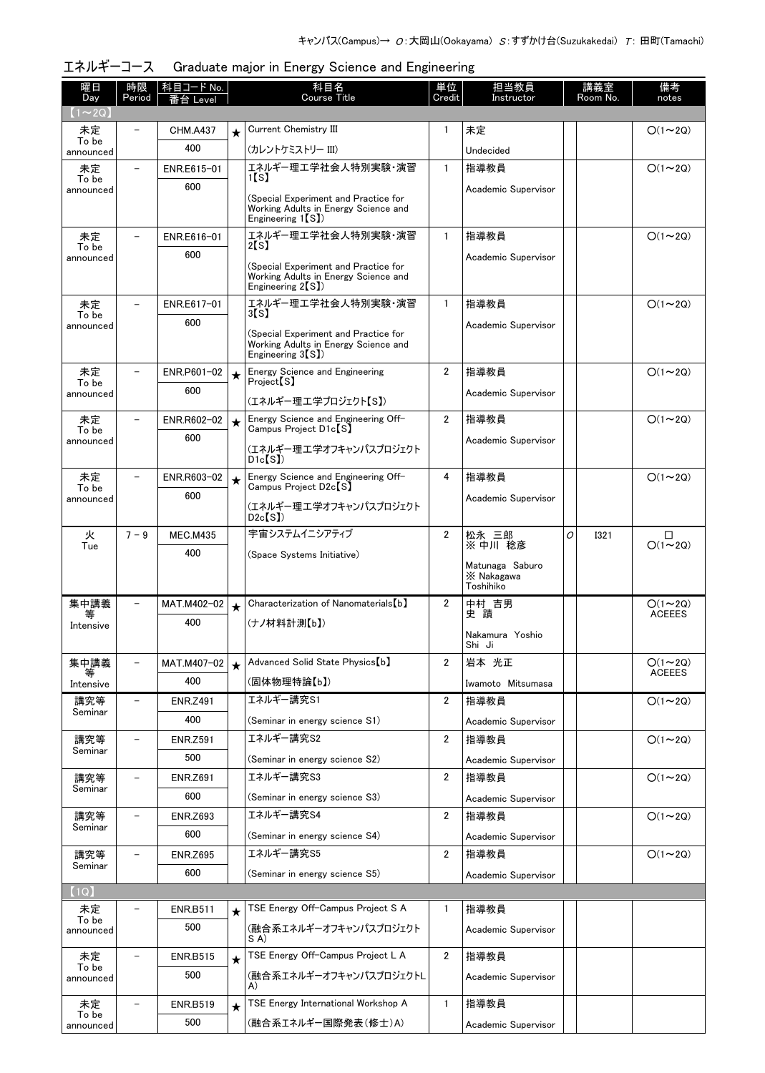| 曜日<br>Day                     | 時限<br>Period             | 科目コード No.<br>番台 Level |         | 科目名<br><b>Course Title</b>                                                                                     | 単位<br>Credit   | 担当教員<br>Instructor                         |   | 講義室<br>Room No. | 備考<br>notes   |
|-------------------------------|--------------------------|-----------------------|---------|----------------------------------------------------------------------------------------------------------------|----------------|--------------------------------------------|---|-----------------|---------------|
| $(1\!\thicksim\!2\mathrm{Q})$ |                          |                       |         |                                                                                                                |                |                                            |   |                 |               |
| 未定                            |                          | <b>CHM.A437</b>       | $\star$ | Current Chemistry III                                                                                          | 1              | 未定                                         |   |                 | $O(1\sim 2Q)$ |
| To be<br>announced            |                          | 400                   |         | (カレントケミストリー III)                                                                                               |                | Undecided                                  |   |                 |               |
| 未定                            |                          | ENR.E615-01           |         | エネルギー理工学社会人特別実験・演習                                                                                             | $\mathbf{1}$   | 指導教員                                       |   |                 | $O(1\sim 2Q)$ |
| To be<br>announced            |                          | 600                   |         | 1 <b>S</b> 1                                                                                                   |                | Academic Supervisor                        |   |                 |               |
|                               |                          |                       |         | (Special Experiment and Practice for<br>Working Adults in Energy Science and                                   |                |                                            |   |                 |               |
|                               |                          |                       |         | Engineering $1(S)$                                                                                             |                |                                            |   |                 |               |
| 未定<br>To be                   |                          | ENR.E616-01           |         | エネルギー理工学社会人特別実験・演習<br>2[s]                                                                                     | $\mathbf{1}$   | 指導教員                                       |   |                 | $O(1\sim 2Q)$ |
| announced                     |                          | 600                   |         | (Special Experiment and Practice for                                                                           |                | Academic Supervisor                        |   |                 |               |
|                               |                          |                       |         | Working Adults in Energy Science and<br>Engineering $2(S)$ )                                                   |                |                                            |   |                 |               |
| 未定                            |                          | ENR.E617-01           |         | エネルギー理工学社会人特別実験・演習                                                                                             | $\mathbf{1}$   | 指導教員                                       |   |                 | $O(1\sim 2Q)$ |
| To be<br>announced            |                          | 600                   |         | 3 S J                                                                                                          |                | Academic Supervisor                        |   |                 |               |
|                               |                          |                       |         | (Special Experiment and Practice for<br>Working Adults in Energy Science and<br>Engineering 3 <sup>[S]</sup> ) |                |                                            |   |                 |               |
| 未定<br>To be                   | $\overline{\phantom{0}}$ | ENR.P601-02           | $\star$ | Energy Science and Engineering<br>Project <sup>[S]</sup>                                                       | $\overline{2}$ | 指導教員                                       |   |                 | $O(1\sim 2Q)$ |
| announced                     |                          | 600                   |         |                                                                                                                |                | Academic Supervisor                        |   |                 |               |
| 未定                            |                          | ENR.R602-02           |         | (エネルギー理工学プロジェクト【S】)<br>Energy Science and Engineering Off-                                                     | $\overline{2}$ | 指導教員                                       |   |                 | $O(1\sim 2Q)$ |
| To be                         |                          | 600                   | $\star$ | Campus Project D1c <sup>[S]</sup>                                                                              |                |                                            |   |                 |               |
| announced                     |                          |                       |         | (エネルギー理工学オフキャンパスプロジェクト<br>Dic(S)                                                                               |                | Academic Supervisor                        |   |                 |               |
| 未定                            | $\overline{\phantom{0}}$ | ENR.R603-02           | $\star$ | Energy Science and Engineering Off-                                                                            | 4              | 指導教員                                       |   |                 | $O(1\sim 2Q)$ |
| To be<br>announced            |                          | 600                   |         | Campus Project D2c <sup>[S]</sup>                                                                              |                | Academic Supervisor                        |   |                 |               |
|                               |                          |                       |         | (エネルギー理工学オフキャンパスプロジェクト<br>D2c(S)                                                                               |                |                                            |   |                 |               |
| 火                             | $7 - 9$                  | <b>MEC.M435</b>       |         | 宇宙システムイニシアティブ                                                                                                  | $\overline{2}$ | 松永 三郎                                      | O | <b>I321</b>     | □             |
| Tue                           |                          | 400                   |         | (Space Systems Initiative)                                                                                     |                | ※ 中川 稔彦                                    |   |                 | $O(1 - 2Q)$   |
|                               |                          |                       |         |                                                                                                                |                | Matunaga Saburo<br>X Nakagawa<br>Toshihiko |   |                 |               |
| 集中講義                          |                          | MAT.M402-02           | $\star$ | Characterization of Nanomaterials [b]                                                                          | $\overline{2}$ | 中村 吉男                                      |   |                 | $O(1\sim 2Q)$ |
| 等<br>Intensive                |                          | 400                   |         | (ナノ材料計測【b】)                                                                                                    |                | 史蹟                                         |   |                 | <b>ACEEES</b> |
|                               |                          |                       |         |                                                                                                                |                | Nakamura Yoshio<br>Shi Ji                  |   |                 |               |
| 集中講義                          | $\overline{\phantom{0}}$ | MAT.M407-02           | $\star$ | Advanced Solid State Physics [b]                                                                               | $\overline{2}$ | 岩本 光正                                      |   |                 | $O(1\sim 2Q)$ |
| Intensive                     |                          | 400                   |         | (固体物理特論【b】)                                                                                                    |                | Iwamoto Mitsumasa                          |   |                 | <b>ACEEES</b> |
| 講究等                           | $\overline{\phantom{0}}$ | <b>ENR.Z491</b>       |         | エネルギー講究S1                                                                                                      | $\overline{2}$ | 指導教員                                       |   |                 | $O(1\sim 2Q)$ |
| Seminar                       |                          | 400                   |         | (Seminar in energy science S1)                                                                                 |                | Academic Supervisor                        |   |                 |               |
| 講究等                           |                          | <b>ENR.Z591</b>       |         | エネルギー講究S2                                                                                                      | $\overline{2}$ | 指導教員                                       |   |                 | $O(1\sim 2Q)$ |
| Seminar                       |                          | 500                   |         | (Seminar in energy science S2)                                                                                 |                | Academic Supervisor                        |   |                 |               |
| 講究等                           |                          | <b>ENR.Z691</b>       |         | エネルギー講究S3                                                                                                      | $\overline{2}$ | 指導教員                                       |   |                 | $O(1\sim 2Q)$ |
| Seminar                       |                          | 600                   |         | (Seminar in energy science S3)                                                                                 |                | Academic Supervisor                        |   |                 |               |
| 講究等                           |                          | <b>ENR.Z693</b>       |         | エネルギー講究S4                                                                                                      | $\overline{2}$ | 指導教員                                       |   |                 | $O(1\sim 2Q)$ |
| Seminar                       |                          | 600                   |         | (Seminar in energy science S4)                                                                                 |                | Academic Supervisor                        |   |                 |               |
| 講究等                           |                          | <b>ENR.Z695</b>       |         | エネルギー講究S5                                                                                                      | $\mathbf{2}$   | 指導教員                                       |   |                 | $O(1\sim 2Q)$ |
| Seminar                       |                          | 600                   |         | (Seminar in energy science S5)                                                                                 |                | Academic Supervisor                        |   |                 |               |
| [1Q]                          |                          |                       |         |                                                                                                                |                |                                            |   |                 |               |
| 未定                            |                          | <b>ENR.B511</b>       | $\star$ | TSE Energy Off-Campus Project S A                                                                              | $\mathbf{1}$   | 指導教員                                       |   |                 |               |
| To be<br>announced            |                          | 500                   |         | (融合系エネルギーオフキャンパスプロジェクト<br>SA)                                                                                  |                | Academic Supervisor                        |   |                 |               |
| 未定                            |                          | <b>ENR.B515</b>       | $\star$ | TSE Energy Off-Campus Project L A                                                                              | $\mathbf{2}$   | 指導教員                                       |   |                 |               |
| To be<br>announced            |                          | 500                   |         | (融合系エネルギーオフキャンパスプロジェクトL                                                                                        |                | Academic Supervisor                        |   |                 |               |
|                               |                          |                       |         | A)                                                                                                             |                |                                            |   |                 |               |
| 未定<br>To be                   |                          | <b>ENR.B519</b>       | $\star$ | TSE Energy International Workshop A                                                                            | 1              | 指導教員                                       |   |                 |               |
| announced                     |                          | 500                   |         | (融合系エネルギー国際発表(修士)A)                                                                                            |                | Academic Supervisor                        |   |                 |               |

| エネルギーコース Graduate major in Energy Science and Engineering |  |  |  |  |
|-----------------------------------------------------------|--|--|--|--|
|                                                           |  |  |  |  |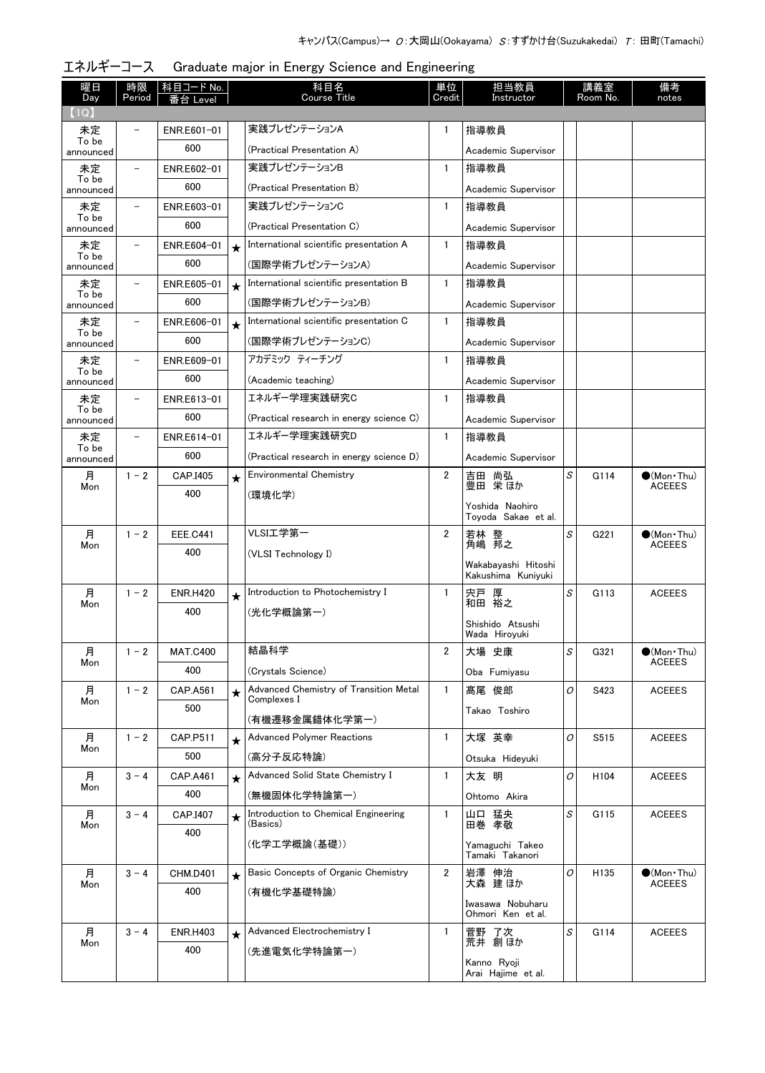| 曜日<br>Day          | 時限<br>Period             | 科目コード No.<br>番台 Level |         | 科目名<br><b>Course Title</b>                            | 単位<br>Credit   | 担当教員<br>Instructor                     |   | 講義室<br>Room No.  | 備考<br>notes                            |
|--------------------|--------------------------|-----------------------|---------|-------------------------------------------------------|----------------|----------------------------------------|---|------------------|----------------------------------------|
| (1Q)               |                          |                       |         |                                                       |                |                                        |   |                  |                                        |
| 未定                 |                          | ENR.E601-01           |         | 実践プレゼンテーションA                                          | 1              | 指導教員                                   |   |                  |                                        |
| To be<br>announced |                          | 600                   |         | (Practical Presentation A)                            |                | Academic Supervisor                    |   |                  |                                        |
| 未定                 | $\overline{\phantom{0}}$ | ENR.E602-01           |         | 実践プレゼンテーションB                                          | $\mathbf{1}$   | 指導教員                                   |   |                  |                                        |
| To be<br>announced |                          | 600                   |         | (Practical Presentation B)                            |                | Academic Supervisor                    |   |                  |                                        |
| 未定                 | $\overline{\phantom{0}}$ | ENR.E603-01           |         | 実践プレゼンテーションC                                          | $\mathbf{1}$   | 指導教員                                   |   |                  |                                        |
| To be<br>announced |                          | 600                   |         | (Practical Presentation C)                            |                | Academic Supervisor                    |   |                  |                                        |
| 未定                 |                          | ENR.E604-01           | $\star$ | International scientific presentation A               | $\mathbf{1}$   | 指導教員                                   |   |                  |                                        |
| To be<br>announced |                          | 600                   |         | (国際学術プレゼンテーションA)                                      |                | Academic Supervisor                    |   |                  |                                        |
| 未定                 |                          | ENR.E605-01           | $\star$ | International scientific presentation B               | $\mathbf{1}$   | 指導教員                                   |   |                  |                                        |
| To be<br>announced |                          | 600                   |         | (国際学術プレゼンテーションB)                                      |                | Academic Supervisor                    |   |                  |                                        |
| 未定                 | $\overline{\phantom{0}}$ | ENR.E606-01           | $\star$ | International scientific presentation C               | $\mathbf{1}$   | 指導教員                                   |   |                  |                                        |
| To be<br>announced |                          | 600                   |         | (国際学術プレゼンテーションC)                                      |                | Academic Supervisor                    |   |                  |                                        |
| 未定                 | $\overline{\phantom{0}}$ | ENR.E609-01           |         | アカデミック ティーチング                                         | $\mathbf{1}$   | 指導教員                                   |   |                  |                                        |
| To be<br>announced |                          | 600                   |         | (Academic teaching)                                   |                | Academic Supervisor                    |   |                  |                                        |
| 未定                 | $\overline{\phantom{0}}$ | ENR.E613-01           |         | エネルギー学理実践研究C                                          | $\mathbf{1}$   | 指導教員                                   |   |                  |                                        |
| To be<br>announced |                          | 600                   |         | (Practical research in energy science C)              |                | Academic Supervisor                    |   |                  |                                        |
| 未定                 | $\overline{\phantom{0}}$ | ENR.E614-01           |         | エネルギー学理実践研究D                                          | $\mathbf{1}$   | 指導教員                                   |   |                  |                                        |
| To be<br>announced |                          | 600                   |         | (Practical research in energy science D)              |                | Academic Supervisor                    |   |                  |                                        |
| 月                  | $1 - 2$                  | CAP.I405              | $\star$ | <b>Environmental Chemistry</b>                        | $\overline{2}$ | 吉田 尚弘                                  | S | G114             | $\bullet$ (Mon Thu)                    |
| Mon                |                          | 400                   |         | (環境化学)                                                |                | 豊田 栄ほか                                 |   |                  | <b>ACEEES</b>                          |
|                    |                          |                       |         |                                                       |                | Yoshida Naohiro<br>Toyoda Sakae et al. |   |                  |                                        |
| 月                  | $1 - 2$                  | <b>EEE.C441</b>       |         | VLSI工学第一                                              | $\overline{2}$ | 若林 整                                   | S | G221             | $\bullet$ (Mon Thu)                    |
| Mon                |                          | 400                   |         | (VLSI Technology I)                                   |                | 角嶋 邦之                                  |   |                  | <b>ACEEES</b>                          |
|                    |                          |                       |         |                                                       |                | Wakabayashi Hitoshi                    |   |                  |                                        |
| 月                  | $1 - 2$                  | <b>ENR.H420</b>       |         | Introduction to Photochemistry I                      | $\mathbf{1}$   | Kakushima Kuniyuki<br>宍戸 厚             | S | G113             | <b>ACEEES</b>                          |
| Mon                |                          | 400                   | $\star$ | (光化学概論第一)                                             |                | 和田 裕之                                  |   |                  |                                        |
|                    |                          |                       |         |                                                       |                | Shishido Atsushi                       |   |                  |                                        |
|                    |                          |                       |         | 結晶科学                                                  |                | Wada Hiroyuki                          |   |                  |                                        |
| 月<br>Mon           | $1 - 2$                  | <b>MAT.C400</b>       |         |                                                       | 2              | 大場 史康                                  | S | G321             | $\bullet$ (Mon · Thu)<br><b>ACEEES</b> |
|                    |                          | 400                   |         | (Crystals Science)                                    |                | Oba Fumiyasu                           |   |                  |                                        |
| 月<br>Mon           | $1 - 2$                  | <b>CAP.A561</b>       | $\star$ | Advanced Chemistry of Transition Metal<br>Complexes I | $\mathbf{1}$   | 髙尾 俊郎                                  | 0 | S423             | <b>ACEEES</b>                          |
|                    |                          | 500                   |         | (有機遷移金属錯体化学第一)                                        |                | Takao Toshiro                          |   |                  |                                        |
| 月                  | $1 - 2$                  | CAP.P511              | $\star$ | <b>Advanced Polymer Reactions</b>                     | $\mathbf{1}$   | 大塚 英幸                                  | O | S515             | <b>ACEEES</b>                          |
| Mon                |                          | 500                   |         | (高分子反応特論)                                             |                | Otsuka Hideyuki                        |   |                  |                                        |
| 月                  | $3 - 4$                  | <b>CAP.A461</b>       | $\star$ | Advanced Solid State Chemistry I                      | $\mathbf{1}$   | 大友 明                                   | 0 | H <sub>104</sub> | <b>ACEEES</b>                          |
| Mon                |                          | 400                   |         | (無機固体化学特論第一)                                          |                | Ohtomo Akira                           |   |                  |                                        |
| 月                  | $3 - 4$                  | CAP.I407              | $\star$ | Introduction to Chemical Engineering                  | $\mathbf{1}$   | 山口 猛央                                  | S | G115             | <b>ACEEES</b>                          |
| Mon                |                          | 400                   |         | (Basics)                                              |                | 田巻 孝敬                                  |   |                  |                                        |
|                    |                          |                       |         | (化学工学概論(基礎))                                          |                | Yamaguchi Takeo<br>Tamaki Takanori     |   |                  |                                        |
| 月                  | $3 - 4$                  | <b>CHM.D401</b>       | $\star$ | Basic Concepts of Organic Chemistry                   | $\overline{2}$ | 岩澤 伸治                                  | O | H135             | $\bullet$ (Mon Thu)                    |
| Mon                |                          | 400                   |         | (有機化学基礎特論)                                            |                | 大森 建ほか                                 |   |                  | <b>ACEEES</b>                          |
|                    |                          |                       |         |                                                       |                | Iwasawa Nobuharu<br>Ohmori Ken et al.  |   |                  |                                        |
| 月                  | $3 - 4$                  | <b>ENR.H403</b>       |         | Advanced Electrochemistry I                           | $\mathbf{1}$   | 菅野 了次                                  | S | G114             | <b>ACEEES</b>                          |
| Mon                |                          | 400                   | $\star$ | (先進電気化学特論第一)                                          |                | 荒井 創ほか                                 |   |                  |                                        |
|                    |                          |                       |         |                                                       |                | Kanno Ryoji<br>Arai Hajime et al.      |   |                  |                                        |

エネルギーコース Graduate major in Energy Science and Engineering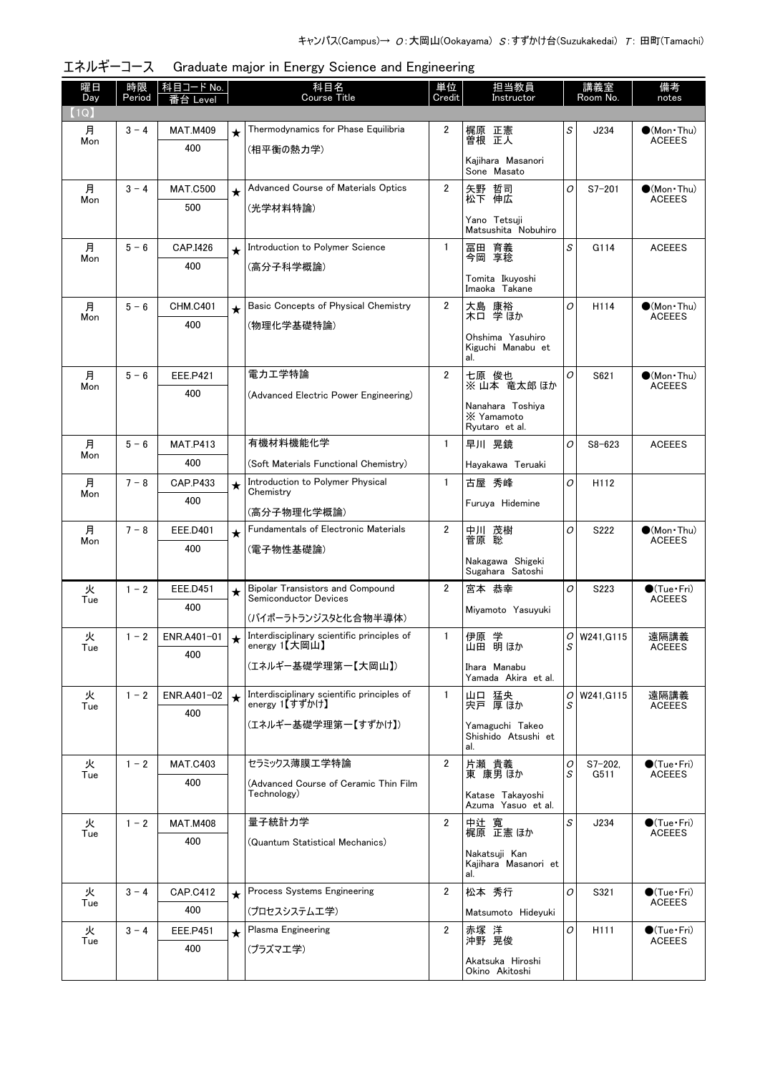| 曜日<br>Day | 時限<br>Period | <u> 科目コード No.  </u><br>台 Level |         | 科目名<br><b>Course Title</b>                                              | 単位<br>Credit   | 担当教員<br>Instructor                               |        | 講義室<br>Room No. | 備考<br>notes                             |
|-----------|--------------|--------------------------------|---------|-------------------------------------------------------------------------|----------------|--------------------------------------------------|--------|-----------------|-----------------------------------------|
| (1Q)      |              |                                |         |                                                                         |                |                                                  |        |                 |                                         |
| 月<br>Mon  | $3 - 4$      | <b>MAT.M409</b>                | $\star$ | Thermodynamics for Phase Equilibria                                     | 2              | 梶原 正憲<br>曽根 正人                                   | S      | J234            | $\bigcirc$ (Mon Thu)<br><b>ACEEES</b>   |
|           |              | 400                            |         | (相平衡の熱力学)                                                               |                | Kaiihara Masanori                                |        |                 |                                         |
|           |              |                                |         |                                                                         |                | Sone Masato                                      |        |                 |                                         |
| 月         | $3 - 4$      | <b>MAT.C500</b>                | $\star$ | Advanced Course of Materials Optics                                     | $\overline{2}$ | 矢野 哲司<br>松下 伸広                                   | 0      | $S7 - 201$      | $\bullet$ (Mon•Thu)<br><b>ACEEES</b>    |
| Mon       |              | 500                            |         | (光学材料特論)                                                                |                |                                                  |        |                 |                                         |
|           |              |                                |         |                                                                         |                | Yano Tetsuji<br>Matsushita Nobuhiro              |        |                 |                                         |
| 月<br>Mon  | $5 - 6$      | CAP.I426                       | $\star$ | Introduction to Polymer Science                                         | $\mathbf{1}$   | 冨田 育義<br>今岡 享稔                                   | S      | G114            | <b>ACEEES</b>                           |
|           |              | 400                            |         | (高分子科学概論)                                                               |                |                                                  |        |                 |                                         |
|           |              |                                |         |                                                                         |                | Tomita Ikuyoshi<br>Imaoka Takane                 |        |                 |                                         |
| 月         | $5 - 6$      | <b>CHM.C401</b>                | $\star$ | Basic Concepts of Physical Chemistry                                    | $\overline{2}$ | 大島 康裕<br>木口 学ほか                                  | O      | H114            | $\bullet$ (Mon Thu)<br><b>ACEEES</b>    |
| Mon       |              | 400                            |         | (物理化学基礎特論)                                                              |                |                                                  |        |                 |                                         |
|           |              |                                |         |                                                                         |                | Ohshima Yasuhiro<br>Kiguchi Manabu et<br>al.     |        |                 |                                         |
| 月         | $5 - 6$      | <b>EEE.P421</b>                |         | 電力工学特論                                                                  | $\overline{2}$ | 七原 俊也<br>※山本 竜太郎 ほか                              | 0      | S621            | $\bullet$ (Mon Thu)<br><b>ACEEES</b>    |
| Mon       |              | 400                            |         | (Advanced Electric Power Engineering)                                   |                |                                                  |        |                 |                                         |
|           |              |                                |         |                                                                         |                | Nanahara Toshiva<br>X Yamamoto<br>Ryutaro et al. |        |                 |                                         |
| 月         | $5 - 6$      | <b>MAT.P413</b>                |         | 有機材料機能化学                                                                | $\mathbf{1}$   | 早川 晃鏡                                            | O      | $S8 - 623$      | <b>ACEEES</b>                           |
| Mon       |              | 400                            |         | (Soft Materials Functional Chemistry)                                   |                | Hayakawa Teruaki                                 |        |                 |                                         |
| 月<br>Mon  | $7 - 8$      | CAP.P433                       | $\star$ | Introduction to Polymer Physical<br>Chemistry                           | $\mathbf{1}$   | 古屋 秀峰                                            | O      | H112            |                                         |
|           |              | 400                            |         | (高分子物理化学概論)                                                             |                | Furuya Hidemine                                  |        |                 |                                         |
| 月         | $7 - 8$      | <b>EEE.D401</b>                | $\star$ | <b>Fundamentals of Electronic Materials</b>                             | $\overline{2}$ | 中川 茂樹                                            | O      | S222            | $\bullet$ (Mon•Thu)                     |
| Mon       |              | 400                            |         | (電子物性基礎論)                                                               |                | 菅原 聡                                             |        |                 | <b>ACEEES</b>                           |
|           |              |                                |         |                                                                         |                | Nakagawa Shigeki<br>Sugahara Satoshi             |        |                 |                                         |
| 火<br>Tue  | $1 - 2$      | <b>EEE.D451</b>                | $\star$ | <b>Bipolar Transistors and Compound</b><br><b>Semiconductor Devices</b> | 2              | 宮本 恭幸                                            | 0      | S223            | $\bigcirc$ (Tue · Fri)<br><b>ACEEES</b> |
|           |              | 400                            |         | (バイポーラトランジスタと化合物半導体)                                                    |                | Miyamoto Yasuyuki                                |        |                 |                                         |
| 火         | $1 - 2$      | ENR.A401-01                    | $\star$ | Interdisciplinary scientific principles of                              | 1              | 伊原 学                                             | 0      | W241.G115       | 遠隔講義                                    |
| Tue       |              | 400                            |         | energy 1【大岡山】                                                           |                | 山田 明ほか                                           | S      |                 | <b>ACEEES</b>                           |
|           |              |                                |         | (エネルギー基礎学理第一【大岡山】)                                                      |                | Ihara Manabu<br>Yamada Akira et al.              |        |                 |                                         |
| 火<br>Tue  | $1 - 2$      | ENR.A401-02                    | $\star$ | Interdisciplinary scientific principles of<br>energy 1【すずかけ】            | $\mathbf{1}$   | 山口 猛央<br>宍戸 厚ほか                                  | 0<br>S | W241, G115      | 遠隔講義<br><b>ACEEES</b>                   |
|           |              | 400                            |         | (エネルギー基礎学理第一【すずかけ】)                                                     |                | Yamaguchi Takeo                                  |        |                 |                                         |
|           |              |                                |         |                                                                         |                | Shishido Atsushi et<br>al.                       |        |                 |                                         |
| 火         | $1 - 2$      | <b>MAT.C403</b>                |         | セラミックス薄膜エ学特論                                                            | $\overline{2}$ | 片瀬 貴義                                            | 0      | $S7 - 202$      | $\bigcirc$ (Tue Fri)                    |
| Tue       |              | 400                            |         | (Advanced Course of Ceramic Thin Film                                   |                | 東 康男 ほか                                          | S      | G511            | <b>ACEEES</b>                           |
|           |              |                                |         | Technology)                                                             |                | Katase Takavoshi<br>Azuma Yasuo et al.           |        |                 |                                         |
| 火         | $1 - 2$      | <b>MAT.M408</b>                |         | 量子統計力学                                                                  | $\overline{2}$ | 中辻 寛<br>梶原 正憲ほか                                  | S      | J234            | $\bigcirc$ (Tue•Fri)                    |
| Tue       |              | 400                            |         | (Quantum Statistical Mechanics)                                         |                |                                                  |        |                 | <b>ACEEES</b>                           |
|           |              |                                |         |                                                                         |                | Nakatsuji Kan<br>Kajihara Masanori et<br>al.     |        |                 |                                         |
| 火         | $3 - 4$      | <b>CAP.C412</b>                | $\star$ | Process Systems Engineering                                             | $\overline{2}$ | 松本 秀行                                            | O      | S321            | $\bigcirc$ (Tue · Fri)                  |
| Tue       |              | 400                            |         | (プロセスシステムエ学)                                                            |                | Matsumoto Hideyuki                               |        |                 | <b>ACEEES</b>                           |
| 火<br>Tue  | $3 - 4$      | EEE.P451                       | $\star$ | Plasma Engineering                                                      | 2              | 赤塚 洋<br>沖野 晃俊                                    | 0      | H111            | $\bullet$ (Tue · Fri)<br><b>ACEEES</b>  |
|           |              | 400                            |         | (プラズマエ学)                                                                |                |                                                  |        |                 |                                         |
|           |              |                                |         |                                                                         |                | Akatsuka Hiroshi<br>Okino Akitoshi               |        |                 |                                         |

エネルギーコース Graduate major in Energy Science and Engineering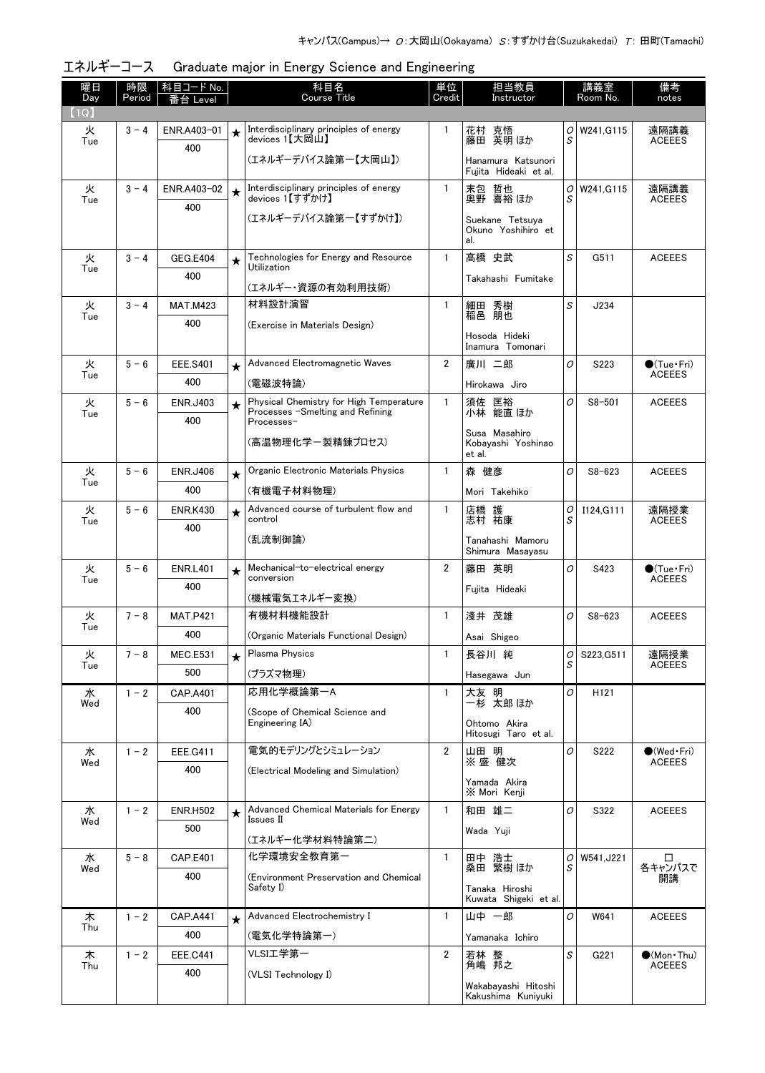| 曜日<br>Day | 時限<br>Period | 科目コード No.<br>番台 Level |         | 科目名<br><b>Course Title</b>                                                  | 単位<br>Credit   | 担当教員<br>Instructor                           |                | 講義室<br>Room No. | 備考<br>notes                            |
|-----------|--------------|-----------------------|---------|-----------------------------------------------------------------------------|----------------|----------------------------------------------|----------------|-----------------|----------------------------------------|
| (1Q)      |              |                       |         |                                                                             |                |                                              |                |                 |                                        |
| 火<br>Tue  | $3 - 4$      | ENR.A403-01           |         | Interdisciplinary principles of energy<br>devices 1【大岡山】                    | $\mathbf{1}$   | 花村 克悟<br>藤田 英明 ほか                            | O<br>S         | W241.G115       | 遠隔講義<br><b>ACEEES</b>                  |
|           |              | 400                   |         | (エネルギーデバイス論第一【大岡山】)                                                         |                | Hanamura Katsunori<br>Fujita Hideaki et al.  |                |                 |                                        |
| 火         | $3 - 4$      | ENR.A403-02           | $\star$ | Interdisciplinary principles of energy<br>devices 1【すずかけ】                   | $\mathbf{1}$   | 哲也<br>末包                                     | 0              | W241, G115      | 遠隔講義                                   |
| Tue       |              | 400                   |         |                                                                             |                | 奥野 喜裕 ほか                                     | S              |                 | <b>ACEEES</b>                          |
|           |              |                       |         | (エネルギーデバイス論第一【すずかけ】)                                                        |                | Suekane Tetsuya<br>Okuno Yoshihiro et<br>al. |                |                 |                                        |
| 火         | $3 - 4$      | GEG.E404              | $\star$ | Technologies for Energy and Resource<br>Utilization                         | $\mathbf{1}$   | 高橋 史武                                        | S              | G511            | <b>ACEEES</b>                          |
| Tue       |              | 400                   |         | (エネルギー・資源の有効利用技術)                                                           |                | Takahashi Fumitake                           |                |                 |                                        |
| 火         | $3 - 4$      | <b>MAT.M423</b>       |         | 材料設計演習                                                                      | $\mathbf{1}$   |                                              | S              | J234            |                                        |
| Tue       |              | 400                   |         | (Exercise in Materials Design)                                              |                | 細田 秀樹<br>稲邑 朋也                               |                |                 |                                        |
|           |              |                       |         |                                                                             |                | Hosoda Hideki<br>Inamura Tomonari            |                |                 |                                        |
| 火         | $5 - 6$      | <b>EEE.S401</b>       | $\star$ | Advanced Electromagnetic Waves                                              | $\overline{2}$ | 廣川 二郎                                        | O              | S223            | $\bullet$ (Tue · Fri)<br><b>ACEEES</b> |
| Tue       |              | 400                   |         | (雷磁波特論)                                                                     |                | Hirokawa Jiro                                |                |                 |                                        |
| 火<br>Tue  | $5 - 6$      | <b>ENR.J403</b>       | $\star$ | Physical Chemistry for High Temperature<br>Processes -Smelting and Refining | $\mathbf{1}$   | 須佐 匡裕<br>小林 能直 ほか                            | $\overline{O}$ | $S8 - 501$      | <b>ACEEES</b>                          |
|           |              | 400                   |         | Processes-                                                                  |                | Susa Masahiro                                |                |                 |                                        |
|           |              |                       |         | (高温物理化学ー製精錬プロセス)                                                            |                | Kobayashi Yoshinao<br>et al.                 |                |                 |                                        |
| 火<br>Tue  | $5 - 6$      | <b>ENR.J406</b>       | $\star$ | Organic Electronic Materials Physics                                        | $\mathbf{1}$   | 森 健彦                                         | O              | $S8 - 623$      | <b>ACEEES</b>                          |
|           |              | 400                   |         | (有機電子材料物理)                                                                  |                | Mori Takehiko                                |                |                 |                                        |
| 火<br>Tue  | $5 - 6$      | <b>ENR.K430</b>       | $\star$ | Advanced course of turbulent flow and<br>control                            | $\mathbf{1}$   | 店橋<br>護<br>志村 祐康                             | 0<br>S         | I124.G111       | 遠隔授業<br><b>ACEEES</b>                  |
|           |              | 400                   |         | (乱流制御論)                                                                     |                |                                              |                |                 |                                        |
|           |              |                       |         |                                                                             |                | Tanahashi Mamoru<br>Shimura Masayasu         |                |                 |                                        |
| 火<br>Tue  | $5 - 6$      | <b>ENR.L401</b>       | $\star$ | Mechanical-to-electrical energy<br>conversion                               | $\overline{2}$ | 藤田 英明                                        | O              | S423            | $\bullet$ (Tue · Fri)<br><b>ACEEES</b> |
|           |              | 400                   |         | (機械雷気エネルギー変換)                                                               |                | Fujita Hideaki                               |                |                 |                                        |
| 火         | $7 - 8$      | <b>MAT.P421</b>       |         | 有機材料機能設計                                                                    | $\mathbf{1}$   | 淺井 茂雄                                        | O              | $S8 - 623$      | <b>ACEEES</b>                          |
| Tue       |              | 400                   |         | (Organic Materials Functional Design)                                       |                | Asai Shigeo                                  |                |                 |                                        |
| 火         | $7 - 8$      | <b>MEC.E531</b>       | ★       | Plasma Physics                                                              | $\mathbf{1}$   | 長谷川 純                                        | 0              | S223, G511      | 遠隔授業                                   |
| Tue       |              | 500                   |         | (プラズマ物理)                                                                    |                | Hasegawa Jun                                 | S              |                 | <b>ACEEES</b>                          |
| 水         | $1 - 2$      | <b>CAP.A401</b>       |         | 応用化学概論第一A                                                                   | $\mathbf{1}$   | 大友 明<br>一杉 太郎ほか                              | 0              | H121            |                                        |
| Wed       |              | 400                   |         | (Scope of Chemical Science and                                              |                |                                              |                |                 |                                        |
|           |              |                       |         | Engineering IA)                                                             |                | Ohtomo Akira<br>Hitosugi Taro et al.         |                |                 |                                        |
| 水<br>Wed  | $1 - 2$      | EEE.G411              |         | 電気的モデリングとシミュレーション                                                           | $\overline{2}$ | 山田 明<br>※盛健次                                 | 0              | S222            | $\bullet$ (Wed•Fri)<br><b>ACEEES</b>   |
|           |              | 400                   |         | (Electrical Modeling and Simulation)                                        |                | Yamada Akira                                 |                |                 |                                        |
|           |              |                       |         |                                                                             |                | X Mori Kenji                                 |                |                 |                                        |
| 水<br>Wed  | $1 - 2$      | <b>ENR.H502</b>       | $\star$ | Advanced Chemical Materials for Energy<br>Issues II                         | $\mathbf{1}$   | 和田 雄二                                        | O              | S322            | <b>ACEEES</b>                          |
|           |              | 500                   |         | (エネルギー化学材料特論第二)                                                             |                | Wada Yuji                                    |                |                 |                                        |
| 水         | $5 - 8$      | <b>CAP.E401</b>       |         | 化学環境安全教育第一                                                                  | 1              | 田中 浩士                                        | 0              | W541, J221      |                                        |
| Wed       |              | 400                   |         | (Environment Preservation and Chemical                                      |                | 桑田 繁樹 ほか                                     |                |                 | 各キャンパスで<br>開講                          |
|           |              |                       |         | Safety I)                                                                   |                | Tanaka Hiroshi<br>Kuwata Shigeki et al.      |                |                 |                                        |
| 木         | $1 - 2$      | <b>CAP.A441</b>       | $\star$ | Advanced Electrochemistry I                                                 | $\mathbf{1}$   | 山中 一郎                                        | O              | W641            | <b>ACEEES</b>                          |
| Thu       |              | 400                   |         | (電気化学特論第一)                                                                  |                | Yamanaka Ichiro                              |                |                 |                                        |
| 木         | $1 - 2$      | <b>EEE.C441</b>       |         | VLSI工学第一                                                                    | $\overline{2}$ | 若林 整<br>角嶋 邦之                                | S              | G221            | $\bullet$ (Mon•Thu)                    |
| Thu       |              | 400                   |         | (VLSI Technology I)                                                         |                |                                              |                |                 | <b>ACEEES</b>                          |
|           |              |                       |         |                                                                             |                | Wakabayashi Hitoshi<br>Kakushima Kuniyuki    |                |                 |                                        |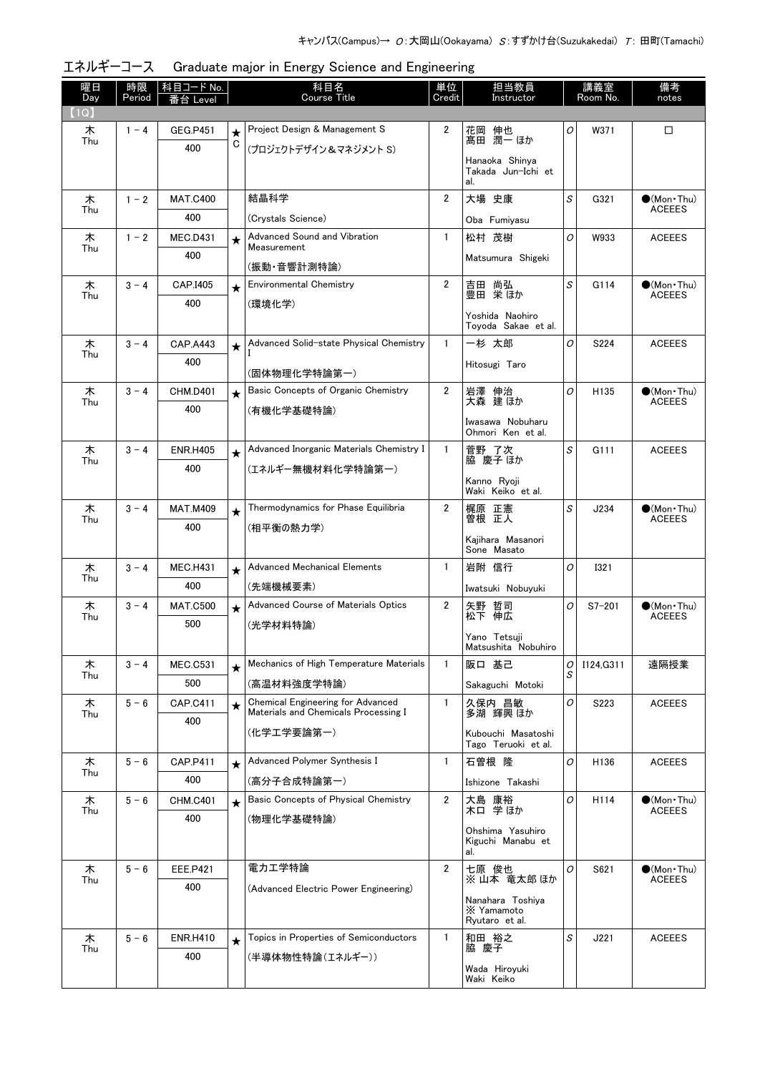| 曜日<br>Day | 時限<br>Period | 科目コード No.<br>番台 Level |             | 科目名<br><b>Course Title</b>                                                       | 単位<br>Credit   | 担当教員<br>Instructor                           |        | 講義室<br>Room No. | 備考<br>notes                            |
|-----------|--------------|-----------------------|-------------|----------------------------------------------------------------------------------|----------------|----------------------------------------------|--------|-----------------|----------------------------------------|
| (1Q)      |              |                       |             |                                                                                  |                |                                              |        |                 |                                        |
| 木         | $1 - 4$      | <b>GEG.P451</b>       | $\star$     | Project Design & Management S                                                    | $\overline{2}$ | 花岡 伸也                                        | 0      | W371            | □                                      |
| Thu       |              | 400                   | $\mathbf C$ | (プロジェクトデザイン&マネジメント S)                                                            |                | 髙田 潤一 ほか                                     |        |                 |                                        |
|           |              |                       |             |                                                                                  |                | Hanaoka Shinya<br>Takada Jun-Ichi et<br>al.  |        |                 |                                        |
| 木         | $1 - 2$      | <b>MAT.C400</b>       |             | 結晶科学                                                                             | $\overline{2}$ | 大場 史康                                        | S      | G321            | $\bullet$ (Mon•Thu)                    |
| Thu       |              | 400                   |             | (Crystals Science)                                                               |                | Oba Fumiyasu                                 |        |                 | <b>ACEEES</b>                          |
| 木         | $1 - 2$      | <b>MEC.D431</b>       | $\star$     | Advanced Sound and Vibration                                                     | $\mathbf{1}$   | 松村 茂樹                                        | 0      | W933            | <b>ACEEES</b>                          |
| Thu       |              | 400                   |             | Measurement<br>(振動・音響計測特論)                                                       |                | Matsumura Shigeki                            |        |                 |                                        |
| 木         | $3 - 4$      | CAP.I405              | $\star$     | Environmental Chemistry                                                          | $\overline{2}$ | 吉田 尚弘                                        | S      | G114            | $\bullet$ (Mon Thu)                    |
| Thu       |              | 400                   |             | (環境化学)                                                                           |                | 豊田 栄ほか                                       |        |                 | <b>ACEEES</b>                          |
|           |              |                       |             |                                                                                  |                | Yoshida Naohiro<br>Toyoda Sakae et al.       |        |                 |                                        |
| 木         | $3 - 4$      | <b>CAP.A443</b>       | $\star$     | Advanced Solid-state Physical Chemistry                                          | $\mathbf{1}$   | 一杉 太郎                                        | O      | S224            | <b>ACEEES</b>                          |
| Thu       |              | 400                   |             | (固体物理化学特論第一)                                                                     |                | Hitosugi Taro                                |        |                 |                                        |
| 木         | $3 - 4$      | <b>CHM.D401</b>       | $\star$     | Basic Concepts of Organic Chemistry                                              | $\overline{2}$ | 岩澤 伸治                                        | O      | H135            | $\bullet$ (Mon•Thu)                    |
| Thu       |              | 400                   |             | (有機化学基礎特論)                                                                       |                | 大森 建ほか                                       |        |                 | <b>ACEEES</b>                          |
|           |              |                       |             |                                                                                  |                | Iwasawa Nobuharu<br>Ohmori Ken et al.        |        |                 |                                        |
| 木         | $3 - 4$      | <b>ENR.H405</b>       | $\star$     | Advanced Inorganic Materials Chemistry I                                         | $\mathbf{1}$   | 菅野了次                                         | S      | G111            | <b>ACEEES</b>                          |
| Thu       |              | 400                   |             | (エネルギー無機材料化学特論第一)                                                                |                | 脇 慶子 ほか                                      |        |                 |                                        |
|           |              |                       |             |                                                                                  |                | Kanno Ryoji<br>Waki Keiko et al.             |        |                 |                                        |
| 木         | $3 - 4$      | <b>MAT.M409</b>       | $\star$     | Thermodynamics for Phase Equilibria                                              | 2              | 梶原 正憲                                        | S      | J234            | $\bullet$ (Mon•Thu)                    |
| Thu       |              | 400                   |             | (相平衡の熱力学)                                                                        |                | 曽根 正人                                        |        |                 | <b>ACEEES</b>                          |
|           |              |                       |             |                                                                                  |                | Kajihara Masanori<br>Sone Masato             |        |                 |                                        |
| 木<br>Thu  | $3 - 4$      | <b>MEC.H431</b>       | $\star$     | <b>Advanced Mechanical Elements</b>                                              | $\mathbf{1}$   | 岩附 信行                                        | O      | <b>I321</b>     |                                        |
|           |              | 400                   |             | (先端機械要素)                                                                         |                | Iwatsuki Nobuyuki                            |        |                 |                                        |
| 木<br>Thu  | $3 - 4$      | <b>MAT.C500</b>       | $\star$     | Advanced Course of Materials Optics                                              | $\overline{2}$ | 矢野 哲司<br>松下 伸広                               | O      | $S7 - 201$      | $\bullet$ (Mon · Thu)<br><b>ACEEES</b> |
|           |              | 500                   |             | (光学材料特論)                                                                         |                | Yano Tetsuji                                 |        |                 |                                        |
|           |              |                       |             |                                                                                  |                | Matsushita Nobuhiro                          |        |                 |                                        |
| 木<br>Thu  | $3 - 4$      | <b>MEC.C531</b>       | $\star$     | Mechanics of High Temperature Materials                                          | $\mathbf{1}$   | 阪口 基己                                        | 0<br>S | I124, G311      | 遠隔授業                                   |
|           |              | 500                   |             | (高温材料強度学特論)                                                                      |                | Sakaguchi Motoki                             |        |                 |                                        |
| 木<br>Thu  | $5 - 6$      | CAP.C411<br>400       | $\star$     | <b>Chemical Engineering for Advanced</b><br>Materials and Chemicals Processing I | $\mathbf{1}$   | 久保内 昌敏<br>多湖 輝興 ほか                           | O      | S223            | <b>ACEEES</b>                          |
|           |              |                       |             | (化学エ学要論第一)                                                                       |                | Kubouchi Masatoshi<br>Tago Teruoki et al.    |        |                 |                                        |
| 木         | $5 - 6$      | <b>CAP.P411</b>       | $\star$     | Advanced Polymer Synthesis I                                                     | 1              | 石曽根 隆                                        | 0      | H136            | <b>ACEEES</b>                          |
| Thu       |              | 400                   |             | (高分子合成特論第一)                                                                      |                | Ishizone Takashi                             |        |                 |                                        |
| 木         | $5 - 6$      | <b>CHM.C401</b>       | $\star$     | Basic Concepts of Physical Chemistry                                             | $\overline{2}$ | 大島 康裕<br>木ロ 学ほか                              | 0      | H114            | $\bullet$ (Mon Thu)                    |
| Thu       |              | 400                   |             | (物理化学基礎特論)                                                                       |                |                                              |        |                 | <b>ACEEES</b>                          |
|           |              |                       |             |                                                                                  |                | Ohshima Yasuhiro<br>Kiguchi Manabu et<br>al. |        |                 |                                        |
| 木         | $5 - 6$      | <b>EEE.P421</b>       |             | 電力エ学特論                                                                           | 2              | 七原 俊也                                        | 0      | S621            | $\bullet$ (Mon Thu)                    |
| Thu       |              | 400                   |             | (Advanced Electric Power Engineering)                                            |                | ※山本 竜太郎ほか                                    |        |                 | <b>ACEEES</b>                          |
|           |              |                       |             |                                                                                  |                | Nanahara Toshiya<br>X Yamamoto               |        |                 |                                        |
| 木         | $5 - 6$      | <b>ENR.H410</b>       |             | Topics in Properties of Semiconductors                                           | 1              | Ryutaro et al.<br>和田 裕之                      | S      | J221            | <b>ACEEES</b>                          |
| Thu       |              | 400                   | $\star$     | (半導体物性特論(エネルギー))                                                                 |                | 脇 慶子                                         |        |                 |                                        |
|           |              |                       |             |                                                                                  |                | Wada Hiroyuki<br>Waki Keiko                  |        |                 |                                        |

| エネルギーコース Graduate major in Energy Science and Engineering |  |  |  |  |  |
|-----------------------------------------------------------|--|--|--|--|--|
|-----------------------------------------------------------|--|--|--|--|--|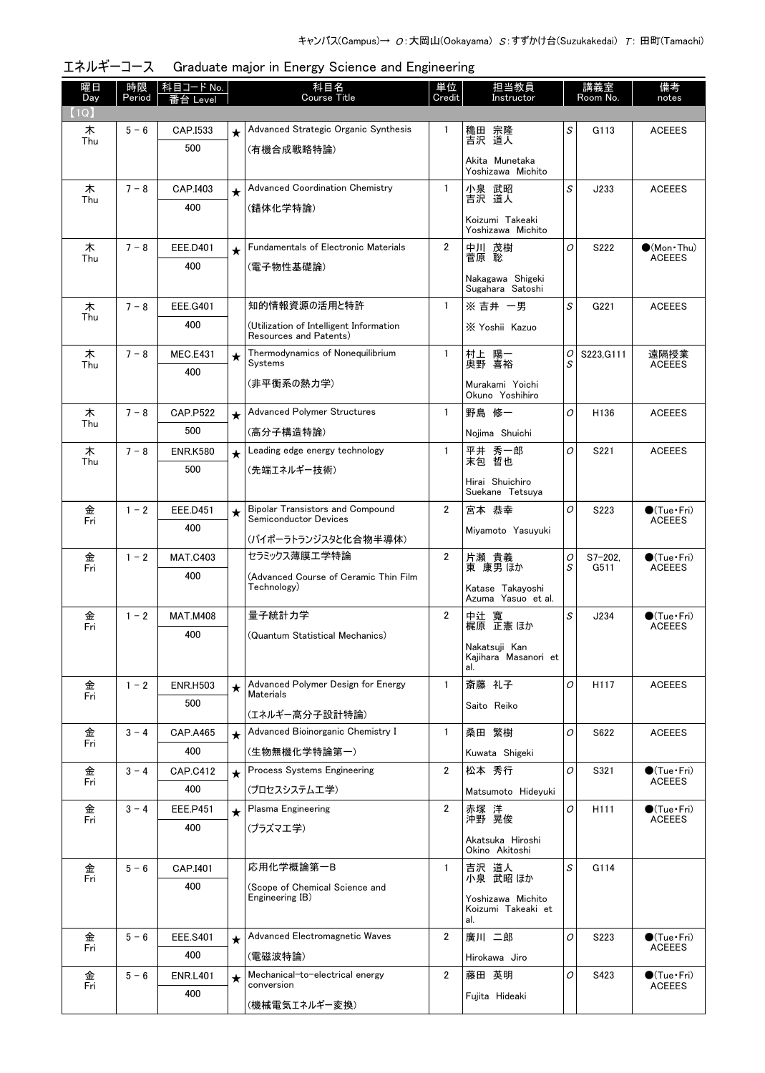| 曜日<br>Day | 時限<br>Period | 科目コード No.<br>≸台 Level  |            | 科目名<br>Course Title                                               | 単位<br>Credit   | 担当教員<br>Instructor                   |               | 講義室<br>Room No.      | 備考<br>notes                             |
|-----------|--------------|------------------------|------------|-------------------------------------------------------------------|----------------|--------------------------------------|---------------|----------------------|-----------------------------------------|
| 1Q        |              |                        |            |                                                                   |                |                                      |               |                      |                                         |
| 木         | $5 - 6$      | CAP.I533               | $\star$    | Advanced Strategic Organic Synthesis                              | 1              | 穐田 宗隆                                | S             | G113                 | <b>ACEEES</b>                           |
| Thu       |              | 500                    |            | (有機合成戦略特論)                                                        |                | 吉沢 道人                                |               |                      |                                         |
|           |              |                        |            |                                                                   |                | Akita Munetaka<br>Yoshizawa Michito  |               |                      |                                         |
| 木         | $7 - 8$      | CAP.I403               | $\star$    | <b>Advanced Coordination Chemistry</b>                            | $\mathbf{1}$   | 小泉 武昭                                | S             | J233                 | <b>ACEEES</b>                           |
| Thu       |              | 400                    |            | (錯体化学特論)                                                          |                | 吉沢 道人                                |               |                      |                                         |
|           |              |                        |            |                                                                   |                | Koizumi Takeaki<br>Yoshizawa Michito |               |                      |                                         |
| 木<br>Thu  | $7 - 8$      | <b>EEE.D401</b>        | $\bigstar$ | <b>Fundamentals of Electronic Materials</b>                       | $\overline{2}$ | 中川 茂樹<br>菅原 聡                        | O             | S222                 | (Mon Thu)<br><b>ACEEES</b>              |
|           |              | 400                    |            | (電子物性基礎論)                                                         |                |                                      |               |                      |                                         |
|           |              |                        |            |                                                                   |                | Nakagawa Shigeki<br>Sugahara Satoshi |               |                      |                                         |
| 木         | $7 - 8$      | EEE.G401               |            | 知的情報資源の活用と特許                                                      | $\mathbf{1}$   | ※吉井 一男                               | S             | G221                 | <b>ACEEES</b>                           |
| Thu       |              | 400                    |            | (Utilization of Intelligent Information<br>Resources and Patents) |                | X Yoshii Kazuo                       |               |                      |                                         |
| 木         | $7 - 8$      | <b>MEC.E431</b>        | $\star$    | Thermodynamics of Nonequilibrium                                  | $\mathbf{1}$   | 村上 陽一<br>奥野 喜裕                       | 0             | S223, G111           | 遠隔授業                                    |
| Thu       |              | 400                    |            | Systems                                                           |                |                                      | S             |                      | <b>ACEEES</b>                           |
|           |              |                        |            | (非平衡系の熱力学)                                                        |                | Murakami Yoichi<br>Okuno Yoshihiro   |               |                      |                                         |
| 木<br>Thu  | $7 - 8$      | <b>CAP.P522</b>        | $\star$    | <b>Advanced Polymer Structures</b>                                | $\mathbf{1}$   | 野島 修一                                | O             | H <sub>136</sub>     | <b>ACEEES</b>                           |
|           |              | 500                    |            | (高分子構造特論)                                                         |                | Nojima Shuichi                       |               |                      |                                         |
| 木<br>Thu  | $7 - 8$      | <b>ENR.K580</b>        | $\star$    | Leading edge energy technology                                    | $\mathbf{1}$   | 平井 秀一郎<br>末包 哲也                      | O             | S221                 | <b>ACEEES</b>                           |
|           |              | 500                    |            | (先端エネルギー技術)                                                       |                |                                      |               |                      |                                         |
|           |              |                        |            |                                                                   |                | Hirai Shuichiro<br>Suekane Tetsuya   |               |                      |                                         |
| 金<br>Fri  | $1 - 2$      | <b>EEE.D451</b>        | $\star$    | <b>Bipolar Transistors and Compound</b>                           | $\overline{2}$ | 宮本 恭幸                                | O             | S223                 | $\bullet$ (Tue · Fri)                   |
|           |              | 400                    |            | <b>Semiconductor Devices</b>                                      |                | Miyamoto Yasuyuki                    |               |                      | <b>ACEEES</b>                           |
|           |              |                        |            | (バイポーラトランジスタと化合物半導体)                                              |                |                                      |               |                      |                                         |
| 金<br>Fri  | $1 - 2$      | <b>MAT.C403</b>        |            | セラミックス薄膜エ学特論                                                      | $\overline{2}$ | 片瀬 貴義<br>東 康男 ほか                     | 0<br>S        | $S7 - 202$ .<br>G511 | $\bigcirc$ (Tue•Fri)<br><b>ACEEES</b>   |
|           |              | 400                    |            | (Advanced Course of Ceramic Thin Film<br>Technology)              |                | Katase Takayoshi                     |               |                      |                                         |
|           |              |                        |            |                                                                   |                | Azuma Yasuo et al.                   |               |                      |                                         |
| 金<br>Fri  | $1 - 2$      | <b>MAT.M408</b>        |            | 量子統計力学                                                            | $\overline{2}$ | 中辻 寬<br>梶原 正憲 ほか                     | S             | J234                 | $\bigcirc$ (Tue · Fri)<br><b>ACEEES</b> |
|           |              | 400                    |            | (Quantum Statistical Mechanics)                                   |                | Nakatsuji Kan                        |               |                      |                                         |
|           |              |                        |            |                                                                   |                | Kajihara Masanori et<br>al.          |               |                      |                                         |
| 金<br>Fri  | $1 - 2$      | <b>ENR.H503</b>        | $\star$    | Advanced Polymer Design for Energy<br><b>Materials</b>            | $\mathbf{1}$   | 斎藤 礼子                                | O             | H117                 | <b>ACEEES</b>                           |
|           |              | 500                    |            |                                                                   |                | Saito Reiko                          |               |                      |                                         |
|           |              |                        |            | (エネルギー高分子設計特論)<br>Advanced Bioinorganic Chemistry I               | $\mathbf{1}$   | 桑田 繁樹                                | 0             | S622                 | <b>ACEEES</b>                           |
| 金<br>Fri  | $3 - 4$      | <b>CAP.A465</b><br>400 | $\star$    | (生物無機化学特論第一)                                                      |                |                                      |               |                      |                                         |
|           |              |                        |            | Process Systems Engineering                                       |                | Kuwata Shigeki                       |               |                      |                                         |
| 金<br>Fri  | $3 - 4$      | <b>CAP.C412</b><br>400 | $\star$    |                                                                   | 2              | 松本 秀行                                | 0             | S321                 | $\bigcirc$ (Tue•Fri)<br><b>ACEEES</b>   |
|           |              |                        |            | (プロセスシステムエ学)                                                      |                | Matsumoto Hideyuki                   |               |                      |                                         |
| 金<br>Fri  | $3 - 4$      | EEE.P451               | $\star$    | <b>Plasma Engineering</b>                                         | 2              | 赤塚 洋<br>沖野 晃俊                        | 0             | H <sub>111</sub>     | $\bigcirc$ (Tue•Fri)<br><b>ACEEES</b>   |
|           |              | 400                    |            | (プラズマエ学)                                                          |                | Akatsuka Hiroshi<br>Okino Akitoshi   |               |                      |                                         |
| 金         | $5 - 6$      | CAP.I401               |            | 応用化学概論第一B                                                         | 1              |                                      | S             | G114                 |                                         |
| Fri       |              | 400                    |            | (Scope of Chemical Science and                                    |                | 吉沢 道人<br>小泉 武昭ほか                     |               |                      |                                         |
|           |              |                        |            | Engineering IB)                                                   |                | Yoshizawa Michito                    |               |                      |                                         |
|           |              |                        |            |                                                                   |                | Koizumi Takeaki et<br>al.            |               |                      |                                         |
| 金         | $5 - 6$      | <b>EEE.S401</b>        | $\star$    | Advanced Electromagnetic Waves                                    | $\overline{2}$ | 廣川 二郎                                | $\mathcal{O}$ | S223                 | $\bigcirc$ (Tue · Fri)                  |
| Fri       |              | 400                    |            | (電磁波特論)                                                           |                | Hirokawa Jiro                        |               |                      | <b>ACEEES</b>                           |
| 金         | $5 - 6$      | <b>ENR.L401</b>        | $\star$    | Mechanical-to-electrical energy                                   | 2              | 藤田 英明                                | 0             | S423                 | $\bullet$ (Tue · Fri)                   |
| Fri       |              | 400                    |            | conversion                                                        |                | Fujita Hideaki                       |               |                      | <b>ACEEES</b>                           |
|           |              |                        |            | (機械電気エネルギー変換)                                                     |                |                                      |               |                      |                                         |

エネルギーコース Graduate major in Energy Science and Engineering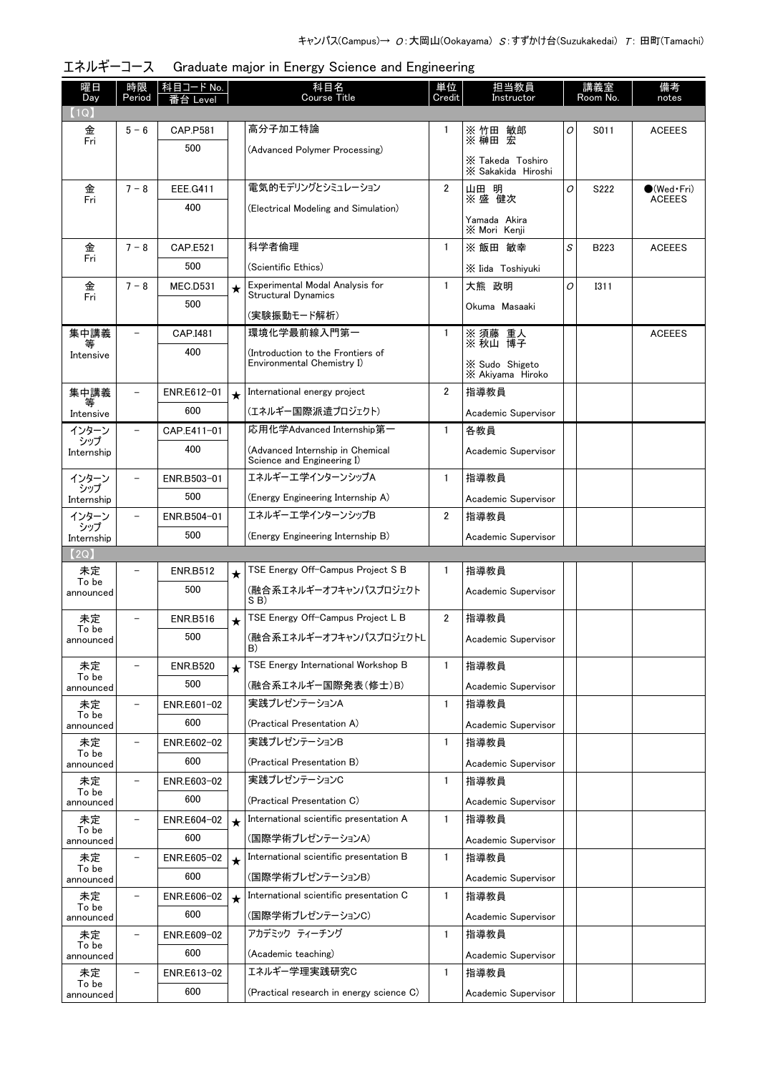| 曜日<br>Day          | 時限<br>Period             | 科目コード No.          |         | 科目名<br><b>Course Title</b>                                            | 単位<br>Credit   | 担当教員<br>Instructor                     |   | 講義室<br>Room No. | 備考<br>notes         |
|--------------------|--------------------------|--------------------|---------|-----------------------------------------------------------------------|----------------|----------------------------------------|---|-----------------|---------------------|
| (1Q)               |                          | 番台 Level           |         |                                                                       |                |                                        |   |                 |                     |
| 金                  | $5 - 6$                  | <b>CAP.P581</b>    |         | 高分子加工特論                                                               |                | ※ 竹田 敏郎<br>※ 榊田 宏                      | 0 | S011            | <b>ACEEES</b>       |
| Fri                |                          | 500                |         | (Advanced Polymer Processing)                                         |                |                                        |   |                 |                     |
|                    |                          |                    |         |                                                                       |                | X Takeda Toshiro<br>X Sakakida Hiroshi |   |                 |                     |
| 金                  | $7 - 8$                  | EEE.G411           |         | 電気的モデリングとシミュレーション                                                     | $\overline{2}$ | 山田 明                                   | O | S222            | $\bullet$ (Wed Fri) |
| Fri                |                          | 400                |         | (Electrical Modeling and Simulation)                                  |                | ※盛 健次                                  |   |                 | <b>ACEEES</b>       |
|                    |                          |                    |         |                                                                       |                | Yamada Akira<br>X Mori Kenji           |   |                 |                     |
| 金                  | $7 - 8$                  | <b>CAP.E521</b>    |         | 科学者倫理                                                                 | $\mathbf{1}$   | ※ 飯田 敏幸                                | S | B223            | <b>ACEEES</b>       |
| Fri                |                          | 500                |         | (Scientific Ethics)                                                   |                | X Iida Toshiyuki                       |   |                 |                     |
| 金                  | $7 - 8$                  | <b>MEC.D531</b>    | $\star$ | Experimental Modal Analysis for                                       | $\mathbf{1}$   | 大熊 政明                                  | 0 | <b>I311</b>     |                     |
| Fri                |                          | 500                |         | <b>Structural Dynamics</b>                                            |                | Okuma Masaaki                          |   |                 |                     |
|                    | $\overline{\phantom{0}}$ |                    |         | (実験振動モード解析)<br>環境化学最前線入門第一                                            |                |                                        |   |                 |                     |
| 集中講義<br>等          |                          | CAP.I481<br>400    |         |                                                                       | $\mathbf{1}$   | ※ 須藤 重人<br>※ 秋山 博子                     |   |                 | <b>ACEEES</b>       |
| Intensive          |                          |                    |         | (Introduction to the Frontiers of<br>Environmental Chemistry I)       |                | X Sudo Shigeto                         |   |                 |                     |
|                    |                          |                    |         |                                                                       |                | X Akiyama Hiroko                       |   |                 |                     |
| 集中講義<br>等          | $\qquad \qquad -$        | ENR.E612-01        | $\star$ | International energy project                                          | $\overline{2}$ | 指導教員                                   |   |                 |                     |
| Intensive          |                          | 600                |         | (エネルギー国際派遣プロジェクト)                                                     |                | Academic Supervisor                    |   |                 |                     |
| インターン<br>シップ       |                          | CAP.E411-01        |         | 応用化学Advanced Internship第一                                             | $\mathbf{1}$   | 各教員                                    |   |                 |                     |
| Internship         |                          | 400                |         | (Advanced Internship in Chemical<br>Science and Engineering I)        |                | Academic Supervisor                    |   |                 |                     |
| インターン              | $\qquad \qquad -$        | ENR.B503-01        |         | エネルギーエ学インターンシップA                                                      | $\mathbf{1}$   | 指導教員                                   |   |                 |                     |
| シップ<br>Internship  |                          | 500                |         | (Energy Engineering Internship A)                                     |                | Academic Supervisor                    |   |                 |                     |
| インターン              | $\qquad \qquad -$        | ENR.B504-01        |         | エネルギーエ学インターンシップB                                                      | $\overline{2}$ | 指導教員                                   |   |                 |                     |
| シップ<br>Internship  |                          | 500                |         | (Energy Engineering Internship B)                                     |                | Academic Supervisor                    |   |                 |                     |
| (2Q)               |                          |                    |         |                                                                       |                |                                        |   |                 |                     |
| 未定<br>To be        |                          | <b>ENR.B512</b>    | $\star$ | TSE Energy Off-Campus Project S B                                     | $\mathbf{1}$   | 指導教員                                   |   |                 |                     |
| announced          |                          | 500                |         | (融合系エネルギーオフキャンパスプロジェクト<br>SB)                                         |                | Academic Supervisor                    |   |                 |                     |
| 未定                 |                          | <b>ENR.B516</b>    | $\star$ | TSE Energy Off-Campus Project L B                                     | $\overline{2}$ | 指導教員                                   |   |                 |                     |
| To be<br>announced |                          | 500                |         | (融合系エネルギーオフキャンパスプロジェクトL                                               |                | Academic Supervisor                    |   |                 |                     |
|                    |                          |                    |         | D)                                                                    |                |                                        |   |                 |                     |
| 未定<br>To be        |                          | <b>ENR.B520</b>    | $\star$ | TSE Energy International Workshop B                                   | $\mathbf{1}$   | 指導教員                                   |   |                 |                     |
| announced          |                          | 500                |         | (融合系エネルギー国際発表(修士)B)                                                   |                | Academic Supervisor                    |   |                 |                     |
| 未定<br>To be        | $\overline{\phantom{0}}$ | ENR.E601-02        |         | 実践プレゼンテーションA                                                          | $\mathbf{1}$   | 指導教員                                   |   |                 |                     |
| announced          |                          | 600                |         | (Practical Presentation A)                                            |                | Academic Supervisor                    |   |                 |                     |
| 未定<br>To be        | $\overline{\phantom{0}}$ | ENR.E602-02<br>600 |         | 実践プレゼンテーションB                                                          | 1              | 指導教員                                   |   |                 |                     |
| announced          |                          |                    |         | (Practical Presentation B)<br>実践プレゼンテーションC                            |                | Academic Supervisor                    |   |                 |                     |
| 未定<br>To be        | $\qquad \qquad -$        | ENR.E603-02<br>600 |         |                                                                       | 1              | 指導教員                                   |   |                 |                     |
| announced          | $\overline{\phantom{0}}$ |                    |         | (Practical Presentation C)<br>International scientific presentation A |                | Academic Supervisor                    |   |                 |                     |
| 未定<br>To be        |                          | ENR.E604-02<br>600 | $\star$ |                                                                       | $\mathbf{1}$   | 指導教員                                   |   |                 |                     |
| announced          | $\overline{\phantom{0}}$ |                    |         | (国際学術プレゼンテーションA)<br>International scientific presentation B           | $\mathbf{1}$   | Academic Supervisor                    |   |                 |                     |
| 未定<br>To be        |                          | ENR.E605-02<br>600 | $\star$ | (国際学術プレゼンテーションB)                                                      |                | 指導教員                                   |   |                 |                     |
| announced          | $\overline{a}$           |                    |         | International scientific presentation C                               | 1              | Academic Supervisor                    |   |                 |                     |
| 未定<br>To be        |                          | ENR.E606-02<br>600 | $\star$ | (国際学術プレゼンテーションC)                                                      |                | 指導教員                                   |   |                 |                     |
| announced<br>未定    | $\overline{\phantom{0}}$ | ENR.E609-02        |         | アカデミック ティーチング                                                         | 1              | Academic Supervisor<br>指導教員            |   |                 |                     |
| To be              |                          | 600                |         | (Academic teaching)                                                   |                |                                        |   |                 |                     |
| announced<br>未定    |                          | ENR.E613-02        |         | エネルギー学理実践研究C                                                          | 1              | Academic Supervisor<br>指導教員            |   |                 |                     |
| To be              |                          | 600                |         | (Practical research in energy science C)                              |                | Academic Supervisor                    |   |                 |                     |
| announced          |                          |                    |         |                                                                       |                |                                        |   |                 |                     |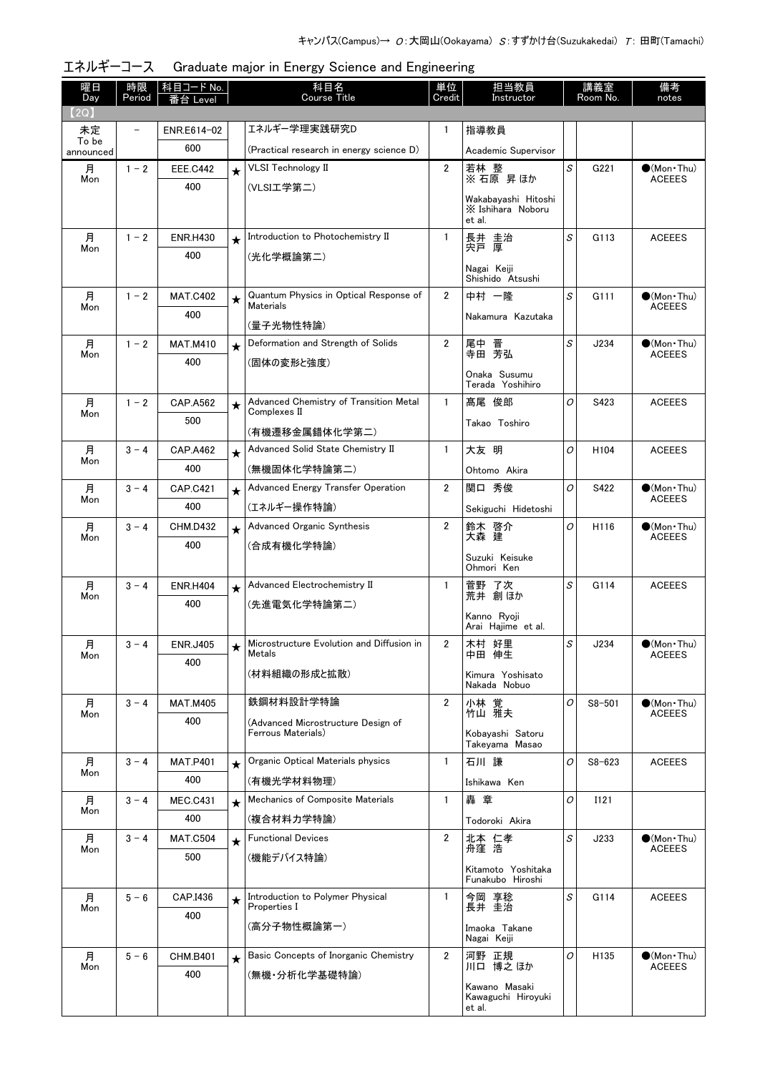| 曜日<br>Day          | 時限<br>Period             | 科目コード No.<br>番台 Level |          | 科目名<br><b>Course Title</b>                                 | 単位<br>Credit   | 担当教員<br>Instructor                                 |   | 講義室<br>Room No.  | 備考<br>notes                                  |
|--------------------|--------------------------|-----------------------|----------|------------------------------------------------------------|----------------|----------------------------------------------------|---|------------------|----------------------------------------------|
| (2Q)               |                          |                       |          |                                                            |                |                                                    |   |                  |                                              |
| 未定                 | $\overline{\phantom{a}}$ | ENR.E614-02           |          | エネルギー学理実践研究D                                               | $\mathbf{1}$   | 指導教員                                               |   |                  |                                              |
| To be<br>announced |                          | 600                   |          | (Practical research in energy science D)                   |                | Academic Supervisor                                |   |                  |                                              |
| 月                  | $1 - 2$                  | <b>EEE.C442</b>       | $\star$  | <b>VLSI Technology II</b>                                  | $\overline{2}$ | 若林 整<br>※石原 昇ほか                                    | S | G221             | $(Mon$ Thu)                                  |
| Mon                |                          | 400                   |          | (VLSI工学第二)                                                 |                |                                                    |   |                  | <b>ACEEES</b>                                |
|                    |                          |                       |          |                                                            |                | Wakabayashi Hitoshi<br>X Ishihara Noboru<br>et al. |   |                  |                                              |
| 月                  | $1 - 2$                  | <b>ENR.H430</b>       | $\star$  | Introduction to Photochemistry II                          | $\mathbf{1}$   | 長井 圭治<br>宍戸 厚                                      | S | G113             | <b>ACEEES</b>                                |
| Mon                |                          | 400                   |          | (光化学概論第二)                                                  |                |                                                    |   |                  |                                              |
|                    |                          |                       |          |                                                            |                | Nagai Keiji<br>Shishido Atsushi                    |   |                  |                                              |
| 月                  | $1 - 2$                  | <b>MAT.C402</b>       | ★        | Quantum Physics in Optical Response of<br><b>Materials</b> | $\overline{2}$ | 中村 一隆                                              | S | G111             | $\bullet$ (Mon•Thu)                          |
| Mon                |                          | 400                   |          |                                                            |                | Nakamura Kazutaka                                  |   |                  | <b>ACEEES</b>                                |
| 月                  | $1 - 2$                  | <b>MAT.M410</b>       |          | (量子光物性特論)<br>Deformation and Strength of Solids            | 2              | 尾中 晋                                               | S | J234             | (Mon Thu)                                    |
| Mon                |                          | 400                   | $\star$  | (固体の変形と強度)                                                 |                | 寺田 芳弘                                              |   |                  | <b>ACEEES</b>                                |
|                    |                          |                       |          |                                                            |                | Onaka Susumu<br>Terada Yoshihiro                   |   |                  |                                              |
| 月<br>Mon           | $1 - 2$                  | <b>CAP.A562</b>       | $\star$  | Advanced Chemistry of Transition Metal<br>Complexes II     | $\mathbf{1}$   | 髙尾 俊郎                                              | 0 | S423             | <b>ACEEES</b>                                |
|                    |                          | 500                   |          | (有機遷移金属錯体化学第二)                                             |                | Takao Toshiro                                      |   |                  |                                              |
| 月<br>Mon           | $3 - 4$                  | <b>CAP.A462</b>       | $\star$  | Advanced Solid State Chemistry II                          | $\mathbf{1}$   | 大友 明                                               | 0 | H <sub>104</sub> | <b>ACEEES</b>                                |
|                    |                          | 400                   |          | (無機固体化学特論第二)                                               |                | Ohtomo Akira                                       |   |                  |                                              |
| 月                  | $3 - 4$                  | CAP.C421              | $\star$  | <b>Advanced Energy Transfer Operation</b>                  | 2              | 関口 秀俊                                              | 0 | S422             | $\bullet$ (Mon Thu)<br><b>ACEEES</b>         |
| Mon                |                          | 400                   |          | (エネルギー操作特論)                                                |                | Sekiguchi Hidetoshi                                |   |                  |                                              |
| 月<br>Mon           | $3 - 4$                  | <b>CHM.D432</b>       | $\star$  | Advanced Organic Synthesis                                 | 2              | 鈴木 啓介<br>大森 建                                      | 0 | H116             | $\bullet$ (Mon Thu)<br><b>ACEEES</b>         |
|                    |                          | 400                   |          | (合成有機化学特論)                                                 |                |                                                    |   |                  |                                              |
|                    |                          |                       |          |                                                            |                | Suzuki Keisuke<br>Ohmori Ken                       |   |                  |                                              |
| 月                  | $3 - 4$                  | <b>ENR.H404</b>       | $\star$  | Advanced Electrochemistry II                               | $\mathbf{1}$   | 菅野 了次<br>荒井 創ほか                                    | S | G114             | <b>ACEEES</b>                                |
| Mon                |                          | 400                   |          | (先進電気化学特論第二)                                               |                |                                                    |   |                  |                                              |
|                    |                          |                       |          |                                                            |                | Kanno Ryoji<br>Arai Haiime et al.                  |   |                  |                                              |
| 月<br>Mon           | $3 - 4$                  | <b>ENR.J405</b>       | $\star$  | Microstructure Evolution and Diffusion in<br>Metals        | $\overline{2}$ | 木村 好里<br>中田 伸生                                     | S | J234             | $\bullet$ (Mon Thu)<br><b>ACEEES</b>         |
|                    |                          | 400                   |          | (材料組織の形成と拡散)                                               |                | Kimura Yoshisato                                   |   |                  |                                              |
|                    |                          |                       |          |                                                            |                | Nakada Nobuo                                       |   |                  |                                              |
| 月<br>Mon           | $3 - 4$                  | <b>MAT.M405</b>       |          | 鉄鋼材料設計学特論                                                  | 2              | 小林 覚<br>竹山 雅夫                                      | O | $S8 - 501$       | $(Mon$ Thu)<br><b>ACEEES</b>                 |
|                    |                          | 400                   |          | (Advanced Microstructure Design of<br>Ferrous Materials)   |                | Kobayashi Satoru                                   |   |                  |                                              |
|                    |                          |                       |          |                                                            |                | Takeyama Masao                                     |   |                  |                                              |
| 月<br>Mon           | $3 - 4$                  | <b>MAT.P401</b>       | $\star$  | Organic Optical Materials physics                          | $\mathbf{1}$   | 石川 謙                                               | 0 | $S8 - 623$       | <b>ACEEES</b>                                |
|                    |                          | 400                   |          | (有機光学材料物理)                                                 |                | Ishikawa Ken                                       |   |                  |                                              |
| 月<br>Mon           | $3 - 4$                  | <b>MEC.C431</b>       | $\star$  | Mechanics of Composite Materials                           | $\mathbf{1}$   | 轟 章                                                | O | I121             |                                              |
|                    |                          | 400                   |          | (複合材料力学特論)                                                 |                | Todoroki Akira                                     |   |                  |                                              |
| 月<br>Mon           | $3 - 4$                  | <b>MAT.C504</b>       | $\star$  | <b>Functional Devices</b>                                  | 2              | 北本 仁孝<br>舟窪 浩                                      | S | J233             | $\bullet$ (Mon $\cdot$ Thu)<br><b>ACEEES</b> |
|                    |                          | 500                   |          | (機能デバイス特論)                                                 |                | Kitamoto Yoshitaka                                 |   |                  |                                              |
|                    |                          |                       |          |                                                            |                | Funakubo Hiroshi                                   |   |                  |                                              |
| 月<br>Mon           | $5 - 6$                  | CAP.I436              | $\star$  | Introduction to Polymer Physical<br>Properties I           | $\mathbf{1}$   | 今岡 享稔<br>長井 圭治                                     | S | G114             | <b>ACEEES</b>                                |
|                    |                          | 400                   |          | (高分子物性概論第一)                                                |                | Imaoka Takane                                      |   |                  |                                              |
|                    |                          |                       |          |                                                            |                | Nagai Keiji                                        |   |                  |                                              |
| 月<br>Mon           | $5 - 6$                  | <b>CHM.B401</b>       | $^\star$ | Basic Concepts of Inorganic Chemistry                      | $\overline{2}$ | 河野 正規<br>川口 博之 ほか                                  | 0 | H135             | $\bullet$ (Mon•Thu)<br><b>ACEEES</b>         |
|                    |                          | 400                   |          | (無機・分析化学基礎特論)                                              |                | Kawano Masaki                                      |   |                  |                                              |
|                    |                          |                       |          |                                                            |                | Kawaguchi Hiroyuki<br>et al.                       |   |                  |                                              |

エネルギーコース Graduate major in Energy Science and Engineering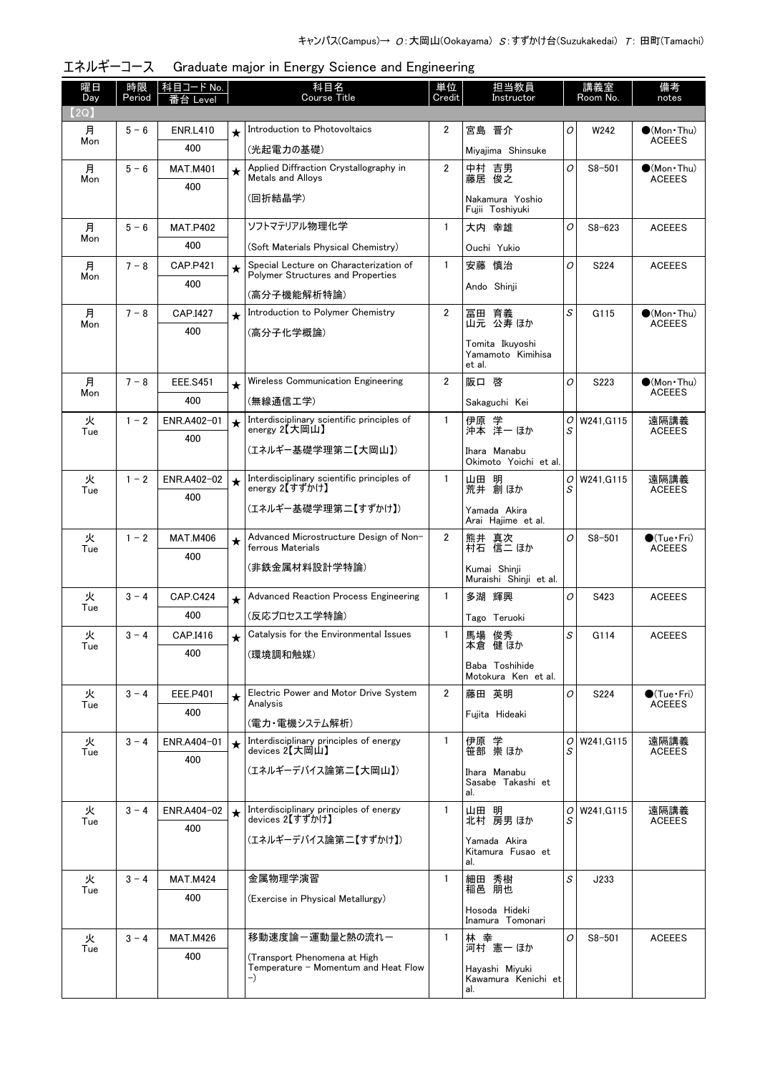| 曜日<br>Day | 時限<br>Period | 科目コード No.<br>番台 Level |         | 科目名<br>Course Title                                          | 単位<br>Credit   | 担当教員<br>Instructor                    |                | 講義室<br>Room No. | 備考<br>notes                             |
|-----------|--------------|-----------------------|---------|--------------------------------------------------------------|----------------|---------------------------------------|----------------|-----------------|-----------------------------------------|
| (2Q)      |              |                       |         |                                                              |                |                                       |                |                 |                                         |
| 月         | $5 - 6$      | <b>ENR.L410</b>       | $\star$ | Introduction to Photovoltaics                                | 2              | 宮島 晋介                                 | O              | W242            | $\bullet$ (Mon Thu)                     |
| Mon       |              | 400                   |         | (光起電力の基礎)                                                    |                | Miyajima Shinsuke                     |                |                 | <b>ACEEES</b>                           |
| 月         | $5 - 6$      | <b>MAT.M401</b>       | $\star$ | Applied Diffraction Crystallography in                       | $\overline{2}$ | 中村 吉男<br>藤居 俊之                        | 0              | $S8 - 501$      | $\bullet$ (Mon•Thu)                     |
| Mon       |              | 400                   |         | Metals and Alloys                                            |                |                                       |                |                 | <b>ACEEES</b>                           |
|           |              |                       |         | (回折結晶学)                                                      |                | Nakamura Yoshio<br>Fujii Toshiyuki    |                |                 |                                         |
| 月         | $5 - 6$      | <b>MAT.P402</b>       |         | ソフトマテリアル物理化学                                                 | $\mathbf{1}$   | 大内 幸雄                                 | O              | $S8 - 623$      | <b>ACEEES</b>                           |
| Mon       |              | 400                   |         | (Soft Materials Physical Chemistry)                          |                | Ouchi Yukio                           |                |                 |                                         |
| 月         | $7 - 8$      | <b>CAP.P421</b>       | $\star$ | Special Lecture on Characterization of                       | $\mathbf{1}$   | 安藤 慎治                                 | O              | S224            | <b>ACEEES</b>                           |
| Mon       |              | 400                   |         | Polymer Structures and Properties                            |                | Ando Shinji                           |                |                 |                                         |
|           | $7 - 8$      |                       |         | (高分子機能解析特論)<br>Introduction to Polymer Chemistry             | $\overline{2}$ |                                       | S              | G115            |                                         |
| 月<br>Mon  |              | CAP.I427              | $\star$ |                                                              |                | 冨田 育義<br>山元 公寿 ほか                     |                |                 | $\bullet$ (Mon Thu)<br><b>ACEEES</b>    |
|           |              | 400                   |         | (高分子化学概論)                                                    |                | Tomita Ikuyoshi                       |                |                 |                                         |
|           |              |                       |         |                                                              |                | Yamamoto Kimihisa<br>et al.           |                |                 |                                         |
| 月         | $7 - 8$      | <b>EEE.S451</b>       | $\star$ | Wireless Communication Engineering                           | $\overline{2}$ | 阪口 啓                                  | O              | S223            | $\bullet$ (Mon $\cdot$ Thu)             |
| Mon       |              | 400                   |         | (無線通信工学)                                                     |                | Sakaguchi Kei                         |                |                 | <b>ACEEES</b>                           |
| 火         | $1 - 2$      | ENR.A402-01           | $\star$ | Interdisciplinary scientific principles of                   | $\mathbf{1}$   | 伊原 学<br>沖本 洋一 ほか                      | ΟI             | W241, G115      | 遠隔講義                                    |
| Tue       |              | 400                   |         | energy 2【大岡山】                                                |                |                                       | S              |                 | <b>ACEEES</b>                           |
|           |              |                       |         | (エネルギー基礎学理第二【大岡山】)                                           |                | Ihara Manabu<br>Okimoto Yoichi et al. |                |                 |                                         |
| 火<br>Tue  | $1 - 2$      | ENR.A402-02           | $\star$ | Interdisciplinary scientific principles of<br>energy 2【すずかけ】 | $\mathbf{1}$   | 山田 明<br>荒井 創ほか                        | 0<br>S         | W241, G115      | 遠隔講義<br><b>ACEEES</b>                   |
|           |              | 400                   |         | (エネルギー基礎学理第二【すずかけ】)                                          |                | Yamada Akira                          |                |                 |                                         |
|           |              |                       |         |                                                              |                | Arai Hajime et al.                    |                |                 |                                         |
| 火<br>Tue  | $1 - 2$      | <b>MAT.M406</b>       | $\star$ | Advanced Microstructure Design of Non-<br>ferrous Materials  | $\overline{2}$ | 熊井 真次<br>村石 信二 ほか                     | O              | $S8 - 501$      | $\bigcirc$ (Tue · Fri)<br><b>ACEEES</b> |
|           |              | 400                   |         | (非鉄金属材料設計学特論)                                                |                | Kumai Shinji                          |                |                 |                                         |
|           |              |                       |         |                                                              |                | Muraishi Shinii et al.                |                |                 |                                         |
| 火<br>Tue  | $3 - 4$      | <b>CAP.C424</b>       | $\star$ | <b>Advanced Reaction Process Engineering</b>                 | $\mathbf{1}$   | 多湖 輝興                                 | O              | S423            | <b>ACEEES</b>                           |
|           |              | 400                   |         | (反応プロセス工学特論)                                                 |                | Tago Teruoki                          |                |                 |                                         |
| 火<br>Tue  | $3 - 4$      | CAP.I416              | $\star$ | Catalysis for the Environmental Issues                       | 1              | 馬場 俊秀<br>本倉 健 ほか                      | S              | G114            | <b>ACEEES</b>                           |
|           |              | 400                   |         | (環境調和触媒)                                                     |                | Baba Toshihide                        |                |                 |                                         |
|           |              |                       |         |                                                              |                | Motokura Ken et al.                   |                |                 |                                         |
| 火<br>Tue  | $3 - 4$      | EEE.P401              | $\star$ | Electric Power and Motor Drive System<br>Analysis            | $\overline{2}$ | 藤田 英明                                 | $\overline{O}$ | S224            | $\bullet$ (Tue · Fri)<br><b>ACEEES</b>  |
|           |              | 400                   |         | (電力・電機システム解析)                                                |                | Fujita Hideaki                        |                |                 |                                         |
| 火         | $3 - 4$      | ENR.A404-01           |         | Interdisciplinary principles of energy                       | $\mathbf{1}$   | 伊原 学<br>笹部 崇ほか                        | 01             | W241, G115      | 遠隔講義                                    |
| Tue       |              | 400                   |         | devices 2【大岡山】                                               |                |                                       | S              |                 | <b>ACEEES</b>                           |
|           |              |                       |         | (エネルギーデバイス論第二【大岡山】)                                          |                | Ihara Manabu<br>Sasabe Takashi et     |                |                 |                                         |
|           |              |                       |         |                                                              |                | al.                                   |                |                 |                                         |
| 火<br>Tue  | $3 - 4$      | ENR.A404-02           |         | Interdisciplinary principles of energy<br>devices 2【すずかけ】    | $\mathbf{1}$   | 山田 明<br>北村 房男 ほか                      | 01<br>S        | W241, G115      | 遠隔講義<br><b>ACEEES</b>                   |
|           |              | 400                   |         | (エネルギーデバイス論第二【すずかけ】)                                         |                | Yamada Akira                          |                |                 |                                         |
|           |              |                       |         |                                                              |                | Kitamura Fusao et<br>al.              |                |                 |                                         |
| 火         | $3 - 4$      | <b>MAT.M424</b>       |         | 金属物理学演習                                                      | 1              | 細田 秀樹                                 | S              | J233            |                                         |
| Tue       |              | 400                   |         | (Exercise in Physical Metallurgy)                            |                | 稲邑 朋也                                 |                |                 |                                         |
|           |              |                       |         |                                                              |                | Hosoda Hideki<br>Inamura Tomonari     |                |                 |                                         |
| 火         | $3 - 4$      | <b>MAT.M426</b>       |         | 移動速度論ー運動量と熱の流れー                                              | $\mathbf{1}$   | 林 幸                                   | Ο              | $S8 - 501$      | <b>ACEEES</b>                           |
| Tue       |              | 400                   |         | (Transport Phenomena at High                                 |                | 河村 憲一 ほか                              |                |                 |                                         |
|           |              |                       |         | Temperature - Momentum and Heat Flow<br>$-$                  |                | Hayashi Miyuki<br>Kawamura Kenichi et |                |                 |                                         |
|           |              |                       |         |                                                              |                | al.                                   |                |                 |                                         |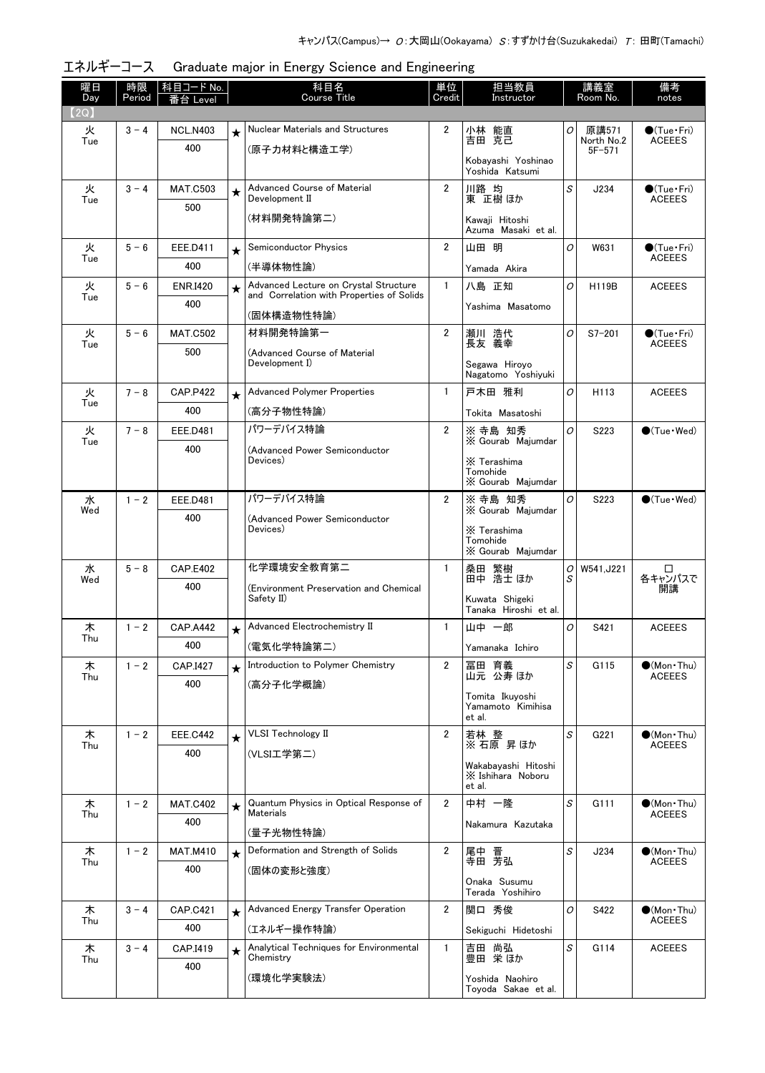| 曜日<br>Day | 時限<br>Period | │科目コード No.<br>≸台 Level |         | 科目名<br>Course Title                                                                | 単位<br>Credit   | 担当教員<br>Instructor                                 |              | 講義室<br>Room No.     | 備考<br>notes                             |
|-----------|--------------|------------------------|---------|------------------------------------------------------------------------------------|----------------|----------------------------------------------------|--------------|---------------------|-----------------------------------------|
| (2Q)      |              |                        |         |                                                                                    |                |                                                    |              |                     |                                         |
| 火<br>Tue  | $3 - 4$      | <b>NCL.N403</b>        | $\star$ | Nuclear Materials and Structures                                                   | 2              | 小林 能直<br>吉田 克己                                     | 0            | 原講571<br>North No.2 | $\bigcirc$ (Tue · Fri)<br><b>ACEEES</b> |
|           |              | 400                    |         | (原子力材料と構造工学)                                                                       |                | Kobayashi Yoshinao<br>Yoshida Katsumi              |              | $5F - 571$          |                                         |
| 火         | $3 - 4$      | <b>MAT.C503</b>        | $\star$ | <b>Advanced Course of Material</b><br>Development II                               | $\overline{2}$ | 川路 均<br>東 正樹 ほか                                    | $\mathcal S$ | J234                | $\bigcirc$ (Tue·Fri)<br><b>ACEEES</b>   |
| Tue       |              | 500                    |         | (材料開発特論第二)                                                                         |                | Kawaji Hitoshi<br>Azuma Masaki et al.              |              |                     |                                         |
| 火         | $5 - 6$      | EEE.D411               | $\star$ | Semiconductor Physics                                                              | $\overline{2}$ | 山田 明                                               | O            | W631                | $\bigcirc$ (Tue·Fri)                    |
| Tue       |              | 400                    |         | (半導体物性論)                                                                           |                | Yamada Akira                                       |              |                     | <b>ACEEES</b>                           |
| 火         | $5 - 6$      | <b>ENR.I420</b>        | $\star$ | Advanced Lecture on Crystal Structure<br>and Correlation with Properties of Solids | $\mathbf{1}$   | 八島 正知                                              | O            | H119B               | <b>ACEEES</b>                           |
| Tue       |              | 400                    |         | (固体構造物性特論)                                                                         |                | Yashima Masatomo                                   |              |                     |                                         |
| 火         | $5 - 6$      | <b>MAT.C502</b>        |         | 材料開発特論第一                                                                           | $\overline{2}$ | 瀬川 造代                                              | O            | $S7 - 201$          | $\bigcirc$ (Tue · Fri)                  |
| Tue       |              | 500                    |         | (Advanced Course of Material                                                       |                | 長友 義幸                                              |              |                     | <b>ACEEES</b>                           |
|           |              |                        |         | Development I)                                                                     |                | Segawa Hiroyo<br>Nagatomo Yoshiyuki                |              |                     |                                         |
| 火<br>Tue  | $7 - 8$      | <b>CAP.P422</b>        | $\star$ | <b>Advanced Polymer Properties</b>                                                 | $\mathbf{1}$   | 戸木田 雅利                                             | 0            | H113                | <b>ACEEES</b>                           |
|           |              | 400                    |         | (高分子物性特論)                                                                          |                | Tokita Masatoshi                                   |              |                     |                                         |
| 火<br>Tue  | $7 - 8$      | <b>EEE.D481</b>        |         | パワーデバイス特論                                                                          | $\overline{2}$ | ※ 寺島 知秀<br>X Gourab Majumdar                       | O            | S223                | $\bullet$ (Tue $\cdot$ Wed)             |
|           |              | 400                    |         | (Advanced Power Semiconductor<br>Devices)                                          |                | X Terashima                                        |              |                     |                                         |
|           |              |                        |         |                                                                                    |                | Tomohide<br>X Gourab Majumdar                      |              |                     |                                         |
| 水         | $1 - 2$      | <b>EEE.D481</b>        |         | パワーデバイス特論                                                                          | $\overline{2}$ | ※ 寺島 知秀                                            | O            | S223                | $\bullet$ (Tue · Wed)                   |
| Wed       |              | 400                    |         | (Advanced Power Semiconductor                                                      |                | X Gourab Majumdar                                  |              |                     |                                         |
|           |              |                        |         | Devices)                                                                           |                | X Terashima<br>Tomohide<br>X Gourab Majumdar       |              |                     |                                         |
| 水         | $5 - 8$      | <b>CAP.E402</b>        |         | 化学環境安全教育第二                                                                         | $\mathbf{1}$   | 桑田 繁樹<br>田中 浩士 ほか                                  | 0<br>S       | W541, J221          | □<br>各キャンパスで                            |
| Wed       |              | 400                    |         | (Environment Preservation and Chemical<br>Safety II)                               |                | Kuwata Shigeki                                     |              |                     | 開講                                      |
|           |              |                        |         |                                                                                    |                | Tanaka Hiroshi et al.                              |              |                     |                                         |
| 木<br>Thu  | $1 - 2$      | <b>CAP.A442</b>        | $\star$ | Advanced Electrochemistry II                                                       | $\mathbf{1}$   | 山中 一郎                                              | 0            | S421                | <b>ACEEES</b>                           |
|           |              | 400                    |         | (電気化学特論第二)                                                                         |                | Yamanaka Ichiro                                    |              |                     |                                         |
| 木<br>Thu  | $1 - 2$      | CAP.I427               | $\star$ | Introduction to Polymer Chemistry                                                  | 2              | 冨田 育義<br>山元 公寿 ほか                                  | S            | G115                | $\bullet$ (Mon · Thu)<br><b>ACEEES</b>  |
|           |              | 400                    |         | (高分子化学概論)                                                                          |                | Tomita Ikuyoshi                                    |              |                     |                                         |
|           |              |                        |         |                                                                                    |                | Yamamoto Kimihisa<br>et al.                        |              |                     |                                         |
| 木         | $1 - 2$      | <b>EEE.C442</b>        | $\star$ | <b>VLSI Technology II</b>                                                          | $\overline{2}$ | 若林 整<br>※ 石原 昇ほか                                   | S            | G221                | $\bullet$ (Mon · Thu)                   |
| Thu       |              | 400                    |         | (VLSI工学第二)                                                                         |                |                                                    |              |                     | <b>ACEEES</b>                           |
|           |              |                        |         |                                                                                    |                | Wakabayashi Hitoshi<br>X Ishihara Noboru<br>et al. |              |                     |                                         |
| 木         | $1 - 2$      | <b>MAT.C402</b>        | $\star$ | Quantum Physics in Optical Response of                                             | $\overline{2}$ | 中村 一隆                                              | S            | G111                | $\bullet$ (Mon Thu)                     |
| Thu       |              | 400                    |         | Materials<br>(量子光物性特論)                                                             |                | Nakamura Kazutaka                                  |              |                     | <b>ACEEES</b>                           |
| 木         | $1 - 2$      | <b>MAT.M410</b>        | $\star$ | Deformation and Strength of Solids                                                 | $\overline{2}$ | 尾中 晋<br>寺田 芳弘                                      | S            | J234                | $\bullet$ (Mon•Thu)                     |
| Thu       |              | 400                    |         | (固体の変形と強度)                                                                         |                |                                                    |              |                     | <b>ACEEES</b>                           |
|           |              |                        |         |                                                                                    |                | Onaka Susumu<br>Terada Yoshihiro                   |              |                     |                                         |
| 木         | $3 - 4$      | <b>CAP.C421</b>        | $\star$ | Advanced Energy Transfer Operation                                                 | 2              | 関口 秀俊                                              | 0            | S422                | $\bullet$ (Mon•Thu)                     |
| Thu       |              | 400                    |         | (エネルギー操作特論)                                                                        |                | Sekiguchi Hidetoshi                                |              |                     | <b>ACEEES</b>                           |
| 木<br>Thu  | $3 - 4$      | CAP.I419               | $\star$ | Analytical Techniques for Environmental<br>Chemistry                               | 1              | 吉田 尚弘<br>豊田 栄ほか                                    | S            | G114                | <b>ACEEES</b>                           |
|           |              | 400                    |         | (環境化学実験法)                                                                          |                | Yoshida Naohiro<br>Toyoda Sakae et al.             |              |                     |                                         |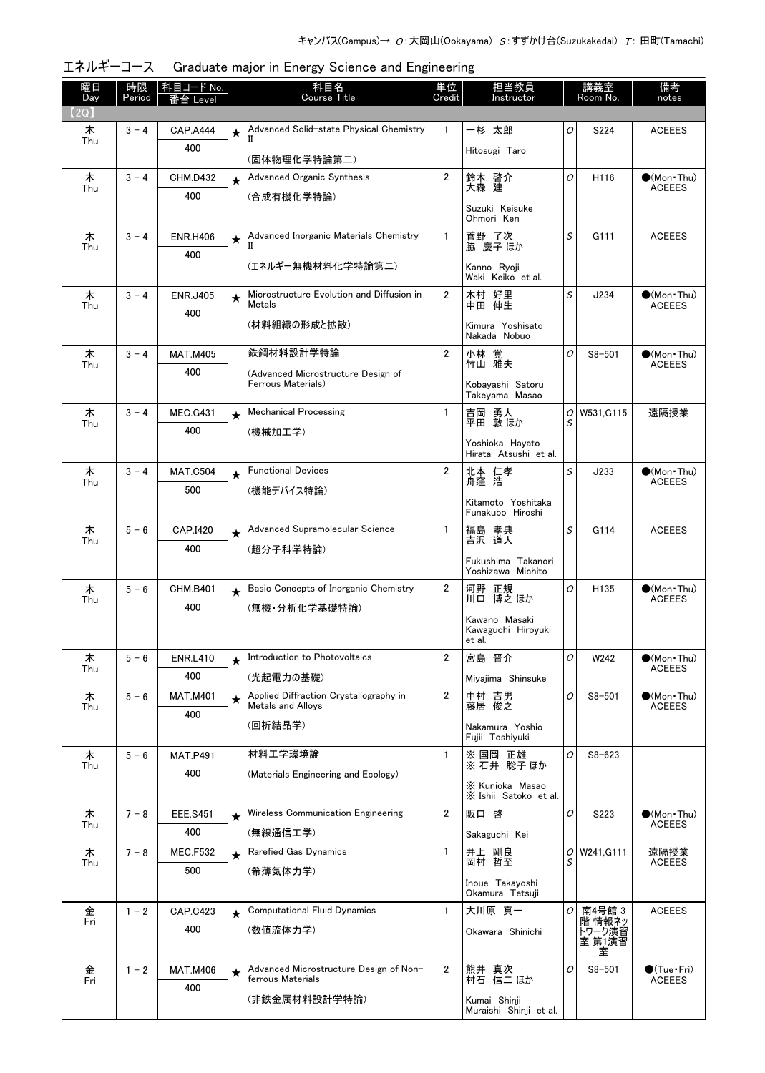| 曜日<br>Day | 時限<br>Period | │科目コード No.<br>番台 Level |         | 科目名<br><b>Course Title</b>                                  | 単位<br>Credit   | 担当教員<br>Instructor                            |          | 講義室<br>Room No.  | 備考<br>notes                                  |
|-----------|--------------|------------------------|---------|-------------------------------------------------------------|----------------|-----------------------------------------------|----------|------------------|----------------------------------------------|
| (2Q)      |              |                        |         |                                                             |                |                                               |          |                  |                                              |
| 木         | $3 - 4$      | <b>CAP.A444</b>        | $\star$ | Advanced Solid-state Physical Chemistry<br>Н                | 1              | 一杉 太郎                                         | 0        | S224             | <b>ACEEES</b>                                |
| Thu       |              | 400                    |         | (固体物理化学特論第二)                                                |                | Hitosugi Taro                                 |          |                  |                                              |
| 木<br>Thu  | $3 - 4$      | <b>CHM.D432</b>        | $\star$ | Advanced Organic Synthesis                                  | $\overline{2}$ | 鈴木 啓介<br>大森 建                                 | O        | H116             | $\bullet$ (Mon Thu)<br><b>ACEEES</b>         |
|           |              | 400                    |         | (合成有機化学特論)                                                  |                | Suzuki Keisuke<br>Ohmori Ken                  |          |                  |                                              |
| 木         | $3 - 4$      | <b>ENR.H406</b>        | $\star$ | Advanced Inorganic Materials Chemistry                      | $\mathbf{1}$   | 萱野 了次                                         | S        | G111             | <b>ACEEES</b>                                |
| Thu       |              | 400                    |         | П                                                           |                | 脇 慶子 ほか                                       |          |                  |                                              |
|           |              |                        |         | (エネルギー無機材料化学特論第二)                                           |                | Kanno Ryoji<br>Waki Keiko et al.              |          |                  |                                              |
| 木<br>Thu  | $3 - 4$      | <b>ENR.J405</b>        | $\star$ | Microstructure Evolution and Diffusion in<br>Metals         | $\overline{2}$ | 木村 好里<br>中田 伸生                                | S        | J234             | $\bullet$ (Mon Thu)<br><b>ACEEES</b>         |
|           |              | 400                    |         | (材料組織の形成と拡散)                                                |                | Kimura Yoshisato<br>Nakada Nobuo              |          |                  |                                              |
| 木         | $3 - 4$      | <b>MAT.M405</b>        |         | 鉄鋼材料設計学特論                                                   | $\overline{2}$ | 小林 覚<br>竹山 雅夫                                 | 0        | $S8 - 501$       | $\bigcirc$ (Mon Thu)                         |
| Thu       |              | 400                    |         | (Advanced Microstructure Design of                          |                |                                               |          |                  | <b>ACEEES</b>                                |
|           |              |                        |         | Ferrous Materials)                                          |                | Kobavashi Satoru<br>Takeyama Masao            |          |                  |                                              |
| 木<br>Thu  | $3 - 4$      | <b>MEC.G431</b>        | $\star$ | <b>Mechanical Processing</b>                                | $\mathbf{1}$   | 吉岡 勇人<br>平田 敦ほか                               | 0<br>S   | W531.G115        | 遠隔授業                                         |
|           |              | 400                    |         | (機械加工学)                                                     |                | Yoshioka Havato<br>Hirata Atsushi et al.      |          |                  |                                              |
| 木         | $3 - 4$      | <b>MAT.C504</b>        | $\star$ | <b>Functional Devices</b>                                   | $\overline{2}$ | 北本 仁孝<br>舟窪 浩                                 | S        | J233             | $\bullet$ (Mon Thu)                          |
| Thu       |              | 500                    |         | (機能デバイス特論)                                                  |                |                                               |          |                  | <b>ACEEES</b>                                |
|           |              |                        |         |                                                             |                | Kitamoto Yoshitaka<br>Funakubo Hiroshi        |          |                  |                                              |
| 木         | $5 - 6$      | CAP.I420               | $\star$ | Advanced Supramolecular Science                             | $\mathbf{1}$   | 福島 孝典<br>吉沢 道人                                | S        | G114             | <b>ACEEES</b>                                |
| Thu       |              | 400                    |         | (超分子科学特論)                                                   |                |                                               |          |                  |                                              |
|           |              |                        |         |                                                             |                | Fukushima Takanori<br>Yoshizawa Michito       |          |                  |                                              |
| 木         | $5 - 6$      | <b>CHM.B401</b>        | $\star$ | Basic Concepts of Inorganic Chemistry                       | $\overline{2}$ | 河野 正規<br>川口 博之ほか                              | 0        | H135             | $(Mon$ Thu)                                  |
| Thu       |              | 400                    |         | (無機・分析化学基礎特論)                                               |                |                                               |          |                  | <b>ACEEES</b>                                |
|           |              |                        |         |                                                             |                | Kawano Masaki<br>Kawaguchi Hiroyuki<br>et al. |          |                  |                                              |
| 木<br>Thu  | $5 - 6$      | <b>ENR.L410</b>        |         | Introduction to Photovoltaics                               | 2              | 宮島 晋介                                         | 0        | W242             | $\bullet$ (Mon Thu)<br><b>ACEEES</b>         |
|           |              | 400                    |         | (光起電力の基礎)                                                   |                | Miyajima Shinsuke                             |          |                  |                                              |
| 木<br>Thu  | $5 - 6$      | <b>MAT.M401</b>        | $\star$ | Applied Diffraction Crystallography in<br>Metals and Alloys | 2              | 中村 吉男<br>藤居 俊之                                | O        | $S8 - 501$       | $\bullet$ (Mon $\cdot$ Thu)<br><b>ACEEES</b> |
|           |              | 400                    |         | (回折結晶学)                                                     |                | Nakamura Yoshio<br>Fuiii Toshivuki            |          |                  |                                              |
| 木         | $5 - 6$      | <b>MAT.P491</b>        |         | 材料工学環境論                                                     | 1              | ※ 国岡<br>正雄                                    | 0        | $S8 - 623$       |                                              |
| Thu       |              | 400                    |         | (Materials Engineering and Ecology)                         |                | ※ 石井 聡子 ほか                                    |          |                  |                                              |
|           |              |                        |         |                                                             |                | X Kunioka Masao<br>X Ishii Satoko et al.      |          |                  |                                              |
| 木         | $7 - 8$      | <b>EEE.S451</b>        | $\star$ | Wireless Communication Engineering                          | $\overline{2}$ | 阪口 啓                                          | 0        | S223             | $\bullet$ (Mon•Thu)                          |
| Thu       |              | 400                    |         | (無線通信工学)                                                    |                | Sakaguchi Kei                                 |          |                  | <b>ACEEES</b>                                |
| 木         | $7 - 8$      | <b>MEC.F532</b>        | $\star$ | Rarefied Gas Dynamics                                       | 1              | 井上 剛良<br>岡村 哲至                                | 0        | W241, G111       | 遠隔授業                                         |
| Thu       |              | 500                    |         | (希薄気体力学)                                                    |                |                                               | S        |                  | <b>ACEEES</b>                                |
|           |              |                        |         |                                                             |                | Inoue Takayoshi<br>Okamura Tetsuji            |          |                  |                                              |
| 金         | $1 - 2$      | <b>CAP.C423</b>        | $\star$ | <b>Computational Fluid Dynamics</b>                         | $\mathbf{1}$   | 大川原 真一                                        | $\cal O$ | 南4号館 3           | <b>ACEEES</b>                                |
| Fri       |              | 400                    |         | (数値流体力学)                                                    |                | Okawara Shinichi                              |          | 階 情報ネッ<br>トワーク演習 |                                              |
|           |              |                        |         |                                                             |                |                                               |          | 室 第1演習<br>室      |                                              |
| 金<br>Fri  | $1 - 2$      | <b>MAT.M406</b>        | $\star$ | Advanced Microstructure Design of Non-<br>ferrous Materials | $\overline{2}$ | 熊井 真次<br>村石 信二 ほか                             | O        | $S8 - 501$       | $\bigcirc$ (Tue · Fri)<br><b>ACEEES</b>      |
|           |              | 400                    |         | (非鉄金属材料設計学特論)                                               |                |                                               |          |                  |                                              |
|           |              |                        |         |                                                             |                | Kumai Shinji<br>Muraishi Shinji et al.        |          |                  |                                              |

エネルギーコース Graduate major in Energy Science and Engineering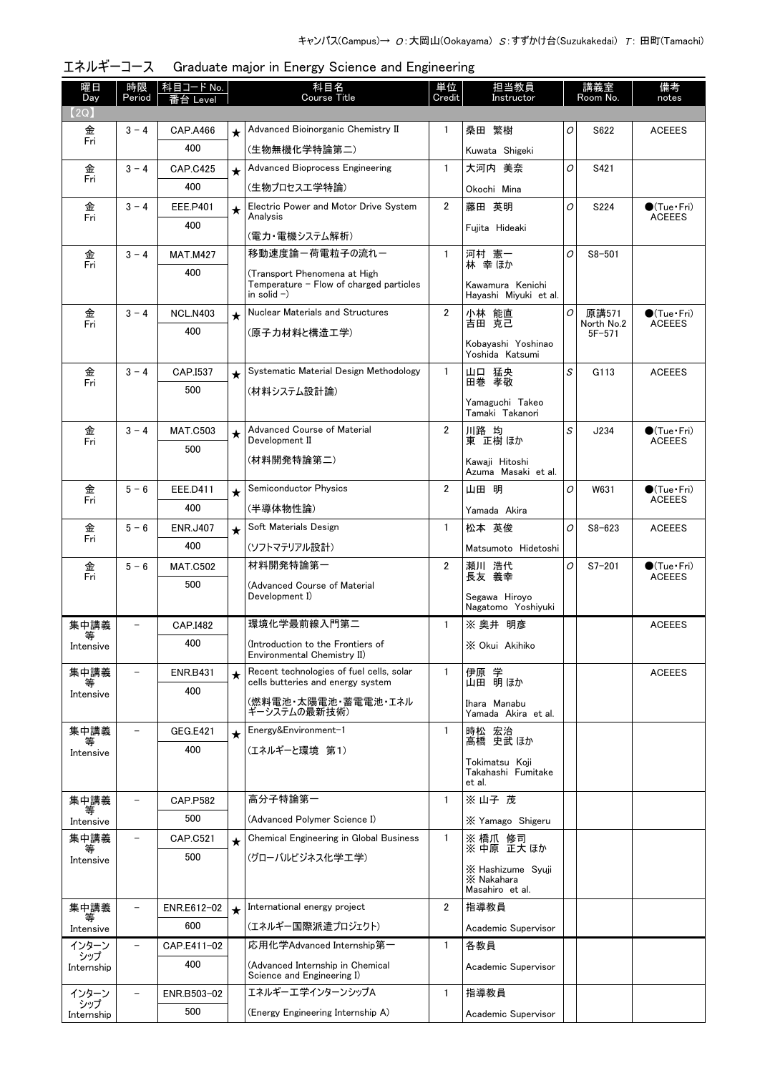| 曜日<br>Day         | 時限<br>Period             | │ 科目コード No.<br>台 Level |         | 科目名<br>Course Title                                              | 単位<br>Credit   | 担当教員<br>Instructor                   |   | 講義室<br>Room No.          | 備考<br>notes                                   |
|-------------------|--------------------------|------------------------|---------|------------------------------------------------------------------|----------------|--------------------------------------|---|--------------------------|-----------------------------------------------|
| (2Q)              |                          |                        |         |                                                                  |                |                                      |   |                          |                                               |
| 金<br>Fri          | $3 - 4$                  | CAP.A466               |         | Advanced Bioinorganic Chemistry II                               | 1              | 桑田 繁樹                                | O | S622                     | <b>ACEEES</b>                                 |
|                   |                          | 400                    |         | (生物無機化学特論第二)                                                     |                | Kuwata Shigeki                       |   |                          |                                               |
| 金                 | $3 - 4$                  | <b>CAP.C425</b>        | $\star$ | <b>Advanced Bioprocess Engineering</b>                           | $\mathbf{1}$   | 大河内 美奈                               | O | S421                     |                                               |
| Fri               |                          | 400                    |         | (生物プロセス工学特論)                                                     |                | Okochi Mina                          |   |                          |                                               |
| 金                 | $3 - 4$                  | EEE.P401               | $\star$ | Electric Power and Motor Drive System<br>Analysis                | $\overline{2}$ | 藤田 英明                                | O | S224                     | $\bigcirc$ (Tue $\cdot$ Fri)<br><b>ACEEES</b> |
| Fri               |                          | 400                    |         |                                                                  |                | Fujita Hideaki                       |   |                          |                                               |
| 金                 | $3 - 4$                  | <b>MAT.M427</b>        |         | (電力・電機システム解析)<br>移動速度論ー荷電粒子の流れー                                  | 1              | 河村 憲一                                | O | $S8 - 501$               |                                               |
| Fri               |                          | 400                    |         | (Transport Phenomena at High                                     |                | 林 幸 ほか                               |   |                          |                                               |
|                   |                          |                        |         | Temperature - Flow of charged particles<br>in solid $-$ )        |                | Kawamura Kenichi                     |   |                          |                                               |
| 金                 | $3 - 4$                  | <b>NCL.N403</b>        |         | <b>Nuclear Materials and Structures</b>                          | $\overline{2}$ | Hayashi Miyuki et al.<br>小林 能直       | 0 | 原講571                    | $\bigcirc$ (Tue · Fri)                        |
| Fri               |                          | 400                    | $\star$ | (原子力材料と構造工学)                                                     |                | 吉田 克己                                |   | North No.2<br>$5F - 571$ | <b>ACEEES</b>                                 |
|                   |                          |                        |         |                                                                  |                | Kobavashi Yoshinao                   |   |                          |                                               |
|                   | $3 - 4$                  |                        |         | Systematic Material Design Methodology                           | $\mathbf{1}$   | Yoshida Katsumi                      | S | G113                     |                                               |
| 金<br>Fri          |                          | CAP.I537<br>500        | $\star$ |                                                                  |                | 山口 猛央<br>田巻 孝敬                       |   |                          | <b>ACEEES</b>                                 |
|                   |                          |                        |         | (材料システム設計論)                                                      |                | Yamaguchi Takeo                      |   |                          |                                               |
|                   |                          |                        |         | Advanced Course of Material                                      |                | Tamaki Takanori                      |   |                          |                                               |
| 金<br>Fri          | $3 - 4$                  | <b>MAT.C503</b>        | $\star$ | Development II                                                   | $\overline{2}$ | 川路 均<br>東 正樹 ほか                      | S | J234                     | $\bullet$ (Tue · Fri)<br><b>ACEEES</b>        |
|                   |                          | 500                    |         | (材料開発特論第二)                                                       |                | Kawaji Hitoshi                       |   |                          |                                               |
|                   |                          |                        |         |                                                                  |                | Azuma Masaki et al.                  |   |                          |                                               |
| 金<br>Fri          | $5 - 6$                  | EEE.D411               | $\star$ | Semiconductor Physics                                            | $\overline{2}$ | 山田 明                                 | 0 | W631                     | $\bigcirc$ (Tue•Fri)<br><b>ACEEES</b>         |
|                   |                          | 400                    |         | (半導体物性論)                                                         |                | Yamada Akira                         |   |                          |                                               |
| 金<br>Fri          | $5 - 6$                  | <b>ENR.J407</b>        | $\star$ | Soft Materials Design                                            | $\mathbf{1}$   | 松本 英俊                                | O | $S8 - 623$               | <b>ACEEES</b>                                 |
|                   |                          | 400                    |         | (ソフトマテリアル設計)                                                     |                | Matsumoto Hidetoshi                  |   |                          |                                               |
| 金<br>Fri          | $5 - 6$                  | <b>MAT.C502</b>        |         | 材料開発特論第一                                                         | $\overline{2}$ | 瀬川 浩代<br>長友 義幸                       | 0 | $S7 - 201$               | $\bullet$ (Tue · Fri)<br><b>ACEEES</b>        |
|                   |                          | 500                    |         | (Advanced Course of Material<br>Development I)                   |                | Segawa Hiroyo                        |   |                          |                                               |
|                   |                          |                        |         |                                                                  |                | Nagatomo Yoshiyuki                   |   |                          |                                               |
| 集中講義<br>等         | $\overline{\phantom{0}}$ | CAP.I482               |         | 環境化学最前線入門第二                                                      | $\mathbf{1}$   | ※ 奥井 明彦                              |   |                          | <b>ACEEES</b>                                 |
| Intensive         |                          | 400                    |         | (Introduction to the Frontiers of<br>Environmental Chemistry II) |                | X Okui Akihiko                       |   |                          |                                               |
| 集中講義              |                          | <b>ENR.B431</b>        | $\star$ | Recent technologies of fuel cells, solar                         | 1              | 伊原 学                                 |   |                          | <b>ACEEES</b>                                 |
| Intensive         |                          | 400                    |         | cells butteries and energy system                                |                | 山田 明ほか                               |   |                          |                                               |
|                   |                          |                        |         | (燃料電池・太陽電池・蓄電電池・エネル<br>ギーシステムの最新技術)                              |                | Ihara Manabu<br>Yamada Akira et al.  |   |                          |                                               |
| 集中講義              |                          | <b>GEG.E421</b>        | $\star$ | Energy&Environment-1                                             | $\mathbf{1}$   | 時松 宏治                                |   |                          |                                               |
| 等<br>Intensive    |                          | 400                    |         | (エネルギーと環境 第1)                                                    |                | 高橋 史武 ほか                             |   |                          |                                               |
|                   |                          |                        |         |                                                                  |                | Tokimatsu Koii<br>Takahashi Fumitake |   |                          |                                               |
|                   |                          |                        |         |                                                                  |                | et al.                               |   |                          |                                               |
| 集中講義              | $\qquad \qquad -$        | <b>CAP.P582</b>        |         | 高分子特論第一                                                          | $\mathbf{1}$   | ※山子茂                                 |   |                          |                                               |
| Intensive         |                          | 500                    |         | (Advanced Polymer Science I)                                     |                | X Yamago Shigeru                     |   |                          |                                               |
| 集中講義<br>等         | $\qquad \qquad -$        | <b>CAP.C521</b>        | $\star$ | Chemical Engineering in Global Business                          | $\mathbf{1}$   | ※ 橋爪 修司<br>※ 中原 正大 ほか                |   |                          |                                               |
| Intensive         |                          | 500                    |         | (グローバルビジネス化学工学)                                                  |                | X Hashizume Syuji                    |   |                          |                                               |
|                   |                          |                        |         |                                                                  |                | X Nakahara<br>Masahiro et al.        |   |                          |                                               |
| 集中講義              | $\qquad \qquad -$        | ENR.E612-02            | $\star$ | International energy project                                     | $\mathbf{2}$   | 指導教員                                 |   |                          |                                               |
| 等<br>Intensive    |                          | 600                    |         | (エネルギー国際派遣プロジェクト)                                                |                | Academic Supervisor                  |   |                          |                                               |
| インターン             | $\overline{\phantom{a}}$ | CAP.E411-02            |         | 応用化学Advanced Internship第一                                        | 1              | 各教員                                  |   |                          |                                               |
| シップ<br>Internship |                          | 400                    |         | (Advanced Internship in Chemical                                 |                | Academic Supervisor                  |   |                          |                                               |
|                   |                          |                        |         | Science and Engineering I)                                       |                |                                      |   |                          |                                               |
| インターン<br>シップ      |                          | ENR.B503-02            |         | エネルギーエ学インターンシップA                                                 | $\mathbf{1}$   | 指導教員                                 |   |                          |                                               |
| Internship        |                          | 500                    |         | (Energy Engineering Internship A)                                |                | Academic Supervisor                  |   |                          |                                               |

| エネルギーコース Graduate major in Energy Science and Engineering |  |  |  |
|-----------------------------------------------------------|--|--|--|
|                                                           |  |  |  |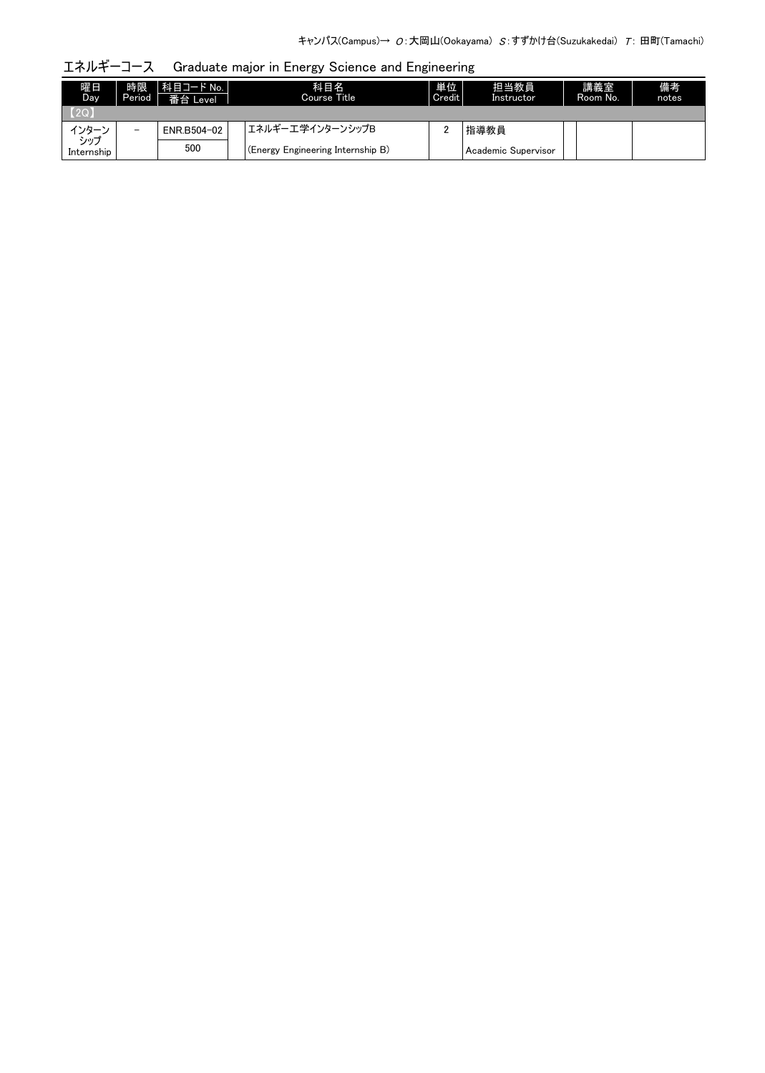エネルギーコース Graduate major in Energy Science and Engineering

| 曜日<br>Day.        | 時限<br>Period <sup>1</sup> | 科目コード No.  <br>番台 Level | 科目名<br>Course Title               | 単位<br>Credit | 担当教員<br>Instructor  | 講義室<br>Room No. | 備考<br>notes |
|-------------------|---------------------------|-------------------------|-----------------------------------|--------------|---------------------|-----------------|-------------|
| (20)              |                           |                         |                                   |              |                     |                 |             |
| インター゛             | $\overline{\phantom{0}}$  | ENR.B504-02             | エネルギーエ学インターンシップB                  |              | 指導教員                |                 |             |
| シップ<br>Internship |                           | 500                     | (Energy Engineering Internship B) |              | Academic Supervisor |                 |             |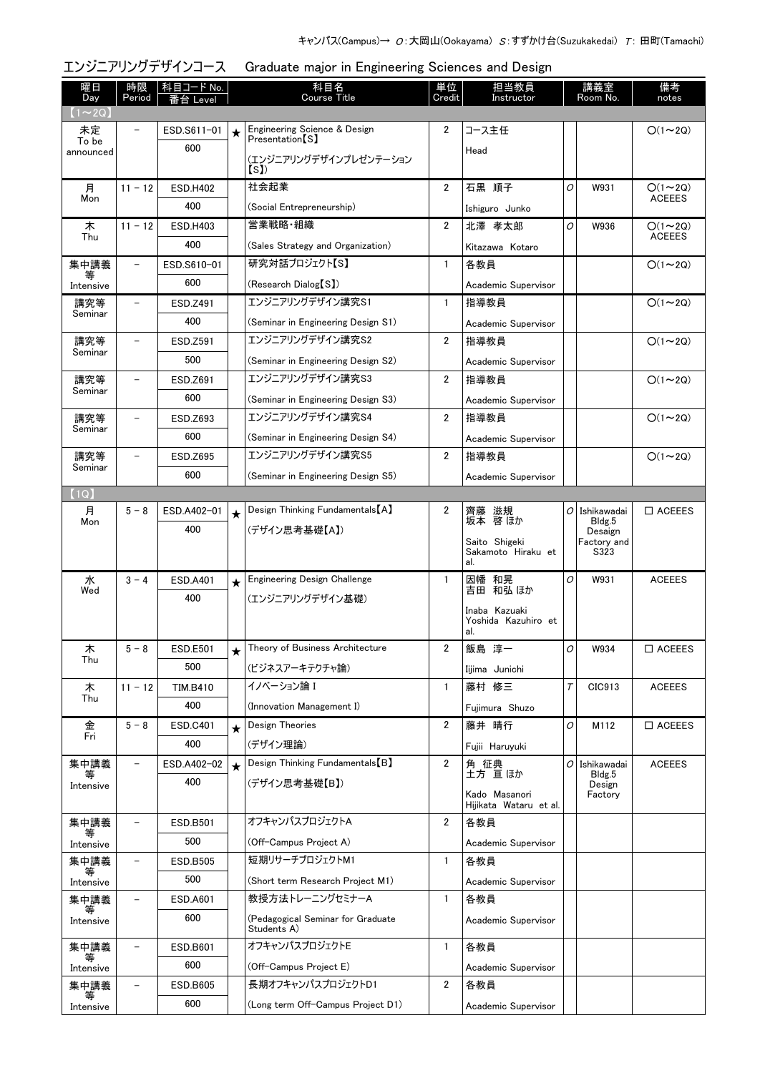| エンジニアリングデザインコース<br>Graduate major in Engineering Sciences and Design |                          |                 |         |                                                  |                |                                         |        |                     |                  |  |
|----------------------------------------------------------------------|--------------------------|-----------------|---------|--------------------------------------------------|----------------|-----------------------------------------|--------|---------------------|------------------|--|
| 曜日                                                                   | 時限                       | 科目コード No.       |         | 科目名                                              | 単位             | 担当教員                                    |        | 講義室                 | 備考               |  |
| Day<br>$(1\sim2Q)$                                                   | Period                   | 番台 Level        |         | Course Title                                     | Credit         | Instructor                              |        | Room No.            | notes            |  |
| 未定                                                                   |                          | ESD.S611-01     | $\star$ | Engineering Science & Design                     | 2              | コース主任                                   |        |                     | $O(1\sim 2Q)$    |  |
| To be<br>announced                                                   |                          | 600             |         | Presentation <sub>[S]</sub>                      |                | Head                                    |        |                     |                  |  |
|                                                                      |                          |                 |         | (エンジニアリングデザインプレゼンテーション<br>(S)                    |                |                                         |        |                     |                  |  |
| 月                                                                    | $11 - 12$                | <b>ESD.H402</b> |         | 社会起業                                             | $\overline{2}$ | 石黒 順子                                   | 0      | W931                | $O(1\sim 2Q)$    |  |
| Mon                                                                  |                          | 400             |         | (Social Entrepreneurship)                        |                | Ishiguro Junko                          |        |                     | <b>ACEEES</b>    |  |
| 木                                                                    | $11 - 12$                | ESD.H403        |         | 営業戦略・組織                                          | $\overline{2}$ | 北澤 孝太郎                                  | O      | W936                | $O(1\sim 2Q)$    |  |
| Thu                                                                  |                          | 400             |         | (Sales Strategy and Organization)                |                | Kitazawa Kotaro                         |        |                     | <b>ACEEES</b>    |  |
| 集中講義                                                                 | -                        | ESD.S610-01     |         | 研究対話プロジェクト【S】                                    | $\mathbf{1}$   | 各教員                                     |        |                     | $O(1 \sim 2Q)$   |  |
| ₩<br>Intensive                                                       |                          | 600             |         | (Research Dialog [S])                            |                | Academic Supervisor                     |        |                     |                  |  |
| 講究等                                                                  |                          | ESD.Z491        |         | エンジニアリングデザイン講究S1                                 | $\mathbf{1}$   | 指導教員                                    |        |                     | $O(1\sim 2Q)$    |  |
| Seminar                                                              |                          | 400             |         | (Seminar in Engineering Design S1)               |                | Academic Supervisor                     |        |                     |                  |  |
| 講究等                                                                  | -                        | ESD.Z591        |         | エンジニアリングデザイン講究S2                                 | $\overline{2}$ | 指導教員                                    |        |                     | $O(1\sim 2Q)$    |  |
| Seminar                                                              |                          | 500             |         | (Seminar in Engineering Design S2)               |                | Academic Supervisor                     |        |                     |                  |  |
| 講究等                                                                  |                          | ESD.Z691        |         | エンジニアリングデザイン講究S3                                 | 2              | 指導教員                                    |        |                     | $O(1\sim 2Q)$    |  |
| Seminar                                                              |                          | 600             |         | (Seminar in Engineering Design S3)               |                | Academic Supervisor                     |        |                     |                  |  |
| 講究等                                                                  | $\overline{\phantom{0}}$ | ESD.Z693        |         | エンジニアリングデザイン講究S4                                 | $\overline{2}$ | 指導教員                                    |        |                     | $O(1\sim 2Q)$    |  |
| Seminar                                                              |                          | 600             |         | (Seminar in Engineering Design S4)               |                | Academic Supervisor                     |        |                     |                  |  |
| 講究等                                                                  |                          | ESD.Z695        |         | エンジニアリングデザイン講究S5                                 | $\overline{2}$ | 指導教員                                    |        |                     | $O(1 \sim 2Q)$   |  |
| Seminar                                                              |                          | 600             |         | (Seminar in Engineering Design S5)               |                | Academic Supervisor                     |        |                     |                  |  |
| (1Q)                                                                 |                          |                 |         |                                                  |                |                                         |        |                     |                  |  |
| 月                                                                    | $5 - 8$                  | ESD.A402-01     | $\star$ | Design Thinking Fundamentals [A]                 | 2              | 滋規<br>齊藤<br>坂本 啓 ほか                     |        | $O$ Ishikawadai     | $\Box$ ACEEES    |  |
| Mon                                                                  |                          | 400             |         | (デザイン思考基礎【A】)                                    |                |                                         |        | Bldg.5<br>Desaign   |                  |  |
|                                                                      |                          |                 |         |                                                  |                | Saito Shigeki<br>Sakamoto Hiraku et     |        | Factory and<br>S323 |                  |  |
|                                                                      |                          |                 |         |                                                  |                | al.                                     |        |                     |                  |  |
| 水<br>Wed                                                             | $3 - 4$                  | <b>ESD.A401</b> | $\star$ | <b>Engineering Design Challenge</b>              | $\mathbf{1}$   | 因幡 和晃<br>吉田 和弘 ほか                       | 0      | W931                | <b>ACEEES</b>    |  |
|                                                                      |                          | 400             |         | (エンジニアリングデザイン基礎)                                 |                | Inaba Kazuaki                           |        |                     |                  |  |
|                                                                      |                          |                 |         |                                                  |                | Yoshida Kazuhiro et<br>al.              |        |                     |                  |  |
| 木                                                                    | $5 - 8$                  | <b>ESD.E501</b> | $\star$ | Theory of Business Architecture                  | 2              | 飯島 淳一                                   | 0      | W934                | $\Box$ ACEEES    |  |
| Thu                                                                  |                          | 500             |         | (ビジネスアーキテクチャ論)                                   |                | Iijima Junichi                          |        |                     |                  |  |
| 木                                                                    | $11 - 12$                | <b>TIM.B410</b> |         | イノベーション論I                                        | 1              | 藤村 修三                                   | $\tau$ | CIC913              | <b>ACEEES</b>    |  |
| Thu                                                                  |                          | 400             |         | (Innovation Management I)                        |                | Fujimura Shuzo                          |        |                     |                  |  |
| 金                                                                    | $5 - 8$                  | <b>ESD.C401</b> | $\star$ | Design Theories                                  | 2              | 藤井 晴行                                   | 0      | M112                | $\square$ ACEEES |  |
| Fri                                                                  |                          | 400             |         | (デザイン理論)                                         |                | Fujii Haruyuki                          |        |                     |                  |  |
| 集中講義                                                                 |                          | ESD.A402-02     | $\star$ | Design Thinking Fundamentals [B]                 | $\overline{2}$ | 角 征典<br>土方 亘ほか                          |        | $O $ Ishikawadai    | <b>ACEEES</b>    |  |
| 等<br>Intensive                                                       |                          | 400             |         | (デザイン思考基礎【B】)                                    |                |                                         |        | Bldg.5<br>Design    |                  |  |
|                                                                      |                          |                 |         |                                                  |                | Kado Masanori<br>Hijikata Wataru et al. |        | Factory             |                  |  |
| 集中講義                                                                 | $\overline{\phantom{0}}$ | ESD.B501        |         | オフキャンパスプロジェクトA                                   | $\overline{2}$ | 各教員                                     |        |                     |                  |  |
| Intensive                                                            |                          | 500             |         | (Off-Campus Project A)                           |                | Academic Supervisor                     |        |                     |                  |  |
| 集中講義                                                                 |                          | ESD.B505        |         | 短期リサーチプロジェクトM1                                   | 1              | 各教員                                     |        |                     |                  |  |
| Intensive                                                            |                          | 500             |         | (Short term Research Project M1)                 |                | Academic Supervisor                     |        |                     |                  |  |
| 集中講義                                                                 |                          | <b>ESD.A601</b> |         | 教授方法トレーニングセミナーA                                  | $\mathbf{1}$   | 各教員                                     |        |                     |                  |  |
| ₩<br>Intensive                                                       |                          | 600             |         | (Pedagogical Seminar for Graduate<br>Students A) |                | Academic Supervisor                     |        |                     |                  |  |
| 集中講義                                                                 | $\overline{\phantom{0}}$ | ESD.B601        |         | オフキャンパスプロジェクトE                                   | 1              | 各教員                                     |        |                     |                  |  |
| Intensive                                                            |                          | 600             |         | (Off-Campus Project E)                           |                | Academic Supervisor                     |        |                     |                  |  |
| 集中講義                                                                 |                          | ESD.B605        |         | 長期オフキャンパスプロジェクトD1                                | 2              | 各教員                                     |        |                     |                  |  |
| Intensive                                                            |                          | 600             |         | (Long term Off-Campus Project D1)                |                | Academic Supervisor                     |        |                     |                  |  |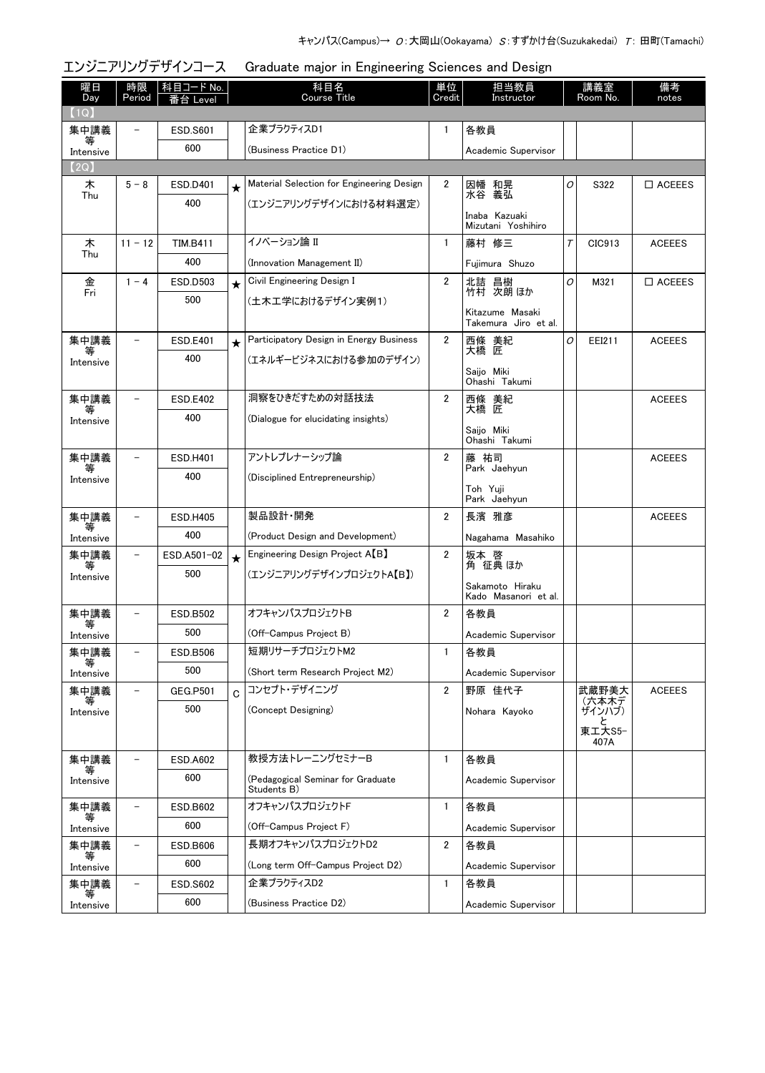# エンジニアリングデザインコース Graduate major in Engineering Sciences and Design

| 曜日<br>Day      | 時限<br>Period             | <u>科目コード No.</u><br>台 Level |         | 科目名<br><b>Course Title</b>                       | 単位<br>Credit   | 担当教員<br>Instructor                      |   | 講義室<br>Room No. | 備考<br>notes      |
|----------------|--------------------------|-----------------------------|---------|--------------------------------------------------|----------------|-----------------------------------------|---|-----------------|------------------|
| (1Q)           |                          |                             |         |                                                  |                |                                         |   |                 |                  |
| 集中講義           | $\overline{\phantom{0}}$ | <b>ESD.S601</b>             |         | 企業プラクティスD1                                       | 1              | 各教員                                     |   |                 |                  |
| 等<br>Intensive |                          | 600                         |         | (Business Practice D1)                           |                | Academic Supervisor                     |   |                 |                  |
| (2Q)           |                          |                             |         |                                                  |                |                                         |   |                 |                  |
| 木<br>Thu       | $5 - 8$                  | ESD.D401                    | $\star$ | Material Selection for Engineering Design        | $\mathbf{2}$   | 因幡 和晃<br>水谷 義弘                          | 0 | S322            | $\Box$ ACEEES    |
|                |                          | 400                         |         | (エンジニアリングデザインにおける材料選定)                           |                |                                         |   |                 |                  |
|                |                          |                             |         |                                                  |                | Inaba Kazuaki<br>Mizutani Yoshihiro     |   |                 |                  |
| 木              | $11 - 12$                | <b>TIM.B411</b>             |         | イノベーション論 II                                      | $\mathbf{1}$   | 藤村 修三                                   | T | CIC913          | <b>ACEEES</b>    |
| Thu            |                          | 400                         |         | (Innovation Management II)                       |                | Fuiimura Shuzo                          |   |                 |                  |
| 金<br>Fri       | $1 - 4$                  | ESD.D503                    | $\star$ | Civil Engineering Design I                       | $\overline{2}$ | 北詰 昌樹<br>竹村 次朗ほか                        | O | M321            | $\square$ ACEEES |
|                |                          | 500                         |         | (土木工学におけるデザイン実例1)                                |                |                                         |   |                 |                  |
|                |                          |                             |         |                                                  |                | Kitazume Masaki<br>Takemura Jiro et al. |   |                 |                  |
| 集中講義           |                          | <b>ESD.E401</b>             | $\star$ | Participatory Design in Energy Business          | $\mathbf{2}$   | 西條 美紀<br>大橋 匠                           | 0 | EEI211          | <b>ACEEES</b>    |
| Intensive      |                          | 400                         |         | (エネルギービジネスにおける参加のデザイン)                           |                |                                         |   |                 |                  |
|                |                          |                             |         |                                                  |                | Saijo Miki<br>Ohashi Takumi             |   |                 |                  |
| 集中講義           |                          | <b>ESD.E402</b>             |         | 洞察をひきだすための対話技法                                   | $\overline{2}$ | 西條 美紀                                   |   |                 | <b>ACEEES</b>    |
| Intensive      |                          | 400                         |         | (Dialogue for elucidating insights)              |                | 大橋 匠                                    |   |                 |                  |
|                |                          |                             |         |                                                  |                | Saijo Miki<br>Ohashi Takumi             |   |                 |                  |
| 集中講義           | $\overline{\phantom{a}}$ | ESD.H401                    |         | アントレプレナーシップ論                                     | $\overline{2}$ | 藤 祐司                                    |   |                 | <b>ACEEES</b>    |
| 等<br>Intensive |                          | 400                         |         | (Disciplined Entrepreneurship)                   |                | Park Jaehyun                            |   |                 |                  |
|                |                          |                             |         |                                                  |                | Toh Yuji<br>Park Jaehyun                |   |                 |                  |
| 集中講義           | $\overline{\phantom{a}}$ | <b>ESD.H405</b>             |         | 製品設計·開発                                          | $\overline{2}$ | 長濱 雅彦                                   |   |                 | <b>ACEEES</b>    |
| 等<br>Intensive |                          | 400                         |         | (Product Design and Development)                 |                | Nagahama Masahiko                       |   |                 |                  |
| 集中講義           | $\qquad \qquad -$        | ESD.A501-02                 | $\star$ | Engineering Design Project A <sup>[B]</sup>      | $\overline{2}$ | 坂本 啓<br>角 征典ほか                          |   |                 |                  |
| 等<br>Intensive |                          | 500                         |         | (エンジニアリングデザインプロジェクトA【B】)                         |                |                                         |   |                 |                  |
|                |                          |                             |         |                                                  |                | Sakamoto Hiraku<br>Kado Masanori et al. |   |                 |                  |
| 集中講義           |                          | <b>ESD.B502</b>             |         | オフキャンパスプロジェクトB                                   | $\overline{2}$ | 各教員                                     |   |                 |                  |
| Intensive      |                          | 500                         |         | (Off-Campus Project B)                           |                | Academic Supervisor                     |   |                 |                  |
| 集中講義           |                          | ESD.B506                    |         | 短期リサーチプロジェクトM2                                   | 1              | 各教員                                     |   |                 |                  |
| Intensive      |                          | 500                         |         | (Short term Research Project M2)                 |                | Academic Supervisor                     |   |                 |                  |
| 集中講義           | $\overline{\phantom{0}}$ | <b>GEG.P501</b>             | Ć       | コンセプト・デザイニング                                     | $\overline{2}$ | 野原 佳代子                                  |   | 武蔵野美大           | <b>ACEEES</b>    |
| 寺<br>Intensive |                          | 500                         |         | (Concept Designing)                              |                | Nohara Kayoko                           |   | (六本木デ<br>ザインハブ) |                  |
|                |                          |                             |         |                                                  |                |                                         |   | 東工大S5-          |                  |
|                |                          |                             |         |                                                  |                |                                         |   | 407A            |                  |
| 集中講義           |                          | <b>ESD.A602</b>             |         | 教授方法トレーニングセミナーB                                  | $\mathbf{1}$   | 各教員                                     |   |                 |                  |
| Intensive      |                          | 600                         |         | (Pedagogical Seminar for Graduate<br>Students B) |                | Academic Supervisor                     |   |                 |                  |
| 集中講義           | $\overline{\phantom{0}}$ | ESD.B602                    |         | オフキャンパスプロジェクトF                                   | 1              | 各教員                                     |   |                 |                  |
| 等<br>Intensive |                          | 600                         |         | (Off-Campus Project F)                           |                | Academic Supervisor                     |   |                 |                  |
| 集中講義           | $\overline{\phantom{a}}$ | <b>ESD.B606</b>             |         | 長期オフキャンパスプロジェクトD2                                | $\overline{2}$ | 各教員                                     |   |                 |                  |
| 等<br>Intensive |                          | 600                         |         | (Long term Off-Campus Project D2)                |                | Academic Supervisor                     |   |                 |                  |
| 集中講義           | $\qquad \qquad -$        | <b>ESD.S602</b>             |         | 企業プラクティスD2                                       | $\mathbf{1}$   | 各教員                                     |   |                 |                  |
| Intensive      |                          | 600                         |         | (Business Practice D2)                           |                | Academic Supervisor                     |   |                 |                  |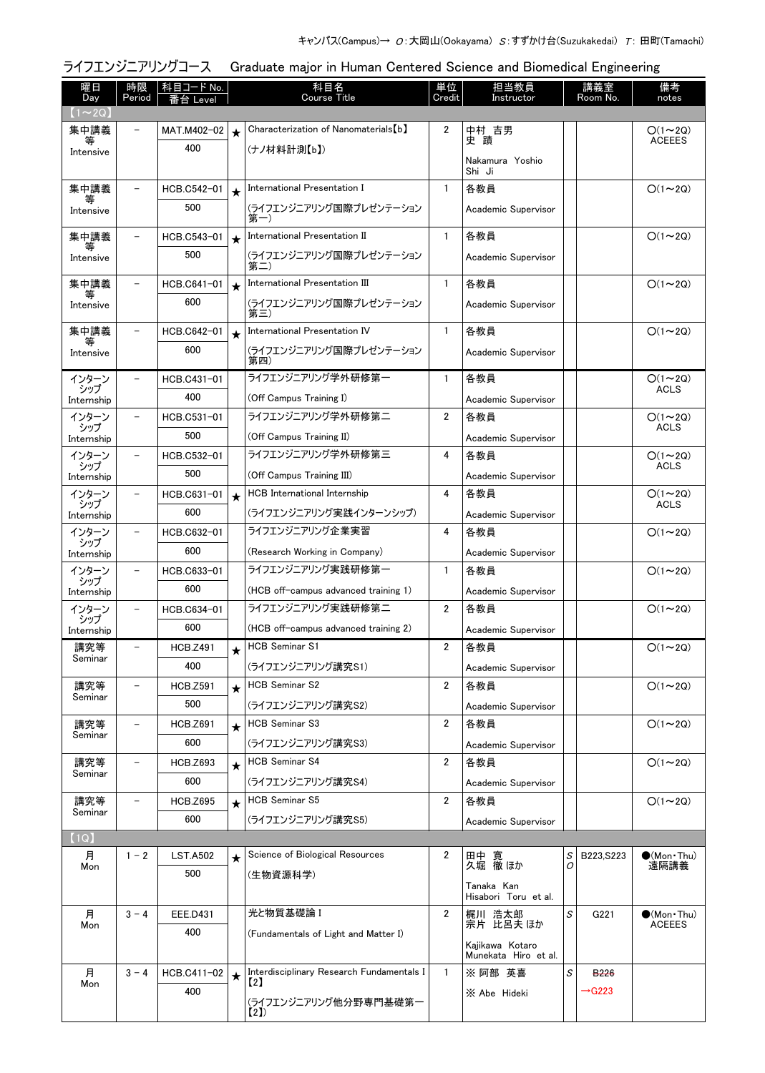|                               |                          | ライフエンジニアリングコース<br>Graduate major in Human Centered Science and Biomedical Engineering |            |                                                                                     |                |                                         |        |                    |                               |
|-------------------------------|--------------------------|---------------------------------------------------------------------------------------|------------|-------------------------------------------------------------------------------------|----------------|-----------------------------------------|--------|--------------------|-------------------------------|
| 曜日<br>Day                     | 時限<br>Period             | 科目コード No.<br>番台 Level                                                                 |            | 科目名<br><b>Course Title</b>                                                          | 単位<br>Credit   | 担当教員<br>Instructor                      |        | 講義室<br>Room No.    | 備考<br>notes                   |
| $(1\!\thicksim\!2\mathrm{Q})$ |                          |                                                                                       |            |                                                                                     |                |                                         |        |                    |                               |
| 集中講義                          | $\equiv$                 | MAT.M402-02                                                                           | $\star$    | Characterization of Nanomaterials [b]                                               | 2              | 中村 吉男                                   |        |                    | $O(1\sim 2Q)$                 |
| 等<br>Intensive                |                          | 400                                                                                   |            | (ナノ材料計測【b】)                                                                         |                | 史蹟                                      |        |                    | <b>ACEEES</b>                 |
|                               |                          |                                                                                       |            |                                                                                     |                | Nakamura Yoshio<br>Shi Ji               |        |                    |                               |
| 集中講義                          | $\overline{\phantom{0}}$ | HCB.C542-01                                                                           | $\star$    | International Presentation I                                                        | $\mathbf{1}$   | 各教員                                     |        |                    | $O(1\sim 2Q)$                 |
| 等<br>Intensive                |                          | 500                                                                                   |            | (ライフエンジニアリング国際プレゼンテーション<br>第一)                                                      |                | Academic Supervisor                     |        |                    |                               |
| 集中講義                          |                          | HCB.C543-01                                                                           | $\bigstar$ | International Presentation II                                                       | $\mathbf{1}$   | 各教員                                     |        |                    | $O(1\sim 2Q)$                 |
| Intensive                     |                          | 500                                                                                   |            | (ライフエンジニアリング国際プレゼンテーション<br>第二)                                                      |                | Academic Supervisor                     |        |                    |                               |
| 集中講義                          | $\overline{\phantom{a}}$ | HCB.C641-01                                                                           | $\star$    | International Presentation III                                                      | $\mathbf{1}$   | 各教員                                     |        |                    | $O(1\sim 2Q)$                 |
| 等<br>Intensive                |                          | 600                                                                                   |            | (ライフエンジニアリング国際プレゼンテーション<br>第三)                                                      |                | Academic Supervisor                     |        |                    |                               |
| 集中講義                          | $\overline{\phantom{0}}$ | HCB.C642-01                                                                           | $\bigstar$ | International Presentation IV                                                       | $\mathbf{1}$   | 各教員                                     |        |                    | $O(1\sim 2Q)$                 |
| 等<br>Intensive                |                          | 600                                                                                   |            | (ライフエンジニアリング国際プレゼンテーション<br>第四)                                                      |                | Academic Supervisor                     |        |                    |                               |
| インターン                         |                          | HCB.C431-01                                                                           |            | ライフエンジニアリング学外研修第一                                                                   | $\mathbf{1}$   | 各教員                                     |        |                    | $O(1 \sim 2Q)$                |
| シップ<br>Internship             |                          | 400                                                                                   |            | (Off Campus Training I)                                                             |                | Academic Supervisor                     |        |                    | <b>ACLS</b>                   |
| インターン                         |                          | HCB.C531-01                                                                           |            | ライフエンジニアリング学外研修第二                                                                   | $\overline{2}$ | 各教員                                     |        |                    | $O(1 \sim 2Q)$                |
| シップ<br>Internship             |                          | 500                                                                                   |            | (Off Campus Training II)                                                            |                | Academic Supervisor                     |        |                    | <b>ACLS</b>                   |
| インターン                         |                          | HCB.C532-01                                                                           |            | ライフエンジニアリング学外研修第三                                                                   | 4              | 各教員                                     |        |                    | $O(1\sim 2Q)$                 |
| シップ<br>Internship             |                          | 500                                                                                   |            | (Off Campus Training III)                                                           |                | Academic Supervisor                     |        |                    | <b>ACLS</b>                   |
| インターン                         | $\overline{\phantom{0}}$ | HCB.C631-01                                                                           | $\star$    | HCB International Internship                                                        | 4              | 各教員                                     |        |                    | $O(1\sim 2Q)$                 |
| シップ<br>Internship             |                          | 600                                                                                   |            | (ライフエンジニアリング実践インターンシップ)                                                             |                | Academic Supervisor                     |        |                    | <b>ACLS</b>                   |
| インターン                         | $\overline{\phantom{0}}$ | HCB.C632-01                                                                           |            | ライフエンジニアリング企業実習                                                                     | 4              | 各教員                                     |        |                    | $O(1\sim 2Q)$                 |
| シップ<br>Internship             |                          | 600                                                                                   |            | (Research Working in Company)                                                       |                | Academic Supervisor                     |        |                    |                               |
| インターン                         | $\overline{\phantom{0}}$ | HCB.C633-01                                                                           |            | ライフエンジニアリング実践研修第一                                                                   | 1              | 各教員                                     |        |                    | $O(1\sim 2Q)$                 |
| シップ<br>Internship             |                          | 600                                                                                   |            | (HCB off-campus advanced training 1)                                                |                | Academic Supervisor                     |        |                    |                               |
| インターン                         |                          | HCB.C634-01                                                                           |            | ライフエンジニアリング実践研修第二                                                                   | $\mathbf{2}$   | 各教員                                     |        |                    | $O(1\sim 2Q)$                 |
| シップ<br>Internship             |                          | 600                                                                                   |            | (HCB off-campus advanced training 2)                                                |                | Academic Supervisor                     |        |                    |                               |
| 講究等                           |                          | <b>HCB.Z491</b>                                                                       | $\bigstar$ | <b>HCB Seminar S1</b>                                                               | $\overline{2}$ | 各教員                                     |        |                    | $O(1\sim 2Q)$                 |
| Seminar                       |                          | 400                                                                                   |            | (ライフエンジニアリング講究S1)                                                                   |                | Academic Supervisor                     |        |                    |                               |
| 講究等                           |                          | <b>HCB.Z591</b>                                                                       | $\star$    | <b>HCB Seminar S2</b>                                                               | $\overline{2}$ | 各教員                                     |        |                    | $O(1\sim 2Q)$                 |
| Seminar                       |                          | 500                                                                                   |            | (ライフエンジニアリング講究S2)                                                                   |                | Academic Supervisor                     |        |                    |                               |
| 講究等                           |                          | <b>HCB.Z691</b>                                                                       | $\star$    | <b>HCB Seminar S3</b>                                                               | 2              | 各教員                                     |        |                    | $O(1\sim 2Q)$                 |
| Seminar                       |                          | 600                                                                                   |            | (ライフエンジニアリング講究S3)                                                                   |                | Academic Supervisor                     |        |                    |                               |
| 講究等                           | $\overline{\phantom{0}}$ | <b>HCB.Z693</b>                                                                       | $\star$    | <b>HCB Seminar S4</b>                                                               | $\overline{2}$ | 各教員                                     |        |                    | $O(1\sim 2Q)$                 |
| Seminar                       |                          | 600                                                                                   |            | (ライフエンジニアリング講究S4)                                                                   |                | Academic Supervisor                     |        |                    |                               |
| 講究等<br>Seminar                |                          | <b>HCB.Z695</b>                                                                       | $\star$    | <b>HCB Seminar S5</b>                                                               | 2              | 各教員                                     |        |                    | $O(1\sim 2Q)$                 |
|                               |                          | 600                                                                                   |            | (ライフエンジニアリング講究S5)                                                                   |                | Academic Supervisor                     |        |                    |                               |
| (1Q)                          |                          |                                                                                       |            |                                                                                     |                |                                         |        |                    |                               |
| 月<br>Mon                      | $1 - 2$                  | <b>LST.A502</b>                                                                       | $\star$    | Science of Biological Resources                                                     | 2              | 田中 寛<br>久堀 徹 ほか                         | S<br>0 | B223, S223         | $\bullet$ (Mon · Thu)<br>遠隔講義 |
|                               |                          | 500                                                                                   |            | (生物資源科学)                                                                            |                | Tanaka Kan<br>Hisabori Toru et al.      |        |                    |                               |
| 月                             | $3 - 4$                  | EEE.D431                                                                              |            | 光と物質基礎論 I                                                                           | $\overline{2}$ | 梶川 浩太郎                                  | S      | G221               | $\bullet$ (Mon•Thu)           |
| Mon                           |                          | 400                                                                                   |            | (Fundamentals of Light and Matter I)                                                |                | 宗片 比呂夫 ほか                               |        |                    | <b>ACEEES</b>                 |
|                               |                          |                                                                                       |            |                                                                                     |                | Kajikawa Kotaro<br>Munekata Hiro et al. |        |                    |                               |
| 月                             | $3 - 4$                  | HCB.C411-02                                                                           | $\star$    | Interdisciplinary Research Fundamentals I<br>$\left\lceil \frac{2}{2} \right\rceil$ | $\mathbf{1}$   | ※ 阿部 英喜                                 | S      | <b>B226</b>        |                               |
| Mon                           |                          | 400                                                                                   |            | (ライフエンジニアリング他分野専門基礎第一                                                               |                | X Abe Hideki                            |        | $\rightarrow$ G223 |                               |
|                               |                          |                                                                                       |            | (2)                                                                                 |                |                                         |        |                    |                               |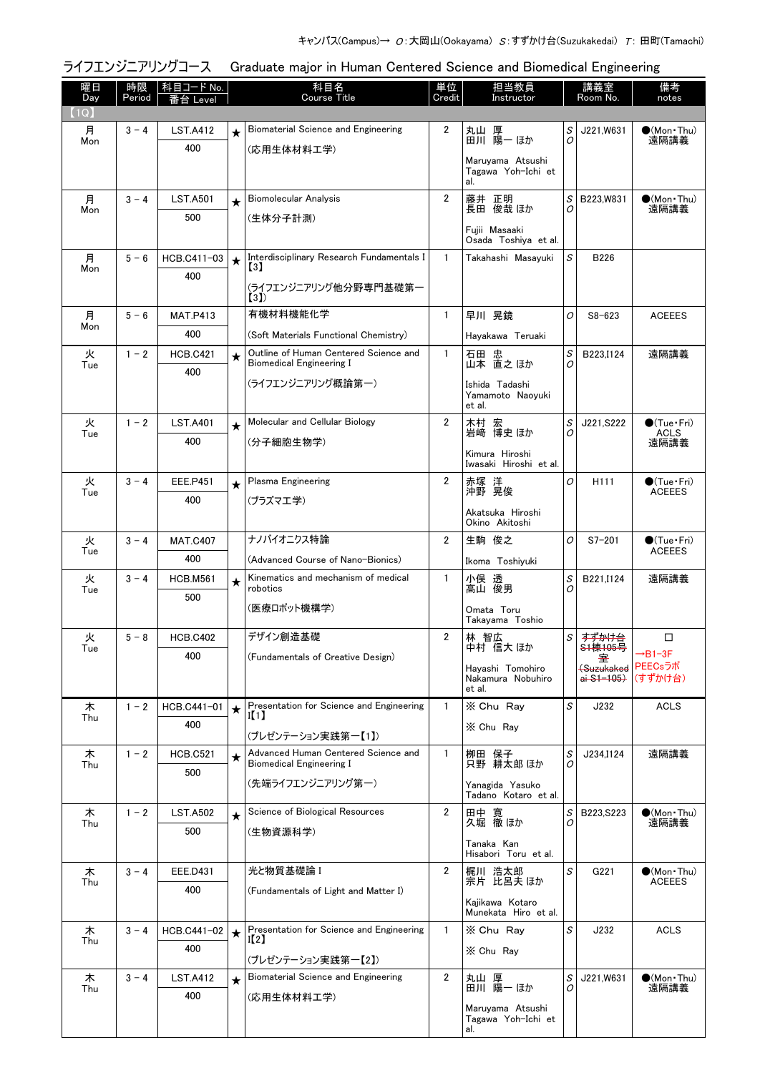|                   |              | ライフエンジニアリングコース         | Graduate major in Human Centered Science and Biomedical Engineering |                                                                                               |                |                                                                     |                 |                                                                               |                                                |  |
|-------------------|--------------|------------------------|---------------------------------------------------------------------|-----------------------------------------------------------------------------------------------|----------------|---------------------------------------------------------------------|-----------------|-------------------------------------------------------------------------------|------------------------------------------------|--|
| 曜日<br>Day<br>(1Q) | 時限<br>Period | 科目コード No.<br>番台 Level  |                                                                     | 科目名<br><b>Course Title</b>                                                                    | 単位<br>Credit   | 担当教員<br>Instructor                                                  | 講義室<br>Room No. |                                                                               | 備考<br>notes                                    |  |
| 月<br>Mon          | $3 - 4$      | <b>LST.A412</b><br>400 | $\star$                                                             | Biomaterial Science and Engineering<br>(応用生体材料工学)                                             | 2              | 丸山 厚<br>田川 陽一 ほか<br>Maruyama Atsushi<br>Tagawa Yoh-Ichi et<br>al.   | S<br>O          | J221,W631                                                                     | $\bullet$ (Mon $\cdot$ Thu)<br>遠隔講義            |  |
| 月<br>Mon          | $3 - 4$      | <b>LST.A501</b><br>500 | $\star$                                                             | <b>Biomolecular Analysis</b><br>(生体分子計測)                                                      | $\overline{2}$ | 藤井 正明<br>長田 俊哉ほか<br>Fuiii Masaaki<br>Osada Toshiya et al.           | S<br>0          | B223, W831                                                                    | $\bullet$ (Mon Thu)<br>遠隔講義                    |  |
| 月<br>Mon          | $5 - 6$      | HCB.C411-03<br>400     | $\star$                                                             | Interdisciplinary Research Fundamentals I<br>$\left[3\right]$<br>(ライフエンジニアリング他分野専門基礎第一<br>(3) | $\mathbf{1}$   | Takahashi Masayuki                                                  | S               | B226                                                                          |                                                |  |
| 月<br>Mon          | $5 - 6$      | <b>MAT.P413</b><br>400 |                                                                     | 有機材料機能化学<br>(Soft Materials Functional Chemistry)                                             | $\mathbf{1}$   | 早川 晃鏡<br>Hayakawa Teruaki                                           | 0               | $S8 - 623$                                                                    | <b>ACEEES</b>                                  |  |
| 火<br>Tue          | $1 - 2$      | <b>HCB.C421</b><br>400 | $\star$                                                             | Outline of Human Centered Science and<br><b>Biomedical Engineering I</b><br>(ライフエンジニアリング概論第一) | $\mathbf{1}$   | 石田 忠<br>山本 直之 ほか<br>Ishida Tadashi<br>Yamamoto Naoyuki<br>et al.    | S<br>0          | B223.I124                                                                     | 遠隔講義                                           |  |
| 火<br>Tue          | $1 - 2$      | <b>LST.A401</b><br>400 | $\star$                                                             | Molecular and Cellular Biology<br>(分子細胞生物学)                                                   | $\overline{2}$ | 木村 宏<br>岩崎 博史 ほか<br>Kimura Hiroshi<br>Iwasaki Hiroshi et al.        | S<br>0          | J221, S222                                                                    | $\bigcirc$ (Tue · Fri)<br>ACLS<br>遠隔講義         |  |
| 火<br>Tue          | $3 - 4$      | <b>EEE.P451</b><br>400 | $\star$                                                             | Plasma Engineering<br>(プラズマエ学)                                                                | 2              | 赤塚 洋<br>沖野 晃俊<br>Akatsuka Hiroshi<br>Okino Akitoshi                 | O               | H <sub>111</sub>                                                              | $\bigcirc$ (Tue · Fri)<br><b>ACEEES</b>        |  |
| 火<br>Tue          | $3 - 4$      | <b>MAT.C407</b><br>400 |                                                                     | ナノバイオニクス特論<br>(Advanced Course of Nano-Bionics)                                               | 2              | 生駒 俊之<br>Ikoma Toshiyuki                                            | O               | $S7 - 201$                                                                    | $\bigcirc$ (Tue · Fri)<br><b>ACEEES</b>        |  |
| 火<br>Tue          | $3 - 4$      | <b>HCB.M561</b><br>500 | $\star$                                                             | Kinematics and mechanism of medical<br>robotics<br>(医療ロボット機構学)                                | $\mathbf{1}$   | 小俣 透<br>高山 俊男<br>Omata Toru<br>Takayama Toshio                      | S<br>O          | B221, 1124                                                                    | 遠隔講義                                           |  |
| 火<br>Tue          | $5 - 8$      | <b>HCB.C402</b><br>400 |                                                                     | デザイン創造基礎<br>(Fundamentals of Creative Design)                                                 | 2              | 林 智広<br>中村 信大 ほか<br>Hayashi Tomohiro<br>Nakamura Nobuhiro<br>et al. | S               | すずかけ台<br><del>S1棟105号</del><br><del>(Suzukaked</del><br><del>ai S1-105)</del> | □<br>$\rightarrow B1-3F$<br>PEECsラボ<br>(すずかけ台) |  |
| 木<br>Thu          | $1 - 2$      | HCB.C441-01<br>400     | $\star$                                                             | Presentation for Science and Engineering<br>II 1<br>(プレゼンテーション実践第一【1】)                        | $\mathbf{1}$   | X Chu Ray<br>X Chu Rav                                              | S               | J232                                                                          | <b>ACLS</b>                                    |  |
| 木<br>Thu          | $1 - 2$      | <b>HCB.C521</b><br>500 | $\star$                                                             | Advanced Human Centered Science and<br><b>Biomedical Engineering I</b><br>(先端ライフエンジニアリング第一)   | $\mathbf{1}$   | 栁田 保子<br>只野 耕太郎 ほか<br>Yanagida Yasuko<br>Tadano Kotaro et al.       | S<br>0          | J234.I124                                                                     | 遠隔講義                                           |  |
| 木<br>Thu          | $1 - 2$      | <b>LST.A502</b><br>500 | $\star$                                                             | Science of Biological Resources<br>(生物資源科学)                                                   | $\overline{2}$ | 田中 寛<br>久堀 徹 ほか<br>Tanaka Kan<br>Hisabori Toru et al.               | S<br>0          | B223, S223                                                                    | $\bullet$ (Mon•Thu)<br>遠隔講義                    |  |
| 木<br>Thu          | $3 - 4$      | <b>EEE.D431</b><br>400 |                                                                     | 光と物質基礎論 I<br>(Fundamentals of Light and Matter I)                                             | 2              | 梶川 浩太郎<br>宗片 比呂夫 ほか<br>Kajikawa Kotaro<br>Munekata Hiro et al.      | S               | G221                                                                          | $\bullet$ (Mon Thu)<br><b>ACEEES</b>           |  |
| 木<br>Thu          | $3 - 4$      | HCB.C441-02<br>400     | $\star$                                                             | Presentation for Science and Engineering<br>I(2)<br>(プレゼンテーション実践第一【2】)                        | $\mathbf{1}$   | X Chu Ray<br>X Chu Ray                                              | S               | J232                                                                          | <b>ACLS</b>                                    |  |
| 木<br>Thu          | $3 - 4$      | <b>LST.A412</b><br>400 | $\star$                                                             | Biomaterial Science and Engineering<br>(応用生体材料工学)                                             | 2              | 丸山 厚<br>田川 陽一 ほか<br>Maruyama Atsushi<br>Tagawa Yoh-Ichi et<br>al.   | S<br>0          | J221,W631                                                                     | $\bullet$ (Mon · Thu)<br>遠隔講義                  |  |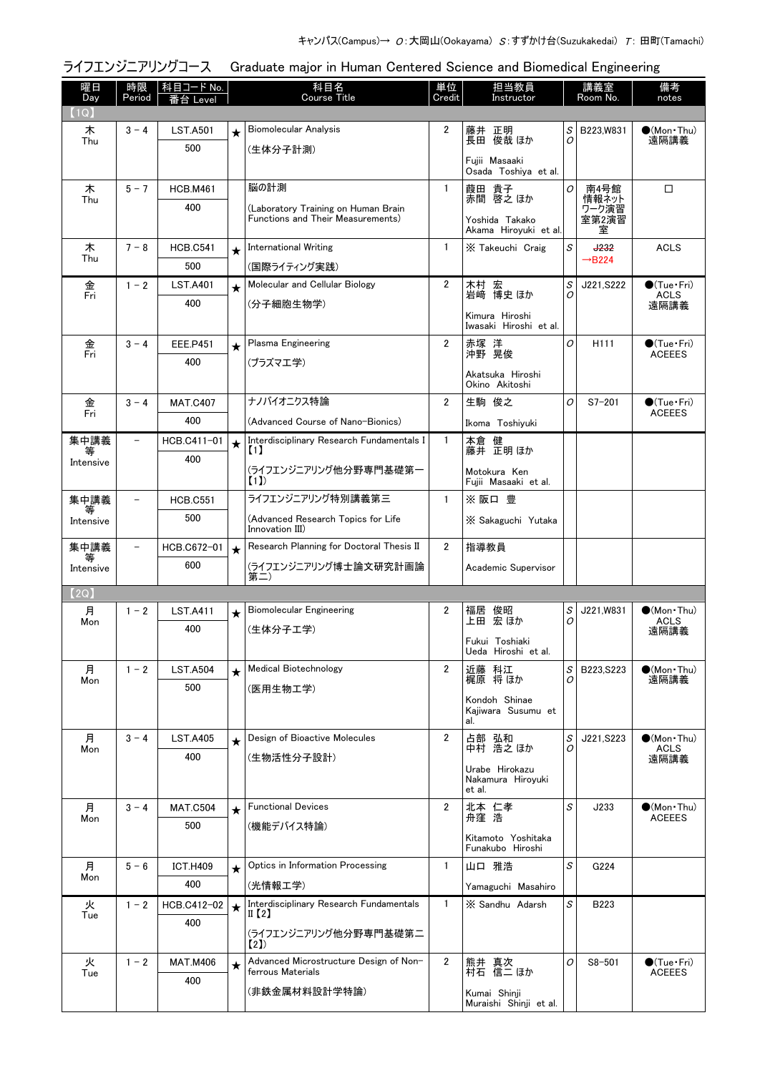|                        |              | ライフエンジニアリングコース         | Graduate major in Human Centered Science and Biomedical Engineering |                                                                                               |                |                                                                    |                                                    |                                      |                                               |  |
|------------------------|--------------|------------------------|---------------------------------------------------------------------|-----------------------------------------------------------------------------------------------|----------------|--------------------------------------------------------------------|----------------------------------------------------|--------------------------------------|-----------------------------------------------|--|
| 曜日<br>Day<br>(1Q)      | 時限<br>Period | │科目コード No.<br>番台 Level |                                                                     | 科目名<br><b>Course Title</b>                                                                    | 単位<br>Credit   | 担当教員<br>Instructor                                                 |                                                    | 講義室<br>Room No.                      | 備考<br>notes                                   |  |
| 木<br>Thu               | $3 - 4$      | <b>LST.A501</b><br>500 | $\star$                                                             | <b>Biomolecular Analysis</b><br>(生体分子計測)                                                      | 2              | 藤井 正明<br>長田 俊哉 ほか<br>Fujii Masaaki<br>Osada Toshiya et al.         | S<br>0                                             | B223, W831                           | $\bullet$ (Mon•Thu)<br>遠隔講義                   |  |
| 木<br>Thu               | $5 - 7$      | <b>HCB.M461</b><br>400 |                                                                     | 脳の計測<br>(Laboratory Training on Human Brain<br>Functions and Their Measurements)              | 1              | 葭田 貴子<br>赤間 啓之 ほか<br>Yoshida Takako<br>Akama Hiroyuki et al.       | 0                                                  | 南4号館<br>情報ネット<br>ワーク演習<br>室第2演習<br>室 | $\Box$                                        |  |
| 木<br>Thu               | $7 - 8$      | <b>HCB.C541</b><br>500 | $\bigstar$                                                          | <b>International Writing</b><br>(国際ライティング実践)                                                  | $\mathbf{1}$   | X Takeuchi Craig                                                   | $\mathcal{S}% _{CS}^{(n)}:=\mathcal{S}_{CS}^{(n)}$ | <b>J232</b><br>$\rightarrow$ B224    | <b>ACLS</b>                                   |  |
| 金<br>Fri               | $1 - 2$      | <b>LST.A401</b><br>400 | $\star$                                                             | Molecular and Cellular Biology<br>(分子細胞生物学)                                                   | $\overline{2}$ | 木村 宏<br>岩崎 博史 ほか<br>Kimura Hiroshi<br>Iwasaki Hiroshi et al.       | S<br>0                                             | J221, S222                           | $\bigcirc$ (Tue · Fri)<br><b>ACLS</b><br>遠隔講義 |  |
| 金<br>Fri               | $3 - 4$      | <b>EEE.P451</b><br>400 | $\star$                                                             | Plasma Engineering<br>(プラズマエ学)                                                                | 2              | 赤塚 洋<br>沖野 晃俊<br>Akatsuka Hiroshi<br>Okino Akitoshi                | O                                                  | H111                                 | $\bigcirc$ (Tue·Fri)<br><b>ACEEES</b>         |  |
| 金<br>Fri               | $3 - 4$      | <b>MAT.C407</b><br>400 |                                                                     | ナノバイオニクス特論<br>(Advanced Course of Nano-Bionics)                                               | $\overline{2}$ | 生駒 俊之<br>Ikoma Toshiyuki                                           | O                                                  | $S7 - 201$                           | $\bigcirc$ (Tue · Fri)<br><b>ACEEES</b>       |  |
| 集中講義<br>Intensive      |              | HCB.C411-01<br>400     | $\star$                                                             | Interdisciplinary Research Fundamentals I<br>$\left(1\right)$<br>(ライフエンジニアリング他分野専門基礎第一<br>(1) | 1              | 本倉 健<br>藤井 正明 ほか<br>Motokura Ken<br>Fujii Masaaki et al.           |                                                    |                                      |                                               |  |
| 集中講義<br>等<br>Intensive |              | <b>HCB.C551</b><br>500 |                                                                     | ライフエンジニアリング特別講義第三<br>(Advanced Research Topics for Life<br>Innovation III)                    | $\mathbf{1}$   | ※阪口豊<br>X Sakaguchi Yutaka                                         |                                                    |                                      |                                               |  |
| 集中講義<br>Intensive      |              | HCB.C672-01<br>600     | $\star$                                                             | Research Planning for Doctoral Thesis II<br>(ライフエンジニアリング博士論文研究計画論<br>第二)                      | $\overline{2}$ | 指導教員<br>Academic Supervisor                                        |                                                    |                                      |                                               |  |
| (2Q)                   |              |                        |                                                                     |                                                                                               |                |                                                                    |                                                    |                                      |                                               |  |
| 月<br>Mon               | $1 - 2$      | <b>LST.A411</b><br>400 | $\star$                                                             | Biomolecular Engineering<br>(生体分子工学)                                                          | 2              | 福居 俊昭<br>上田 宏 ほか<br>Fukui Toshiaki<br>Ueda Hiroshi et al.          | S<br>0                                             | J221,W831                            | $\bullet$ (Mon•Thu)<br><b>ACLS</b><br>遠隔講義    |  |
| 月<br>Mon               | $1 - 2$      | <b>LST.A504</b><br>500 | $\star$                                                             | Medical Biotechnology<br>(医用生物工学)                                                             | $\overline{2}$ | 近藤 科江<br>梶原 将ほか<br>Kondoh Shinae<br>Kajiwara Susumu et<br>al.      | S<br>0                                             | B223.S223                            | $\bullet$ (Mon•Thu)<br>遠隔講義                   |  |
| 月<br>Mon               | $3 - 4$      | <b>LST.A405</b><br>400 | $\star$                                                             | Design of Bioactive Molecules<br>(生物活性分子設計)                                                   | $\overline{2}$ | 占部 弘和<br>中村 浩之 ほか<br>Urabe Hirokazu<br>Nakamura Hiroyuki<br>et al. | S<br>0                                             | J221, S223                           | $\bullet$ (Mon•Thu)<br><b>ACLS</b><br>遠隔講義    |  |
| 月<br>Mon               | $3 - 4$      | <b>MAT.C504</b><br>500 | $\star$                                                             | <b>Functional Devices</b><br>(機能デバイス特論)                                                       | $\overline{2}$ | 北本 仁孝<br>舟窪 浩<br>Kitamoto Yoshitaka<br>Funakubo Hiroshi            | S                                                  | J233                                 | $\bullet$ (Mon•Thu)<br><b>ACEEES</b>          |  |
| 月<br>Mon               | $5 - 6$      | <b>ICT.H409</b><br>400 | $\star$                                                             | Optics in Information Processing<br>(光情報工学)                                                   | $\mathbf{1}$   | 山口 雅浩<br>Yamaguchi Masahiro                                        | S                                                  | G224                                 |                                               |  |
| 火<br>Tue               | $1 - 2$      | HCB.C412-02<br>400     | $\star$                                                             | Interdisciplinary Research Fundamentals<br>II $(2)$<br>(ライフエンジニアリング他分野専門基礎第二<br>【2】)          | $\mathbf{1}$   | X Sandhu Adarsh                                                    | S                                                  | B223                                 |                                               |  |
| 火<br>Tue               | $1 - 2$      | <b>MAT.M406</b><br>400 | $\star$                                                             | Advanced Microstructure Design of Non-<br>ferrous Materials<br>(非鉄金属材料設計学特論)                  | 2              | 熊井 真次<br>村石 信二 ほか<br>Kumai Shinji<br>Muraishi Shinji et al.        | O                                                  | $S8 - 501$                           | $\bigcirc$ (Tue · Fri)<br><b>ACEEES</b>       |  |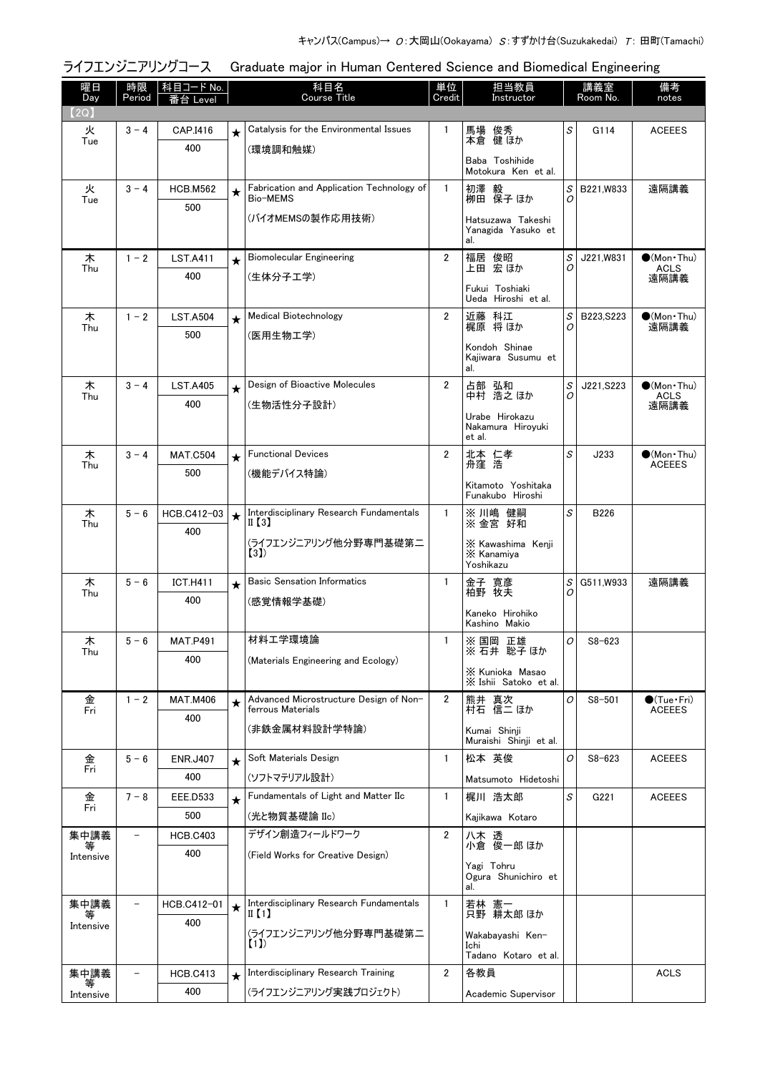|                | ライフエンジニアリングコース<br>Graduate major in Human Centered Science and Biomedical Engineering |                            |          |                                                             |                |                                                |                                   |                 |                                       |  |
|----------------|---------------------------------------------------------------------------------------|----------------------------|----------|-------------------------------------------------------------|----------------|------------------------------------------------|-----------------------------------|-----------------|---------------------------------------|--|
| 曜日<br>Day      | Period                                                                                | 時限   科目コード No.<br>番台 Level |          | 科目名<br><b>Course Title</b>                                  | 単位<br>Credit   | 担当教員<br>Instructor                             |                                   | 講義室<br>Room No. | 備考<br>notes                           |  |
| (2Q)           |                                                                                       |                            |          |                                                             |                |                                                |                                   |                 |                                       |  |
| 火<br>Tue       | $3 - 4$                                                                               | CAP.I416                   | $^\star$ | Catalysis for the Environmental Issues                      | $\mathbf{1}$   | 馬場 俊秀<br>本倉 健 ほか                               | S                                 | G114            | <b>ACEEES</b>                         |  |
|                |                                                                                       | 400                        |          | (環境調和触媒)                                                    |                | Baba Toshihide<br>Motokura Ken et al.          |                                   |                 |                                       |  |
| 火<br>Tue       | $3 - 4$                                                                               | <b>HCB.M562</b>            | $\star$  | Fabrication and Application Technology of<br>Bio-MEMS       | $\mathbf{1}$   | 初澤 毅<br>栁田 保子 ほか                               | S<br>$\Omega$                     | B221, W833      | 遠隔講義                                  |  |
|                |                                                                                       | 500                        |          | (バイオMEMSの製作応用技術)                                            |                |                                                |                                   |                 |                                       |  |
|                |                                                                                       |                            |          |                                                             |                | Hatsuzawa Takeshi<br>Yanagida Yasuko et<br>al. |                                   |                 |                                       |  |
| 木<br>Thu       | $1 - 2$                                                                               | <b>LST.A411</b>            | $\star$  | <b>Biomolecular Engineering</b>                             | $\overline{2}$ | 福居 俊昭<br>上田 宏ほか                                | S<br>0                            | J221, W831      | $(Mon$ Thu)<br><b>ACLS</b>            |  |
|                |                                                                                       | 400                        |          | (生体分子工学)                                                    |                | Fukui Toshiaki                                 |                                   |                 | 遠隔講義                                  |  |
|                |                                                                                       |                            |          |                                                             |                | Ueda Hiroshi et al.                            |                                   |                 |                                       |  |
| 木<br>Thu       | $1 - 2$                                                                               | <b>LST.A504</b>            | $\star$  | Medical Biotechnology                                       | 2              | 近藤 科江<br>梶原 将ほか                                | $\mathcal{S}% _{CS}^{ab}(A)$<br>0 | B223, S223      | $(Mon\cdot Thu)$<br>遠隔講義              |  |
|                |                                                                                       | 500                        |          | (医用生物工学)                                                    |                |                                                |                                   |                 |                                       |  |
|                |                                                                                       |                            |          |                                                             |                | Kondoh Shinae<br>Kajiwara Susumu et<br>al.     |                                   |                 |                                       |  |
| 木<br>Thu       | $3 - 4$                                                                               | <b>LST.A405</b>            | $\star$  | Design of Bioactive Molecules                               | $\overline{2}$ | 占部 弘和<br>中村 浩之ほか                               | $\mathcal{S}% _{CS}^{ab}(A)$<br>0 | J221, S223      | $\bullet$ (Mon Thu)<br><b>ACLS</b>    |  |
|                |                                                                                       | 400                        |          | (生物活性分子設計)                                                  |                | Urabe Hirokazu                                 |                                   |                 | 遠隔講義                                  |  |
|                |                                                                                       |                            |          |                                                             |                | Nakamura Hiroyuki<br>et al.                    |                                   |                 |                                       |  |
| 木              | $3 - 4$                                                                               | <b>MAT.C504</b>            | $\star$  | <b>Functional Devices</b>                                   | $\mathbf{2}$   | 北本 仁孝<br>舟窪 浩                                  | S                                 | J233            | $\bullet$ (Mon Thu)                   |  |
| Thu            |                                                                                       | 500                        |          | (機能デバイス特論)                                                  |                |                                                |                                   |                 | <b>ACEEES</b>                         |  |
|                |                                                                                       |                            |          |                                                             |                | Kitamoto Yoshitaka<br>Funakubo Hiroshi         |                                   |                 |                                       |  |
| 木<br>Thu       | $5 - 6$                                                                               | HCB.C412-03                | $\star$  | Interdisciplinary Research Fundamentals<br>II (3)           | $\mathbf{1}$   | ※川嶋 健嗣<br>※ 金宮 好和                              | S                                 | <b>B226</b>     |                                       |  |
|                |                                                                                       | 400                        |          | (ライフエンジニアリング他分野専門基礎第二                                       |                |                                                |                                   |                 |                                       |  |
|                |                                                                                       |                            |          | (3)                                                         |                | X Kawashima Kenji<br>X Kanamiya<br>Yoshikazu   |                                   |                 |                                       |  |
| 木<br>Thu       | $5 - 6$                                                                               | <b>ICT.H411</b>            | $\star$  | <b>Basic Sensation Informatics</b>                          | $\mathbf{1}$   | 金子 寛彦<br>柏野 牧夫                                 | $\mathcal{S}% _{CS}^{ab}(A)$<br>Ο | G511, W933      | 遠隔講義                                  |  |
|                |                                                                                       | 400                        |          | (感覚情報学基礎)                                                   |                | Kaneko Hirohiko                                |                                   |                 |                                       |  |
|                |                                                                                       |                            |          |                                                             |                | Kashino Makio                                  |                                   |                 |                                       |  |
| 木<br>Thu       | $5 - 6$                                                                               | <b>MAT.P491</b>            |          | 材料工学環境論                                                     | $\mathbf{1}$   | ※ 国岡 正雄<br>※ 石井 聡子 ほか                          | 0                                 | $S8 - 623$      |                                       |  |
|                |                                                                                       | 400                        |          | (Materials Engineering and Ecology)                         |                | X Kunioka Masao                                |                                   |                 |                                       |  |
|                |                                                                                       |                            |          |                                                             |                | X Ishii Satoko et al.                          |                                   |                 |                                       |  |
| 金<br>Fri       | $1 - 2$                                                                               | <b>MAT.M406</b>            | $\star$  | Advanced Microstructure Design of Non-<br>ferrous Materials | 2              | 熊井 真次<br>村石 信二 ほか                              | O                                 | $S8 - 501$      | $\bigcirc$ (Tue·Fri)<br><b>ACEEES</b> |  |
|                |                                                                                       | 400                        |          | (非鉄金属材料設計学特論)                                               |                | Kumai Shinji                                   |                                   |                 |                                       |  |
|                |                                                                                       |                            |          | Soft Materials Design                                       | $\mathbf{1}$   | Muraishi Shinji et al.                         | O                                 |                 |                                       |  |
| 金<br>Fri       | $5 - 6$                                                                               | <b>ENR.J407</b><br>400     | $\star$  |                                                             |                | 松本 英俊                                          |                                   | $S8 - 623$      | <b>ACEEES</b>                         |  |
|                |                                                                                       |                            |          | (ソフトマテリアル設計)<br>Fundamentals of Light and Matter IIc        | 1              | Matsumoto Hidetoshi                            | S                                 |                 |                                       |  |
| 金<br>Fri       | $7 - 8$                                                                               | EEE.D533<br>500            | $\star$  | (光と物質基礎論 IIc)                                               |                | 梶川 浩太郎                                         |                                   | G221            | <b>ACEEES</b>                         |  |
| 集中講義           |                                                                                       | <b>HCB.C403</b>            |          | デザイン創造フィールドワーク                                              | $\overline{2}$ | Kajikawa Kotaro<br>八木 透                        |                                   |                 |                                       |  |
|                |                                                                                       | 400                        |          | (Field Works for Creative Design)                           |                | 小倉 俊一郎 ほか                                      |                                   |                 |                                       |  |
| Intensive      |                                                                                       |                            |          |                                                             |                | Yagi Tohru<br>Ogura Shunichiro et              |                                   |                 |                                       |  |
|                |                                                                                       |                            |          |                                                             |                | al.                                            |                                   |                 |                                       |  |
| 集中講義           |                                                                                       | HCB.C412-01                |          | Interdisciplinary Research Fundamentals<br>II $(1)$         | 1              | 若林 憲一<br>只野 耕太郎ほか                              |                                   |                 |                                       |  |
| Intensive      |                                                                                       | 400                        |          | (ライフエンジニアリング他分野専門基礎第二                                       |                | Wakabayashi Ken-                               |                                   |                 |                                       |  |
|                |                                                                                       |                            |          | (1)                                                         |                | Ichi<br>Tadano Kotaro et al.                   |                                   |                 |                                       |  |
| 集中講義           |                                                                                       | <b>HCB.C413</b>            | $\star$  | Interdisciplinary Research Training                         | 2              | 各教員                                            |                                   |                 | <b>ACLS</b>                           |  |
| 等<br>Intensive |                                                                                       | 400                        |          | (ライフエンジニアリング実践プロジェクト)                                       |                | Academic Supervisor                            |                                   |                 |                                       |  |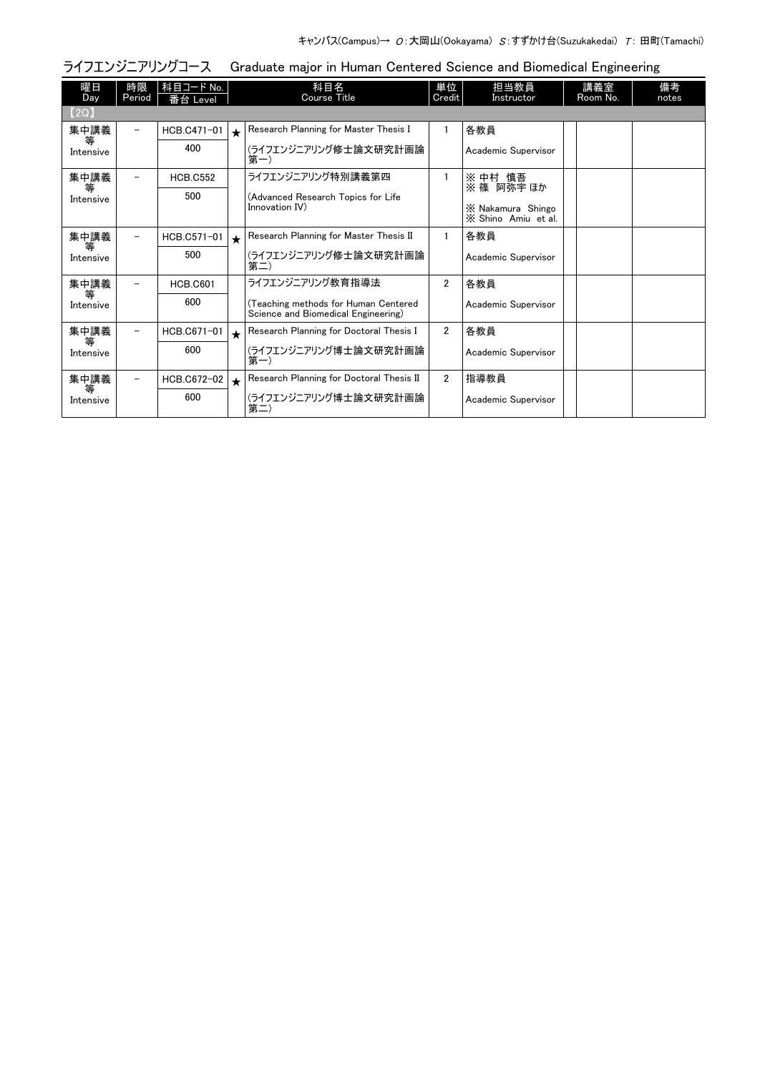| ライフエンジニアリングコース<br>Graduate major in Human Centered Science and Biomedical Engineering |              |                        |            |                                                                             |                |                                          |  |                 |             |  |  |
|---------------------------------------------------------------------------------------|--------------|------------------------|------------|-----------------------------------------------------------------------------|----------------|------------------------------------------|--|-----------------|-------------|--|--|
| 曜日<br>Day                                                                             | 時限<br>Period | │科目コード No.<br>番台 Level |            | 科目名<br>Course Title                                                         | 単位<br>Credit   | 担当教員<br>Instructor                       |  | 講義室<br>Room No. | 備考<br>notes |  |  |
| (2Q)                                                                                  |              |                        |            |                                                                             |                |                                          |  |                 |             |  |  |
| 集中講義                                                                                  | -            | HCB.C471-01            | $\bigstar$ | Research Planning for Master Thesis I                                       |                | 各教員                                      |  |                 |             |  |  |
| 等<br>Intensive                                                                        |              | 400                    |            | (ライフエンジニアリング修士論文研究計画論<br>第一)                                                |                | Academic Supervisor                      |  |                 |             |  |  |
| 集中講義                                                                                  |              | <b>HCB.C552</b>        |            | ライフエンジニアリング特別講義第四                                                           |                | ※ 中村 慎吾<br>※ 篠 阿弥宇 ほか                    |  |                 |             |  |  |
| 等<br>Intensive                                                                        |              | 500                    |            | (Advanced Research Topics for Life                                          |                |                                          |  |                 |             |  |  |
|                                                                                       |              |                        |            | Innovation IV)                                                              |                | X Nakamura Shingo<br>X Shino Amiu et al. |  |                 |             |  |  |
| 集中講義<br>等                                                                             | -            | HCB.C571-01            | $\star$    | Research Planning for Master Thesis II                                      |                | 各教員                                      |  |                 |             |  |  |
| Intensive                                                                             |              | 500                    |            | (ライフエンジニアリング修士論文研究計画論<br>第二)                                                |                | Academic Supervisor                      |  |                 |             |  |  |
| 集中講義<br>等                                                                             |              | <b>HCB.C601</b>        |            | ライフエンジニアリング教育指導法                                                            | $\overline{2}$ | 各教員                                      |  |                 |             |  |  |
| Intensive                                                                             |              | 600                    |            | (Teaching methods for Human Centered<br>Science and Biomedical Engineering) |                | Academic Supervisor                      |  |                 |             |  |  |
| 集中講義<br>等                                                                             | Ξ.           | HCB.C671-01            | $\star$    | Research Planning for Doctoral Thesis I                                     | $\overline{2}$ | 各教員                                      |  |                 |             |  |  |
| Intensive                                                                             |              | 600                    |            | (ライフエンジニアリング博士論文研究計画論<br>第一)                                                |                | Academic Supervisor                      |  |                 |             |  |  |
| 集中講義                                                                                  | -            | HCB.C672-02            | $\bigstar$ | Research Planning for Doctoral Thesis II                                    | $\overline{2}$ | 指導教員                                     |  |                 |             |  |  |
| 等<br>Intensive                                                                        |              | 600                    |            | (ライフエンジニアリング博士論文研究計画論<br>第二)                                                |                | Academic Supervisor                      |  |                 |             |  |  |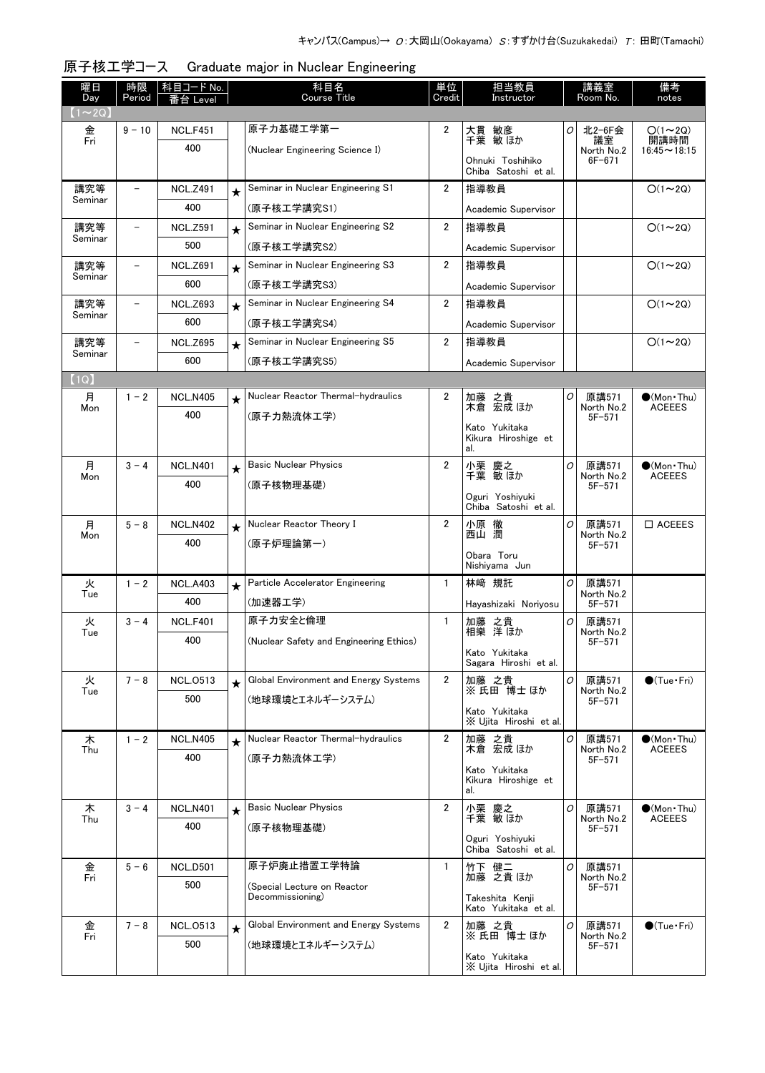| 曜日<br>Day      | 時限<br>Period | │ 科目コード No.<br>番台 Level |         | 科目名<br>Course Title                     | 単位<br>Credit   | 担当教員<br>Instructor            | 備考<br>講義室<br>Room No.<br>notes |                          |                                   |
|----------------|--------------|-------------------------|---------|-----------------------------------------|----------------|-------------------------------|--------------------------------|--------------------------|-----------------------------------|
| $(1 \sim 2Q)$  |              |                         |         |                                         |                |                               |                                |                          |                                   |
| 金<br>Fri       | $9 - 10$     | <b>NCL.F451</b>         |         | 原子力基礎工学第一                               | $\overline{2}$ | 大貫 敏彦                         | 0                              | 北2-6F会<br>議室             | $O(1\sim 2Q)$<br>開講時間             |
|                |              | 400                     |         | (Nuclear Engineering Science I)         |                | Ohnuki Toshihiko              |                                | North No.2<br>$6F - 671$ | $16:45 \sim 18:15$                |
|                |              |                         |         |                                         |                | Chiba Satoshi et al.          |                                |                          |                                   |
| 講究等<br>Seminar |              | <b>NCL.Z491</b>         | $\star$ | Seminar in Nuclear Engineering S1       | $\overline{2}$ | 指導教員                          |                                |                          | $O(1\sim 2Q)$                     |
|                |              | 400                     |         | (原子核工学講究S1)                             |                | Academic Supervisor           |                                |                          |                                   |
| 講究等<br>Seminar |              | <b>NCL.Z591</b>         | $\star$ | Seminar in Nuclear Engineering S2       | $\overline{2}$ | 指導教員                          |                                |                          | $O(1\sim 2Q)$                     |
|                |              | 500                     |         | (原子核工学講究S2)                             |                | Academic Supervisor           |                                |                          |                                   |
| 講究等<br>Seminar |              | <b>NCL.Z691</b>         | $\star$ | Seminar in Nuclear Engineering S3       | $\overline{2}$ | 指導教員                          |                                |                          | $O(1\sim 2Q)$                     |
|                |              | 600                     |         | (原子核工学講究S3)                             |                | Academic Supervisor           |                                |                          |                                   |
| 講究等<br>Seminar |              | <b>NCL.Z693</b>         | $\star$ | Seminar in Nuclear Engineering S4       | $\overline{2}$ | 指導教員                          |                                |                          | $O(1\sim 2Q)$                     |
|                |              | 600                     |         | (原子核工学講究S4)                             |                | Academic Supervisor           |                                |                          |                                   |
| 講究等<br>Seminar |              | <b>NCL.Z695</b>         | $\star$ | Seminar in Nuclear Engineering S5       | $\overline{2}$ | 指導教員                          |                                |                          | $O(1\sim 2Q)$                     |
|                |              | 600                     |         | (原子核工学講究S5)                             |                | Academic Supervisor           |                                |                          |                                   |
| (1Q)           |              |                         |         |                                         |                |                               |                                |                          |                                   |
| 月<br>Mon       | $1 - 2$      | <b>NCL.N405</b>         | $\star$ | Nuclear Reactor Thermal-hydraulics      | 2              | 加藤 之貴<br>木倉 宏成ほか              | 0                              | 原講571<br>North No.2      | $(Mon\cdot Thu)$<br><b>ACEEES</b> |
|                |              | 400                     |         | (原子力熱流体工学)                              |                | Kato Yukitaka                 |                                | $5F - 571$               |                                   |
|                |              |                         |         |                                         |                | Kikura Hiroshige et           |                                |                          |                                   |
| 月              | $3 - 4$      | <b>NCL.N401</b>         |         | <b>Basic Nuclear Physics</b>            | $\overline{2}$ | al.                           | 0                              | 原講571                    | $\bullet$ (Mon Thu)               |
| Mon            |              | 400                     | $\star$ | (原子核物理基礎)                               |                | 小栗 慶之<br>千葉 敏ほか               |                                | North No.2               | <b>ACEEES</b>                     |
|                |              |                         |         |                                         |                | Oguri Yoshiyuki               |                                | $5F - 571$               |                                   |
|                |              |                         |         |                                         |                | Chiba Satoshi et al.          |                                |                          |                                   |
| 月<br>Mon       | $5 - 8$      | <b>NCL.N402</b><br>400  | $\star$ | Nuclear Reactor Theory I                | $\overline{2}$ | 小原 徹<br>西山 潤                  | 0                              | 原講571<br>North No.2      | $\Box$ ACEEES                     |
|                |              |                         |         | (原子炉理論第一)                               |                | Obara Toru                    |                                | $5F - 571$               |                                   |
|                |              |                         |         |                                         |                | Nishiyama Jun                 |                                |                          |                                   |
| 火<br>Tue       | $1 - 2$      | <b>NCL.A403</b>         | $\star$ | Particle Accelerator Engineering        | $\mathbf{1}$   | 林崎 規託                         | 0                              | 原講571<br>North No.2      |                                   |
|                |              | 400                     |         | (加速器工学)                                 |                | Hayashizaki Noriyosu          |                                | $5F - 571$               |                                   |
| 火<br>Tue       | $3 - 4$      | <b>NCL.F401</b>         |         | 原子カ安全と倫理                                | $\mathbf{1}$   | 加藤 之貴<br>相樂 洋ほか               | 0                              | 原講571<br>North No.2      |                                   |
|                |              | 400                     |         | (Nuclear Safety and Engineering Ethics) |                | Kato Yukitaka                 |                                | $5F - 571$               |                                   |
|                |              |                         |         |                                         |                | Sagara Hiroshi et al.         |                                |                          |                                   |
| 火<br>Tue       | $7 - 8$      | <b>NCL.0513</b>         | $\star$ | Global Environment and Energy Systems   | $\overline{2}$ | 加藤 之貴<br>※氏田博士ほか              | 0                              | 原講571<br>North No.2      | $\bullet$ (Tue · Fri)             |
|                |              | 500                     |         | (地球環境とエネルギーシステム)                        |                | Kato Yukitaka                 |                                | $5F - 571$               |                                   |
|                |              |                         |         |                                         |                | X Ujita Hiroshi et al.        |                                |                          |                                   |
| 木<br>Thu       | $1 - 2$      | <b>NCL.N405</b>         | $\star$ | Nuclear Reactor Thermal-hydraulics      | $\overline{2}$ | 加藤 之貴<br>木倉 宏成 ほか             | 0                              | 原講571<br>North No.2      | $(Mon$ Thu)<br><b>ACEEES</b>      |
|                |              | 400                     |         | (原子力熱流体工学)                              |                | Kato Yukitaka                 |                                | $5F - 571$               |                                   |
|                |              |                         |         |                                         |                | Kikura Hiroshige et<br>al.    |                                |                          |                                   |
| 木              | $3 - 4$      | <b>NCL.N401</b>         |         | <b>Basic Nuclear Physics</b>            | $\overline{2}$ |                               | 0                              | 原講571                    | $(Mon$ Thu)                       |
| Thu            |              | 400                     | $\star$ | (原子核物理基礎)                               |                | 小栗 慶之<br>千葉 敏ほか               |                                | North No.2<br>$5F - 571$ | <b>ACEEES</b>                     |
|                |              |                         |         |                                         |                | Oguri Yoshiyuki               |                                |                          |                                   |
|                | $5 - 6$      | <b>NCL.D501</b>         |         | 原子炉廃止措置工学特論                             | $\mathbf{1}$   | Chiba Satoshi et al.<br>竹下 健二 | $\sigma$                       | 原講571                    |                                   |
| 金<br>Fri       |              | 500                     |         | (Special Lecture on Reactor             |                | 加藤 之貴 ほか                      |                                | North No.2               |                                   |
|                |              |                         |         | Decommissioning)                        |                | Takeshita Kenji               |                                | $5F - 571$               |                                   |
|                |              |                         |         | Global Environment and Energy Systems   |                | Kato Yukitaka et al.          |                                |                          |                                   |
| 金<br>Fri       | $7 - 8$      | <b>NCL.0513</b>         | $\star$ |                                         | $\mathbf{2}$   | 加藤 之貴<br>※氏田博士ほか              | 0                              | 原講571<br>North No.2      | $\bullet$ (Tue · Fri)             |
|                |              | 500                     |         | (地球環境とエネルギーシステム)                        |                | Kato Yukitaka                 |                                | $5F - 571$               |                                   |
|                |              |                         |         |                                         |                | X Ujita Hiroshi et al.        |                                |                          |                                   |

原子核工学コース Graduate major in Nuclear Engineering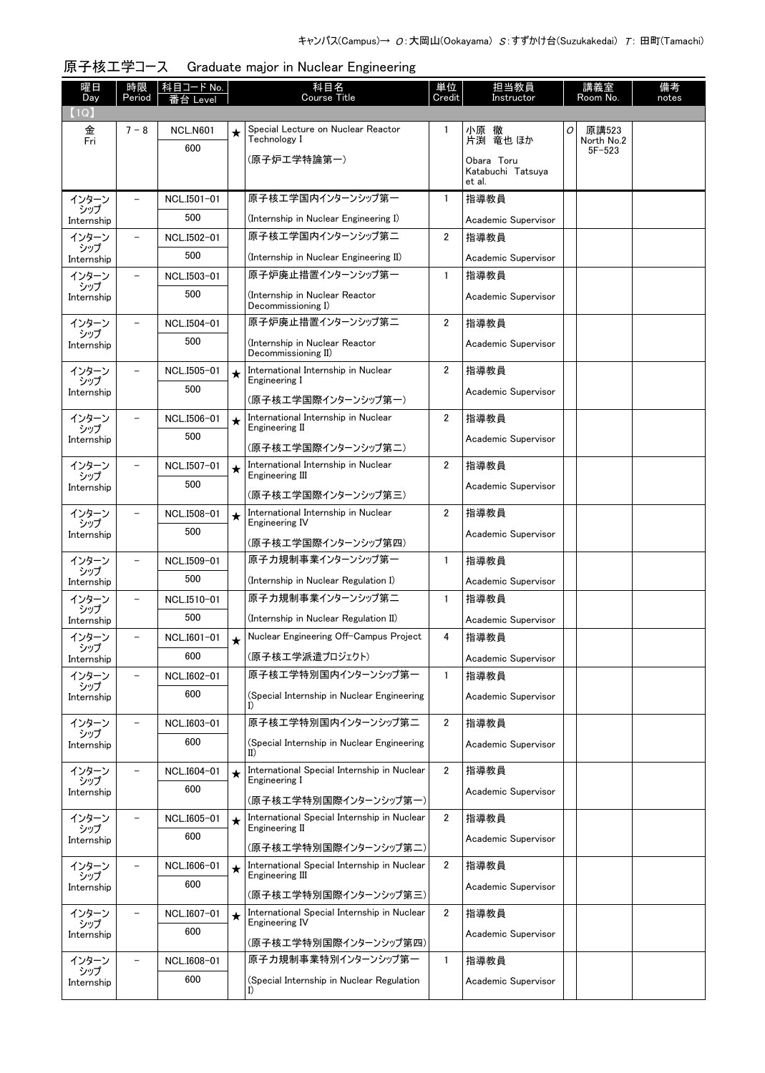| 曜日<br>Day         | 時限<br>Period             | 科目コード No.<br>昏台 Level |         | 科目名<br><b>Course Title</b>                                     | 単位<br>Credit            | 担当教員<br>Instructor          |   | 講義室<br>Room No.     | 備考<br>notes |
|-------------------|--------------------------|-----------------------|---------|----------------------------------------------------------------|-------------------------|-----------------------------|---|---------------------|-------------|
| (1Q)              |                          |                       |         |                                                                |                         |                             |   |                     |             |
| 金<br>Fri          | $7 - 8$                  | <b>NCL.N601</b>       | $\star$ | Special Lecture on Nuclear Reactor<br>Technology I             | $\mathbf{1}$            | 小原 徹<br>片渕 竜也 ほか            | 0 | 原講523<br>North No.2 |             |
|                   |                          | 600                   |         | (原子炉工学特論第一)                                                    |                         | Obara Toru                  |   | $5F - 523$          |             |
|                   |                          |                       |         |                                                                |                         | Katabuchi Tatsuya<br>et al. |   |                     |             |
| インターン<br>シップ      |                          | NCL.I501-01           |         | 原子核工学国内インターンシップ第一                                              | $\mathbf{1}$            | 指導教員                        |   |                     |             |
| Internship        |                          | 500                   |         | (Internship in Nuclear Engineering I)                          |                         | Academic Supervisor         |   |                     |             |
| インターン<br>シップ      |                          | NCL.I502-01           |         | 原子核エ学国内インターンシップ第二                                              | $\overline{2}$          | 指導教員                        |   |                     |             |
| Internship        |                          | 500                   |         | (Internship in Nuclear Engineering II)                         |                         | Academic Supervisor         |   |                     |             |
| インターン<br>シップ      |                          | NCL.I503-01           |         | 原子炉廃止措置インターンシップ第一                                              | $\mathbf{1}$            | 指導教員                        |   |                     |             |
| Internship        |                          | 500                   |         | (Internship in Nuclear Reactor<br>Decommissioning I)           |                         | Academic Supervisor         |   |                     |             |
| インターン<br>シップ      |                          | NCL.I504-01           |         | 原子炉廃止措置インターンシップ第二                                              | $\overline{2}$          | 指導教員                        |   |                     |             |
| Internship        |                          | 500                   |         | (Internship in Nuclear Reactor<br>Decommissioning II)          |                         | Academic Supervisor         |   |                     |             |
| インターン             | $\equiv$                 | NCL.I505-01           | $\star$ | International Internship in Nuclear<br>Engineering I           | $\overline{2}$          | 指導教員                        |   |                     |             |
| シップ<br>Internship |                          | 500                   |         | (原子核工学国際インターンシップ第一)                                            |                         | Academic Supervisor         |   |                     |             |
| インターン             | $\overline{\phantom{m}}$ | NCL.I506-01           | $\star$ | International Internship in Nuclear                            | 2                       | 指導教員                        |   |                     |             |
| シップ<br>Internship |                          | 500                   |         | Engineering II                                                 |                         | Academic Supervisor         |   |                     |             |
|                   |                          |                       |         | (原子核工学国際インターンシップ第二)                                            |                         |                             |   |                     |             |
| インターン<br>シップ      | $\overline{\phantom{0}}$ | NCL.I507-01           | $\star$ | International Internship in Nuclear<br>Engineering III         | $\mathbf{2}$            | 指導教員                        |   |                     |             |
| Internship        |                          | 500                   |         | (原子核工学国際インターンシップ第三)                                            |                         | Academic Supervisor         |   |                     |             |
| インターン<br>シップ      |                          | NCL.I508-01           | $\star$ | International Internship in Nuclear<br>Engineering IV          | $\overline{\mathbf{2}}$ | 指導教員                        |   |                     |             |
| Internship        |                          | 500                   |         | (原子核工学国際インターンシップ第四)                                            |                         | Academic Supervisor         |   |                     |             |
| インターン             |                          | NCL.I509-01           |         | 原子力規制事業インターンシップ第一                                              | 1                       | 指導教員                        |   |                     |             |
| シップ<br>Internship |                          | 500                   |         | (Internship in Nuclear Regulation I)                           |                         | Academic Supervisor         |   |                     |             |
| インターン             |                          | NCL.I510-01           |         | 原子力規制事業インターンシップ第二                                              | $\mathbf{1}$            | 指導教員                        |   |                     |             |
| シップ<br>Internship |                          | 500                   |         | (Internship in Nuclear Regulation II)                          |                         | Academic Supervisor         |   |                     |             |
| インターン             |                          | NCL.I601-01           | $\star$ | Nuclear Engineering Off-Campus Project                         | 4                       | 指導教員                        |   |                     |             |
| シップ<br>Internship |                          | 600                   |         | (原子核工学派遣プロジェクト)                                                |                         | Academic Supervisor         |   |                     |             |
| インターン             |                          | NCL.I602-01           |         | 原子核工学特別国内インターンシップ第一                                            | $\mathbf{1}$            | 指導教員                        |   |                     |             |
| シップ<br>Internship |                          | 600                   |         | (Special Internship in Nuclear Engineering<br>I)               |                         | Academic Supervisor         |   |                     |             |
| インターン             | $\qquad \qquad -$        | NCL.I603-01           |         | 原子核工学特別国内インターンシップ第二                                            | $\overline{2}$          | 指導教員                        |   |                     |             |
| シップ<br>Internship |                          | 600                   |         | (Special Internship in Nuclear Engineering<br>$_{\rm II}$      |                         | Academic Supervisor         |   |                     |             |
| インターン             | $\overline{\phantom{a}}$ | NCL.I604-01           | $\star$ | International Special Internship in Nuclear                    | $\overline{2}$          | 指導教員                        |   |                     |             |
| シップ<br>Internship |                          | 600                   |         | Engineering I<br>(原子核工学特別国際インターンシップ第一)                         |                         | Academic Supervisor         |   |                     |             |
| インターン             | $\overline{\phantom{a}}$ | NCL.I605-01           | $\star$ | International Special Internship in Nuclear                    | $\overline{2}$          | 指導教員                        |   |                     |             |
| シップ<br>Internship |                          | 600                   |         | Engineering II                                                 |                         | Academic Supervisor         |   |                     |             |
|                   |                          |                       |         | (原子核工学特別国際インターンシップ第二)                                          |                         |                             |   |                     |             |
| インターン<br>シップ      |                          | NCL.I606-01           | $\star$ | International Special Internship in Nuclear<br>Engineering III | $\overline{2}$          | 指導教員                        |   |                     |             |
| Internship        |                          | 600                   |         | (原子核工学特別国際インターンシップ第三)                                          |                         | Academic Supervisor         |   |                     |             |
| インターン             |                          | NCL.I607-01           | $\star$ | International Special Internship in Nuclear<br>Engineering IV  | $\overline{2}$          | 指導教員                        |   |                     |             |
| シップ<br>Internship |                          | 600                   |         | (原子核工学特別国際インターンシップ第四)                                          |                         | Academic Supervisor         |   |                     |             |
| インターン             | $\overline{\phantom{m}}$ | NCL.I608-01           |         | 原子力規制事業特別インターンシップ第一                                            | $\mathbf{1}$            | 指導教員                        |   |                     |             |
| シップ<br>Internship |                          | 600                   |         | (Special Internship in Nuclear Regulation                      |                         | Academic Supervisor         |   |                     |             |
|                   |                          |                       |         | I)                                                             |                         |                             |   |                     |             |

## 原子核工学コース Graduate major in Nuclear Engineering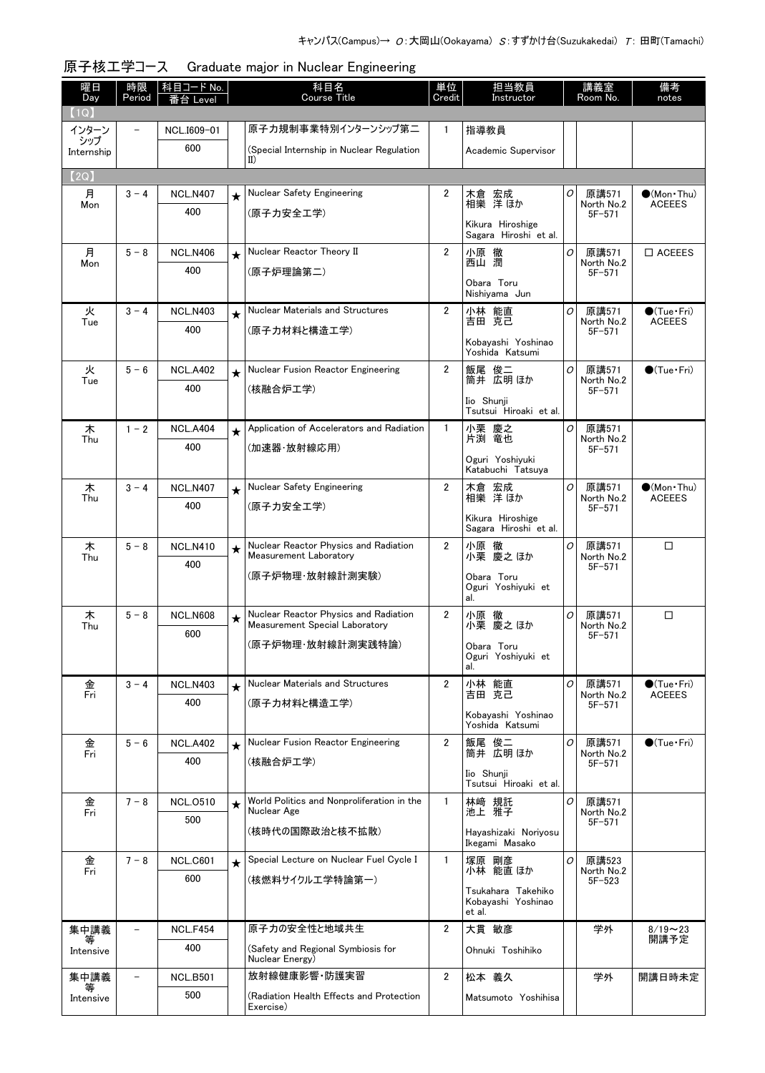| 曜日                | 時限                       | │科目コード No.             |         | 科目名                                                             | 単位             | 担当教員                                               |   | 講義室                      | 備考                                   |
|-------------------|--------------------------|------------------------|---------|-----------------------------------------------------------------|----------------|----------------------------------------------------|---|--------------------------|--------------------------------------|
| Day<br>(1Q)       | Period                   | 番台 Level               |         | Course Title                                                    | Credit         | Instructor                                         |   | Room No.                 | notes                                |
| インターン             |                          | NCL.I609-01            |         | 原子力規制事業特別インターンシップ第二                                             | $\mathbf{1}$   | 指導教員                                               |   |                          |                                      |
| シップ<br>Internship |                          | 600                    |         | (Special Internship in Nuclear Regulation                       |                | Academic Supervisor                                |   |                          |                                      |
|                   |                          |                        |         | II)                                                             |                |                                                    |   |                          |                                      |
| (2Q)              |                          |                        |         | Nuclear Safety Engineering                                      | $\overline{2}$ |                                                    |   |                          |                                      |
| 月<br>Mon          | $3 - 4$                  | <b>NCL.N407</b><br>400 | $\star$ |                                                                 |                | 木倉 宏成<br>相樂 洋ほか                                    | 0 | 原講571<br>North No.2      | $\bullet$ (Mon•Thu)<br><b>ACEEES</b> |
|                   |                          |                        |         | (原子力安全工学)                                                       |                | Kikura Hiroshige<br>Sagara Hiroshi et al.          |   | $5F - 571$               |                                      |
| 月                 | $5 - 8$                  | <b>NCL.N406</b>        | $\star$ | Nuclear Reactor Theory II                                       | $\overline{2}$ | 小原 徹                                               | O | 原講571                    | $\square$ ACEEES                     |
| Mon               |                          | 400                    |         | (原子炉理論第二)                                                       |                | 西山 潤                                               |   | North No.2<br>$5F - 571$ |                                      |
|                   |                          |                        |         |                                                                 |                | Obara Toru<br>Nishiyama Jun                        |   |                          |                                      |
| 火                 | $3 - 4$                  | <b>NCL.N403</b>        | $\star$ | Nuclear Materials and Structures                                | $\overline{2}$ | 小林 能直                                              | 0 | 原講571                    | $\bigcirc$ (Tue · Fri)               |
| Tue               |                          | 400                    |         | (原子力材料と構造工学)                                                    |                | 吉田 克己                                              |   | North No.2<br>$5F - 571$ | <b>ACEEES</b>                        |
|                   |                          |                        |         |                                                                 |                | Kobayashi Yoshinao<br>Yoshida Katsumi              |   |                          |                                      |
| 火                 | $5 - 6$                  | <b>NCL.A402</b>        | $\star$ | Nuclear Fusion Reactor Engineering                              | $\overline{2}$ | 飯尾 俊二<br>筒井 広明ほか                                   | 0 | 原講571                    | $\bigcirc$ (Tue · Fri)               |
| Tue               |                          | 400                    |         | (核融合炉工学)                                                        |                |                                                    |   | North No.2<br>$5F - 571$ |                                      |
|                   |                          |                        |         |                                                                 |                | Iio Shunji<br>Tsutsui Hiroaki et al.               |   |                          |                                      |
| 木                 | $1 - 2$                  | <b>NCL.A404</b>        | $\star$ | Application of Accelerators and Radiation                       | $\mathbf{1}$   | 小栗 慶之                                              | 0 | 原講571                    |                                      |
| Thu               |                          | 400                    |         | (加速器·放射線応用)                                                     |                | 片渕 竜也                                              |   | North No.2<br>$5F - 571$ |                                      |
|                   |                          |                        |         |                                                                 |                | Oguri Yoshiyuki<br>Katabuchi Tatsuya               |   |                          |                                      |
| 木<br>Thu          | $3 - 4$                  | <b>NCL.N407</b>        | $\star$ | Nuclear Safety Engineering                                      | $\overline{2}$ | 木倉 宏成<br>相樂 洋ほか                                    | O | 原講571<br>North No.2      | $\bullet$ (Mon•Thu)<br><b>ACEEES</b> |
|                   |                          | 400                    |         | (原子力安全工学)                                                       |                |                                                    |   | $5F - 571$               |                                      |
|                   |                          |                        |         |                                                                 |                | Kikura Hiroshige<br>Sagara Hiroshi et al.          |   |                          |                                      |
| 木                 | $5 - 8$                  | <b>NCL.N410</b>        | $\star$ | Nuclear Reactor Physics and Radiation<br>Measurement Laboratory | $\overline{2}$ | 小原 徹<br>小栗 慶之 ほか                                   | 0 | 原講571<br>North No.2      | $\Box$                               |
| Thu               |                          | 400                    |         |                                                                 |                |                                                    |   | $5F - 571$               |                                      |
|                   |                          |                        |         | (原子炉物理·放射線計測実験)                                                 |                | Obara Toru<br>Oguri Yoshiyuki et                   |   |                          |                                      |
| 木                 | $5 - 8$                  | <b>NCL.N608</b>        |         | Nuclear Reactor Physics and Radiation                           | $\overline{2}$ | al.<br>小原 徹                                        | O | 原講571                    | □                                    |
| Thu               |                          | 600                    | $\star$ | Measurement Special Laboratory                                  |                | 小栗 慶之 ほか                                           |   | North No.2               |                                      |
|                   |                          |                        |         | (原子炉物理·放射線計測実践特論)                                               |                | Obara Toru                                         |   | $5F - 571$               |                                      |
|                   |                          |                        |         |                                                                 |                | Oguri Yoshiyuki et<br>al.                          |   |                          |                                      |
| 金<br>Fri          | $3 - 4$                  | <b>NCL.N403</b>        | $\star$ | Nuclear Materials and Structures                                | $\overline{2}$ | 小林 能直<br>吉田 克己                                     | 0 | 原講571                    | $\bigcirc$ (Tue $\cdot$ Fri)         |
|                   |                          | 400                    |         | (原子力材料と構造工学)                                                    |                |                                                    |   | North No.2<br>$5F - 571$ | <b>ACEEES</b>                        |
|                   |                          |                        |         |                                                                 |                | Kobayashi Yoshinao<br>Yoshida Katsumi              |   |                          |                                      |
| 金<br>Fri          | $5 - 6$                  | <b>NCL.A402</b>        | $\star$ | Nuclear Fusion Reactor Engineering                              | $\overline{2}$ | 飯尾 俊二<br>筒井 広明ほか                                   | 0 | 原講571<br>North No.2      | $\bigcirc$ (Tue Fri)                 |
|                   |                          | 400                    |         | (核融合炉工学)                                                        |                |                                                    |   | $5F - 571$               |                                      |
|                   |                          |                        |         |                                                                 |                | Iio Shunji<br>Tsutsui Hiroaki et al.               |   |                          |                                      |
| 金                 | $7 - 8$                  | <b>NCL.0510</b>        | ★       | World Politics and Nonproliferation in the<br>Nuclear Age       | $\mathbf{1}$   | 林崎 規託<br>池上 雅子                                     | 0 | 原講571                    |                                      |
| Fri               |                          | 500                    |         |                                                                 |                |                                                    |   | North No.2<br>$5F - 571$ |                                      |
|                   |                          |                        |         | (核時代の国際政治と核不拡散)                                                 |                | Hayashizaki Noriyosu<br>Ikegami Masako             |   |                          |                                      |
| 金<br>Fri          | $7 - 8$                  | <b>NCL.C601</b>        | $\star$ | Special Lecture on Nuclear Fuel Cycle I                         | $\mathbf{1}$   | 塚原 剛彦<br>小林 能直 ほか                                  | 0 | 原講523                    |                                      |
|                   |                          | 600                    |         | (核燃料サイクルエ学特論第一)                                                 |                |                                                    |   | North No.2<br>$5F - 523$ |                                      |
|                   |                          |                        |         |                                                                 |                | Tsukahara Takehiko<br>Kobayashi Yoshinao<br>et al. |   |                          |                                      |
| 集中講義              |                          | <b>NCL.F454</b>        |         | 原子力の安全性と地域共生                                                    | $\overline{2}$ | 大貫 敏彦                                              |   | 学外                       | $8/19 - 23$                          |
| 等<br>Intensive    |                          | 400                    |         | (Safety and Regional Symbiosis for<br>Nuclear Energy)           |                | Ohnuki Toshihiko                                   |   |                          | 開講予定                                 |
| 集中講義              | $\overline{\phantom{a}}$ | <b>NCL.B501</b>        |         | 放射線健康影響 防護実習                                                    | $\overline{2}$ | 松本 義久                                              |   | 学外                       | 開講日時未定                               |
| 等<br>Intensive    |                          | 500                    |         | (Radiation Health Effects and Protection                        |                | Matsumoto Yoshihisa                                |   |                          |                                      |
|                   |                          |                        |         | Exercise)                                                       |                |                                                    |   |                          |                                      |

## 原子核工学コース Graduate major in Nuclear Engineering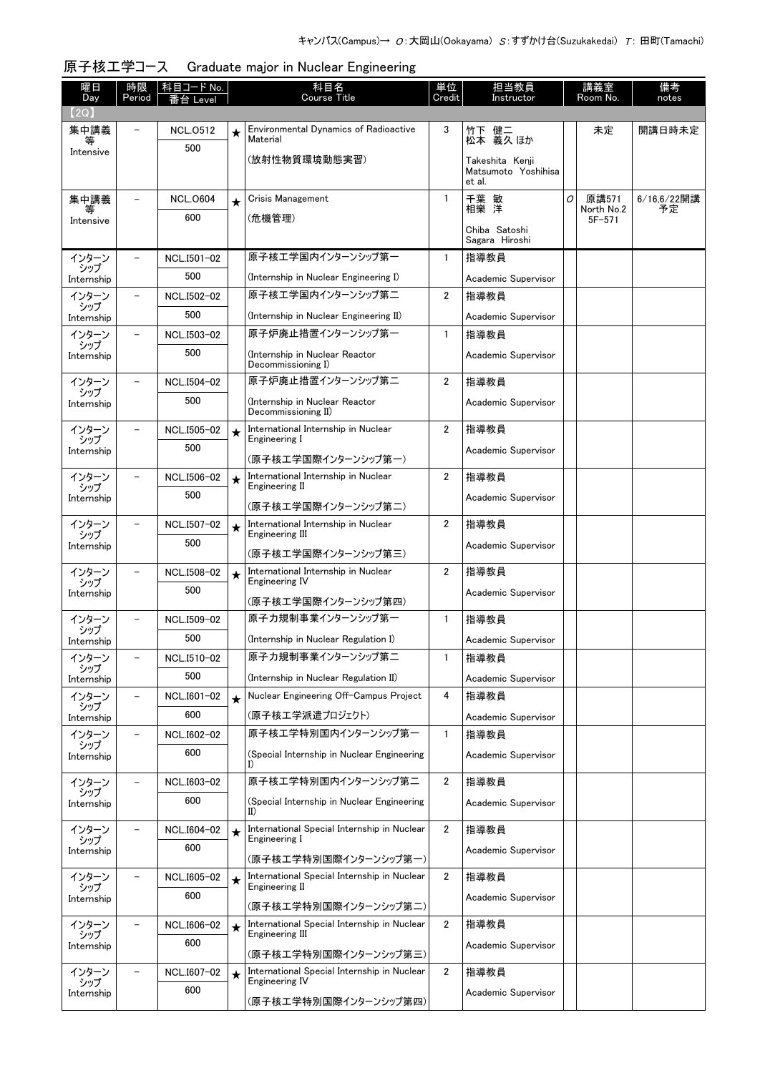| 曜日<br>Day         | 時限<br>Period             | 科目コード No.       |         | 科目名<br>Course Title                                            | 単位<br>Credit   | 担当教員<br>Instructor            |   | 講義室<br>Room No.     | 備考<br>notes       |
|-------------------|--------------------------|-----------------|---------|----------------------------------------------------------------|----------------|-------------------------------|---|---------------------|-------------------|
| (2Q)              |                          | Level           |         |                                                                |                |                               |   |                     |                   |
| 集中講義              |                          | <b>NCL.0512</b> | $\star$ | <b>Environmental Dynamics of Radioactive</b><br>Material       | 3              | 竹下 健二<br>松本 義久 ほか             |   | 未定                  | 開講日時未定            |
| Intensive         |                          | 500             |         | (放射性物質環境動態実習)                                                  |                | Takeshita Kenji               |   |                     |                   |
|                   |                          |                 |         |                                                                |                | Matsumoto Yoshihisa<br>et al. |   |                     |                   |
| 集中講義              |                          | <b>NCL.0604</b> | $\star$ | Crisis Management                                              | $\mathbf{1}$   | 千葉 敏<br>相樂 洋                  | 0 | 原講571<br>North No.2 | 6/16,6/22開講<br>予定 |
| Intensive         |                          | 600             |         | (危機管理)                                                         |                | Chiba Satoshi                 |   | $5F - 571$          |                   |
|                   |                          |                 |         |                                                                |                | Sagara Hiroshi                |   |                     |                   |
| インターン<br>シップ      | $\qquad \qquad -$        | NCL.I501-02     |         | 原子核エ学国内インターンシップ第一                                              | 1              | 指導教員                          |   |                     |                   |
| Internship        |                          | 500             |         | (Internship in Nuclear Engineering I)                          |                | Academic Supervisor           |   |                     |                   |
| インターン<br>シップ      | $\overline{\phantom{a}}$ | NCL.I502-02     |         | 原子核工学国内インターンシップ第二                                              | $\overline{2}$ | 指導教員                          |   |                     |                   |
| Internship        |                          | 500             |         | (Internship in Nuclear Engineering II)                         |                | Academic Supervisor           |   |                     |                   |
| インターン<br>シップ      | $\overline{\phantom{a}}$ | NCL.I503-02     |         | 原子炉廃止措置インターンシップ第一                                              | $\mathbf{1}$   | 指導教員                          |   |                     |                   |
| Internship        |                          | 500             |         | (Internship in Nuclear Reactor<br>Decommissioning I)           |                | Academic Supervisor           |   |                     |                   |
| インターン<br>シップ      | $\overline{\phantom{0}}$ | NCL.I504-02     |         | 原子炉廃止措置インターンシップ第二                                              | $\overline{2}$ | 指導教員                          |   |                     |                   |
| Internship        |                          | 500             |         | (Internship in Nuclear Reactor<br>Decommissioning II)          |                | Academic Supervisor           |   |                     |                   |
| インターン<br>シップ      |                          | NCL.I505-02     | $\star$ | International Internship in Nuclear<br>Engineering I           | $\overline{2}$ | 指導教員                          |   |                     |                   |
| Internship        |                          | 500             |         | (原子核工学国際インターンシップ第一)                                            |                | Academic Supervisor           |   |                     |                   |
| インターン             |                          | NCL.I506-02     | $\star$ | International Internship in Nuclear<br>Engineering II          | 2              | 指導教員                          |   |                     |                   |
| シップ<br>Internship |                          | 500             |         | (原子核工学国際インターンシップ第二)                                            |                | Academic Supervisor           |   |                     |                   |
| インターン             | $\overline{\phantom{0}}$ | NCL.I507-02     | $\star$ | International Internship in Nuclear                            | 2              | 指導教員                          |   |                     |                   |
| シップ<br>Internship |                          | 500             |         | Engineering III                                                |                | Academic Supervisor           |   |                     |                   |
| インターン             |                          | NCL.I508-02     |         | (原子核工学国際インターンシップ第三)<br>International Internship in Nuclear     | $\overline{2}$ | 指導教員                          |   |                     |                   |
| シップ               |                          | 500             | $\star$ | <b>Engineering IV</b>                                          |                |                               |   |                     |                   |
| Internship        |                          |                 |         | (原子核工学国際インターンシップ第四)                                            |                | Academic Supervisor           |   |                     |                   |
| インターン<br>シップ      |                          | NCL.I509-02     |         | 原子力規制事業インターンシップ第一                                              | 1              | 指導教員                          |   |                     |                   |
| Internship        |                          | 500             |         | (Internship in Nuclear Regulation I)                           |                | Academic Supervisor           |   |                     |                   |
| インターン<br>シップ      |                          | NCL.I510-02     |         | 原子力規制事業インターンシップ第二                                              | 1              | 指導教員                          |   |                     |                   |
| Internship        |                          | 500             |         | (Internship in Nuclear Regulation II)                          |                | Academic Supervisor           |   |                     |                   |
| インターン<br>シップ      |                          | NCL.I601-02     | $\star$ | Nuclear Engineering Off-Campus Project                         | 4              | 指導教員                          |   |                     |                   |
| Internship        |                          | 600             |         | (原子核エ学派遣プロジェクト)                                                |                | Academic Supervisor           |   |                     |                   |
| インターン<br>シップ      |                          | NCL.I602-02     |         | 原子核工学特別国内インターンシップ第一                                            | 1              | 指導教員                          |   |                     |                   |
| Internship        |                          | 600             |         | (Special Internship in Nuclear Engineering<br>I)               |                | Academic Supervisor           |   |                     |                   |
| インターン<br>シップ      |                          | NCL.I603-02     |         | 原子核工学特別国内インターンシップ第二                                            | $\overline{2}$ | 指導教員                          |   |                     |                   |
| Internship        |                          | 600             |         | (Special Internship in Nuclear Engineering<br>II)              |                | Academic Supervisor           |   |                     |                   |
| インターン             |                          | NCL.I604-02     | $\star$ | International Special Internship in Nuclear<br>Engineering I   | 2              | 指導教員                          |   |                     |                   |
| シップ<br>Internship |                          | 600             |         | (原子核工学特別国際インターンシップ第一)                                          |                | Academic Supervisor           |   |                     |                   |
| インターン             | $\overline{\phantom{a}}$ | NCL.I605-02     | $\star$ | International Special Internship in Nuclear                    | $\overline{2}$ | 指導教員                          |   |                     |                   |
| シップ<br>Internship |                          | 600             |         | Engineering II                                                 |                | Academic Supervisor           |   |                     |                   |
|                   |                          |                 |         | (原子核工学特別国際インターンシップ第二)                                          |                |                               |   |                     |                   |
| インターン<br>シップ      | $\overline{\phantom{a}}$ | NCL.I606-02     | $\star$ | International Special Internship in Nuclear<br>Engineering III | $\overline{2}$ | 指導教員                          |   |                     |                   |
| Internship        |                          | 600             |         | (原子核工学特別国際インターンシップ第三)                                          |                | Academic Supervisor           |   |                     |                   |
| インターン             |                          | NCL.I607-02     | $\star$ | International Special Internship in Nuclear                    | $\mathbf{2}$   | 指導教員                          |   |                     |                   |
| シップ<br>Internship |                          | 600             |         | Engineering IV                                                 |                | Academic Supervisor           |   |                     |                   |
|                   |                          |                 |         | (原子核工学特別国際インターンシップ第四)                                          |                |                               |   |                     |                   |

## 原子核工学コース Graduate major in Nuclear Engineering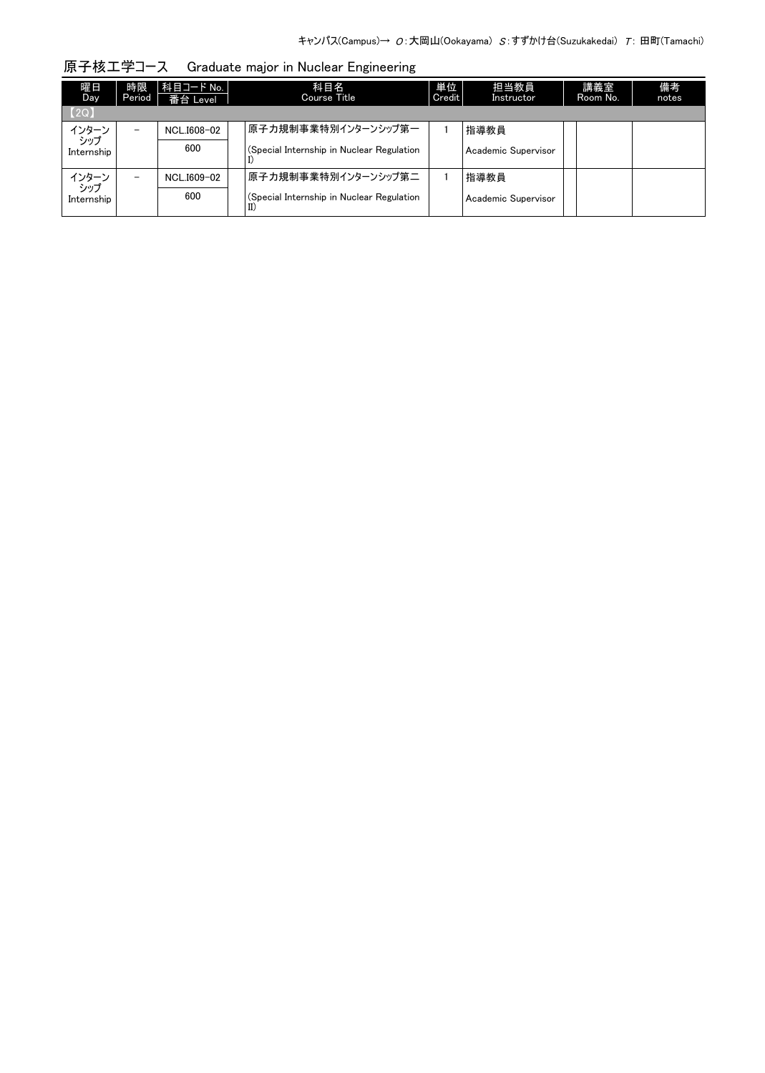| 原子核工学コース Graduate major in Nuclear Engineering |  |
|------------------------------------------------|--|
|                                                |  |

| 曜日<br>Day.     | 時限<br>Period             | 科目コード No.  <br>番台 Level | 科目名<br>Course Title                       | 単位<br>Credit | 担当教員<br>Instructor  | 講義室<br>Room No. | 備考<br>notes |
|----------------|--------------------------|-------------------------|-------------------------------------------|--------------|---------------------|-----------------|-------------|
| [2Q]           |                          |                         |                                           |              |                     |                 |             |
| インターン<br>- シップ | -                        | NCL.I608-02             | 原子力規制事業特別インターンシップ第一                       |              | 指導教員                |                 |             |
| Internship     |                          | 600                     | (Special Internship in Nuclear Regulation |              | Academic Supervisor |                 |             |
| インターン<br>- シップ | $\overline{\phantom{0}}$ | NCL.I609-02             | 原子力規制事業特別インターンシップ第二                       |              | 指導教員                |                 |             |
| Internship     |                          | 600                     | (Special Internship in Nuclear Regulation |              | Academic Supervisor |                 |             |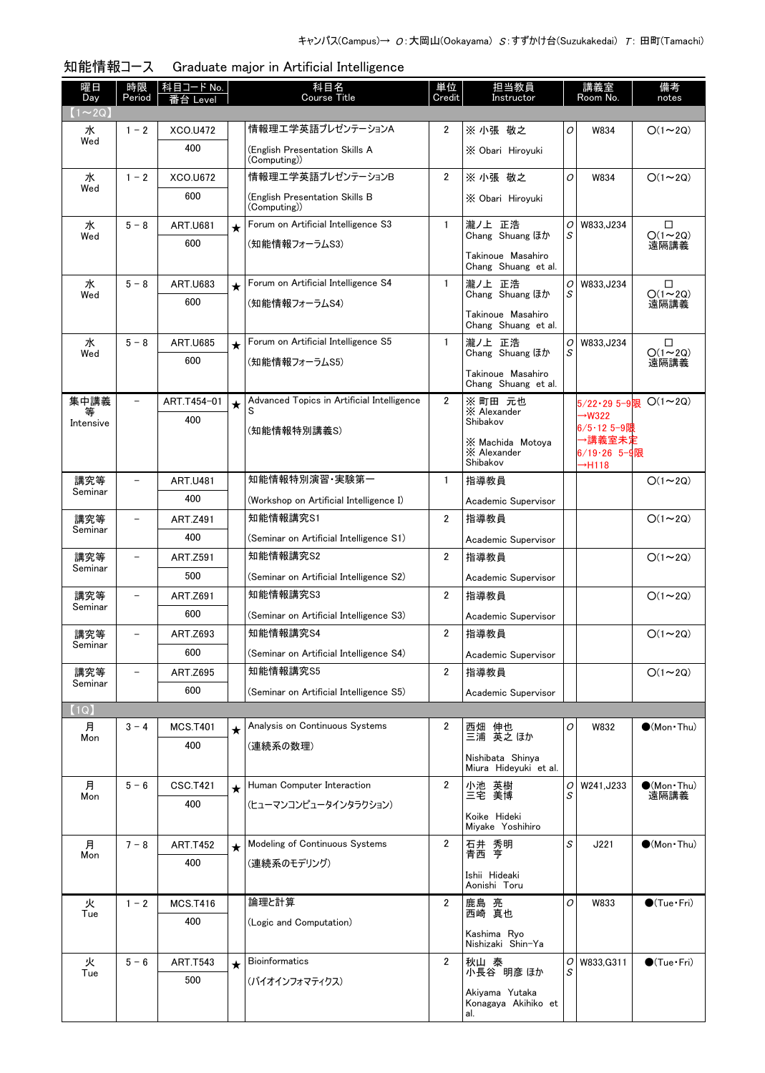| 曜日<br>Day      | 時限<br>Period             | 科目コード No.<br>番台 Level  |         | 科目名<br><b>Course Title</b>                      | 単位<br>Credit   | 担当教員<br>Instructor                        |        | 講義室<br>Room No.                        | 備考<br>notes                    |
|----------------|--------------------------|------------------------|---------|-------------------------------------------------|----------------|-------------------------------------------|--------|----------------------------------------|--------------------------------|
| $(1\sim2Q)$    |                          |                        |         |                                                 |                |                                           |        |                                        |                                |
| 水<br>Wed       | $1 - 2$                  | XCO.U472               |         | 情報理工学英語プレゼンテーションA                               | $\overline{2}$ | ※ 小張 敬之                                   | O      | W834                                   | $O(1\sim 2Q)$                  |
|                |                          | 400                    |         | (English Presentation Skills A<br>(Computing))  |                | X Obari Hiroyuki                          |        |                                        |                                |
| 水<br>Wed       | $1 - 2$                  | XCO.U672               |         | 情報理工学英語プレゼンテーションB                               | $\overline{2}$ | ※ 小張 敬之                                   | O      | W834                                   | $O(1\sim 2Q)$                  |
|                |                          | 600                    |         | (English Presentation Skills B<br>(Computing))  |                | X Obari Hiroyuki                          |        |                                        |                                |
| 水              | $5 - 8$                  | <b>ART.U681</b>        | $\star$ | Forum on Artificial Intelligence S3             | $\mathbf{1}$   | 瀧ノ上 正浩                                    | 0      | W833, J234                             | □                              |
| Wed            |                          | 600                    |         | (知能情報フォーラムS3)                                   |                | Chang Shuang ほか                           | S      |                                        | $O(1 \sim 2Q)$<br>遠隔講義         |
|                |                          |                        |         |                                                 |                | Takinoue Masahiro<br>Chang Shuang et al.  |        |                                        |                                |
| 水              | $5 - 8$                  | <b>ART.U683</b>        | $\star$ | Forum on Artificial Intelligence S4             | $\mathbf{1}$   | 瀧ノ上 正浩<br>Chang Shuang ほか                 | 0<br>S | W833, J234                             | □<br>$O(1\sim 2Q)$             |
| Wed            |                          | 600                    |         | (知能情報フォーラムS4)                                   |                |                                           |        |                                        | 遠隔講義                           |
|                |                          |                        |         |                                                 |                | Takinoue Masahiro<br>Chang Shuang et al.  |        |                                        |                                |
| 水              | $5 - 8$                  | <b>ART.U685</b>        | $\star$ | Forum on Artificial Intelligence S5             | $\mathbf{1}$   | 瀧ノ上 正浩<br>Chang Shuang ほか                 | 0<br>S | W833, J234                             | $\Box$<br>$O(1\sim 2Q)$        |
| Wed            |                          | 600                    |         | (知能情報フォーラムS5)                                   |                |                                           |        |                                        | 遠隔講義                           |
|                |                          |                        |         |                                                 |                | Takinoue Masahiro<br>Chang Shuang et al.  |        |                                        |                                |
| 集中講義<br>等      | $\overline{\phantom{a}}$ | ART.T454-01            | $\star$ | Advanced Topics in Artificial Intelligence<br>S | $\overline{2}$ | ※ 町田 元也<br>X Alexander                    |        |                                        | $5/22 \cdot 295 - 9$ 限 O(1~2Q) |
| Intensive      |                          | 400                    |         | (知能情報特別講義S)                                     |                | Shibakov                                  |        | $\rightarrow$ W322<br>6/5・12 5−9阻      |                                |
|                |                          |                        |         |                                                 |                | X Machida Motova                          |        | →講義室未定                                 |                                |
|                |                          |                        |         |                                                 |                | X Alexander<br>Shibakov                   |        | 6/19 - 26 5 - 9限<br>$\rightarrow$ H118 |                                |
| 講究等            |                          | <b>ART.U481</b>        |         | 知能情報特別演習·実験第一                                   | $\mathbf{1}$   | 指導教員                                      |        |                                        | $O(1\sim 2Q)$                  |
| Seminar        |                          | 400                    |         | (Workshop on Artificial Intelligence I)         |                | Academic Supervisor                       |        |                                        |                                |
| 講究等            |                          | <b>ART.Z491</b>        |         | 知能情報講究S1                                        | $\overline{2}$ | 指導教員                                      |        |                                        | $O(1\sim 2Q)$                  |
| Seminar        |                          | 400                    |         | (Seminar on Artificial Intelligence S1)         |                | Academic Supervisor                       |        |                                        |                                |
| 講究等            |                          | <b>ART.Z591</b>        |         | 知能情報講究S2                                        | $\overline{2}$ | 指導教員                                      |        |                                        | $O(1\sim 2Q)$                  |
| Seminar        |                          | 500                    |         | (Seminar on Artificial Intelligence S2)         |                | Academic Supervisor                       |        |                                        |                                |
| 講究等<br>Seminar |                          | ART.Z691               |         | 知能情報講究S3                                        | $\overline{2}$ | 指導教員                                      |        |                                        | $O(1\sim 2Q)$                  |
|                |                          | 600                    |         | (Seminar on Artificial Intelligence S3)         |                | Academic Supervisor                       |        |                                        |                                |
| 講究等            | $\overline{\phantom{0}}$ | ART.Z693               |         | 知能情報講究S4                                        | $\overline{2}$ | 指導教員                                      |        |                                        | $O(1\sim 2Q)$                  |
| Seminar        |                          | 600                    |         | (Seminar on Artificial Intelligence S4)         |                | Academic Supervisor                       |        |                                        |                                |
| 講究等<br>Seminar |                          | <b>ART.Z695</b>        |         | 知能情報講究S5                                        | $\overline{2}$ | 指導教員                                      |        |                                        | $O(1\sim 2Q)$                  |
|                |                          | 600                    |         | (Seminar on Artificial Intelligence S5)         |                | Academic Supervisor                       |        |                                        |                                |
| (1Q)           |                          |                        |         |                                                 |                |                                           |        |                                        |                                |
| 月<br>Mon       | $3 - 4$                  | <b>MCS.T401</b><br>400 | $\star$ | Analysis on Continuous Systems<br>(連続系の数理)      | 2              | 西畑 伸也<br>三浦 英之 ほか                         | 0      | W832                                   | $\bullet$ (Mon Thu)            |
|                |                          |                        |         |                                                 |                | Nishibata Shinya<br>Miura Hideyuki et al. |        |                                        |                                |
| 月              | $5 - 6$                  | <b>CSC.T421</b>        | $\star$ | Human Computer Interaction                      | $\overline{2}$ | 小池 英樹<br>三宅 美博                            | 0      | W241, J233                             | $\bullet$ (Mon · Thu)          |
| Mon            |                          | 400                    |         | (ヒューマンコンピュータインタラクション)                           |                |                                           | S      |                                        | 遠隔講義                           |
|                |                          |                        |         |                                                 |                | Koike Hideki<br>Miyake Yoshihiro          |        |                                        |                                |
| 月              | $7 - 8$                  | <b>ART.T452</b>        | $\star$ | Modeling of Continuous Systems                  | $\overline{2}$ | 石井 秀明<br>青西 亨                             | S      | J221                                   | $\bullet$ (Mon Thu)            |
| Mon            |                          | 400                    |         | (連続系のモデリング)                                     |                |                                           |        |                                        |                                |
|                |                          |                        |         |                                                 |                | Ishii Hideaki<br>Aonishi Toru             |        |                                        |                                |
| 火<br>Tue       | $1 - 2$                  | <b>MCS.T416</b>        |         | 論理と計算                                           | $\overline{2}$ | 鹿島 亮<br>西崎 真也                             | 0      | W833                                   | $\bullet$ (Tue•Fri)            |
|                |                          | 400                    |         | (Logic and Computation)                         |                | Kashima Ryo                               |        |                                        |                                |
|                |                          |                        |         |                                                 |                | Nishizaki Shin-Ya                         |        |                                        |                                |
| 火<br>Tue       | $5 - 6$                  | <b>ART.T543</b>        | $\star$ | Bioinformatics                                  | $\overline{2}$ | 秋山 泰<br>小長谷 明彦 ほか                         | 0<br>S | W833, G311                             | $\bigcirc$ (Tue · Fri)         |
|                |                          | 500                    |         | (バイオインフォマティクス)                                  |                | Akiyama Yutaka                            |        |                                        |                                |
|                |                          |                        |         |                                                 |                | Konagaya Akihiko et<br>al.                |        |                                        |                                |

| 知能情報コース |  | Graduate major in Artificial Intelligence |
|---------|--|-------------------------------------------|
|         |  |                                           |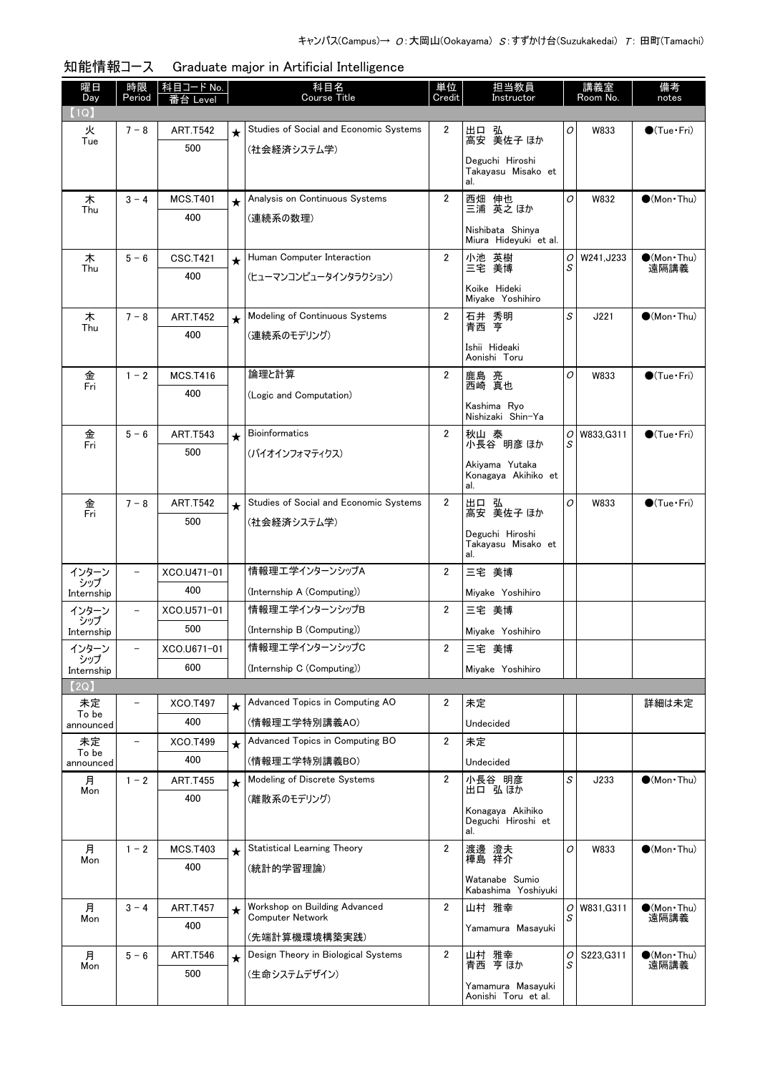| 曜日<br>Day    | 時限<br>Period             | <u>科目コード No.</u><br>番台 Level |         | 科目名<br><b>Course Title</b>                               | 単位<br>Credit            | 担当教員<br>Instructor                       |        | 講義室<br>Room No.  | 備考<br>notes                   |
|--------------|--------------------------|------------------------------|---------|----------------------------------------------------------|-------------------------|------------------------------------------|--------|------------------|-------------------------------|
| (1Q)         |                          |                              |         |                                                          |                         |                                          |        |                  |                               |
| 火            | $7 - 8$                  | <b>ART.T542</b>              | $\star$ | Studies of Social and Economic Systems                   | 2                       | 出口 弘                                     | 0      | W833             | $\bigcirc$ (Tue · Fri)        |
| Tue          |                          | 500                          |         | (社会経済システム学)                                              |                         | 高安 美佐子 ほか                                |        |                  |                               |
|              |                          |                              |         |                                                          |                         | Deguchi Hiroshi<br>Takayasu Misako et    |        |                  |                               |
|              |                          |                              |         |                                                          |                         | al.                                      |        |                  |                               |
| 木<br>Thu     | $3 - 4$                  | <b>MCS.T401</b>              | $\star$ | Analysis on Continuous Systems                           | $\overline{2}$          | 西畑 伸也<br>三浦 英之ほか                         | 0      | W832             | $\bullet$ (Mon Thu)           |
|              |                          | 400                          |         | (連続系の数理)                                                 |                         | Nishibata Shinya                         |        |                  |                               |
|              |                          |                              |         |                                                          |                         | Miura Hideyuki et al.                    |        |                  |                               |
| 木            | $5 - 6$                  | CSC.T421                     | $\star$ | Human Computer Interaction                               | $\overline{2}$          | 小池 英樹<br>三宅 美博                           | 0<br>S | W241, J233       | $\bullet$ (Mon · Thu)<br>遠隔講義 |
| Thu          |                          | 400                          |         | (ヒューマンコンピュータインタラクション)                                    |                         |                                          |        |                  |                               |
|              |                          |                              |         |                                                          |                         | Koike Hideki<br>Miyake Yoshihiro         |        |                  |                               |
| 木            | $7 - 8$                  | <b>ART.T452</b>              | $\star$ | Modeling of Continuous Systems                           | $\overline{\mathbf{2}}$ | 石井 秀明<br>青西 亨                            | S      | J221             | $\bullet$ (Mon Thu)           |
| Thu          |                          | 400                          |         | (連続系のモデリング)                                              |                         |                                          |        |                  |                               |
|              |                          |                              |         |                                                          |                         | Ishii Hideaki<br>Aonishi Toru            |        |                  |                               |
| 金            | $1 - 2$                  | <b>MCS.T416</b>              |         | 論理と計算                                                    | $\overline{2}$          |                                          | 0      | W833             | $\bullet$ (Tue $\cdot$ Fri)   |
| Fri          |                          | 400                          |         | (Logic and Computation)                                  |                         | 鹿島 亮<br>西崎 真也                            |        |                  |                               |
|              |                          |                              |         |                                                          |                         | Kashima Rvo<br>Nishizaki Shin-Ya         |        |                  |                               |
| 金            | $5 - 6$                  | <b>ART.T543</b>              | $\star$ | <b>Bioinformatics</b>                                    | $\overline{2}$          | 秋山 泰                                     |        | $O$   W833, G311 | $\bigcirc$ (Tue · Fri)        |
| Fri          |                          | 500                          |         | (バイオインフォマティクス)                                           |                         | 小長谷 明彦 ほか                                | S      |                  |                               |
|              |                          |                              |         |                                                          |                         | Akiyama Yutaka                           |        |                  |                               |
|              |                          |                              |         |                                                          |                         | Konagaya Akihiko et<br>al.               |        |                  |                               |
| 金            | $7 - 8$                  | <b>ART.T542</b>              | $\star$ | Studies of Social and Economic Systems                   | $\overline{2}$          | 出口 弘                                     | 0      | W833             | $\bullet$ (Tue · Fri)         |
| Fri          |                          | 500                          |         | (社会経済システム学)                                              |                         | 高安 美佐子 ほか                                |        |                  |                               |
|              |                          |                              |         |                                                          |                         | Deguchi Hiroshi<br>Takayasu Misako et    |        |                  |                               |
|              |                          |                              |         |                                                          |                         | al.                                      |        |                  |                               |
| インターン<br>シップ | $\qquad \qquad -$        | XCO.U471-01                  |         | 情報理エ学インターンシップA                                           | 2                       | 三宅 美博                                    |        |                  |                               |
| Internship   |                          | 400                          |         | (Internship A (Computing))                               |                         | Miyake Yoshihiro                         |        |                  |                               |
| インターン<br>シップ | $\qquad \qquad -$        | XCO.U571-01                  |         | 情報理エ学インターンシップB                                           | $\overline{2}$          | 三宅 美博                                    |        |                  |                               |
| Internship   |                          | 500                          |         | (Internship B (Computing))                               |                         | Miyake Yoshihiro                         |        |                  |                               |
| インターン<br>シップ | $\overline{\phantom{m}}$ | XCO.U671-01                  |         | 情報理エ学インターンシップC                                           | 2                       | 三宅 美博                                    |        |                  |                               |
| Internship   |                          | 600                          |         | (Internship C (Computing))                               |                         | Miyake Yoshihiro                         |        |                  |                               |
| (2Q)         |                          |                              |         |                                                          |                         |                                          |        |                  |                               |
| 未定<br>To be  | $\qquad \qquad -$        | XCO.T497                     | $\star$ | Advanced Topics in Computing AO                          | 2                       | 未定                                       |        |                  | 詳細は未定                         |
| announced    |                          | 400                          |         | (情報理工学特別講義AO)                                            |                         | Undecided                                |        |                  |                               |
| 未定<br>To be  | $\qquad \qquad -$        | XCO.T499                     | $\star$ | Advanced Topics in Computing BO                          | $\overline{\mathbf{2}}$ | 未定                                       |        |                  |                               |
| announced    |                          | 400                          |         | (情報理工学特別講義BO)                                            |                         | Undecided                                |        |                  |                               |
| 月<br>Mon     | $1 - 2$                  | <b>ART.T455</b>              | $\star$ | Modeling of Discrete Systems                             | $\overline{2}$          | 小長谷 明彦<br>出口 弘ほか                         | S      | J233             | $\bullet$ (Mon Thu)           |
|              |                          | 400                          |         | (離散系のモデリング)                                              |                         |                                          |        |                  |                               |
|              |                          |                              |         |                                                          |                         | Konagaya Akihiko<br>Deguchi Hiroshi et   |        |                  |                               |
|              |                          |                              |         |                                                          |                         | al.                                      |        |                  |                               |
| 月<br>Mon     | $1 - 2$                  | <b>MCS.T403</b>              | $\star$ | <b>Statistical Learning Theory</b>                       | $\overline{\mathbf{2}}$ | 渡邊 澄夫<br>樺島 祥介                           | 0      | W833             | $\bullet$ (Mon Thu)           |
|              |                          | 400                          |         | (統計的学習理論)                                                |                         | Watanabe Sumio                           |        |                  |                               |
|              |                          |                              |         |                                                          |                         | Kabashima Yoshiyuki                      |        |                  |                               |
| 月<br>Mon     | $3 - 4$                  | <b>ART.T457</b>              | $\star$ | Workshop on Building Advanced<br><b>Computer Network</b> | 2                       | 山村 雅幸                                    | 0<br>S | W831, G311       | $\bullet$ (Mon · Thu)<br>遠隔講義 |
|              |                          | 400                          |         | (先端計算機環境構築実践)                                            |                         | Yamamura Masayuki                        |        |                  |                               |
| 月            | $5 - 6$                  | <b>ART.T546</b>              | $\star$ | Design Theory in Biological Systems                      | 2                       | 山村 雅幸                                    | 0      | S223, G311       | $\bullet$ (Mon · Thu)         |
| Mon          |                          | 500                          |         | (生命システムデザイン)                                             |                         | 青西 亨 ほか                                  | S      |                  | 遠隔講義                          |
|              |                          |                              |         |                                                          |                         | Yamamura Masayuki<br>Aonishi Toru et al. |        |                  |                               |

| 知能情報コース | Graduate major in Artificial Intelligence |
|---------|-------------------------------------------|
|---------|-------------------------------------------|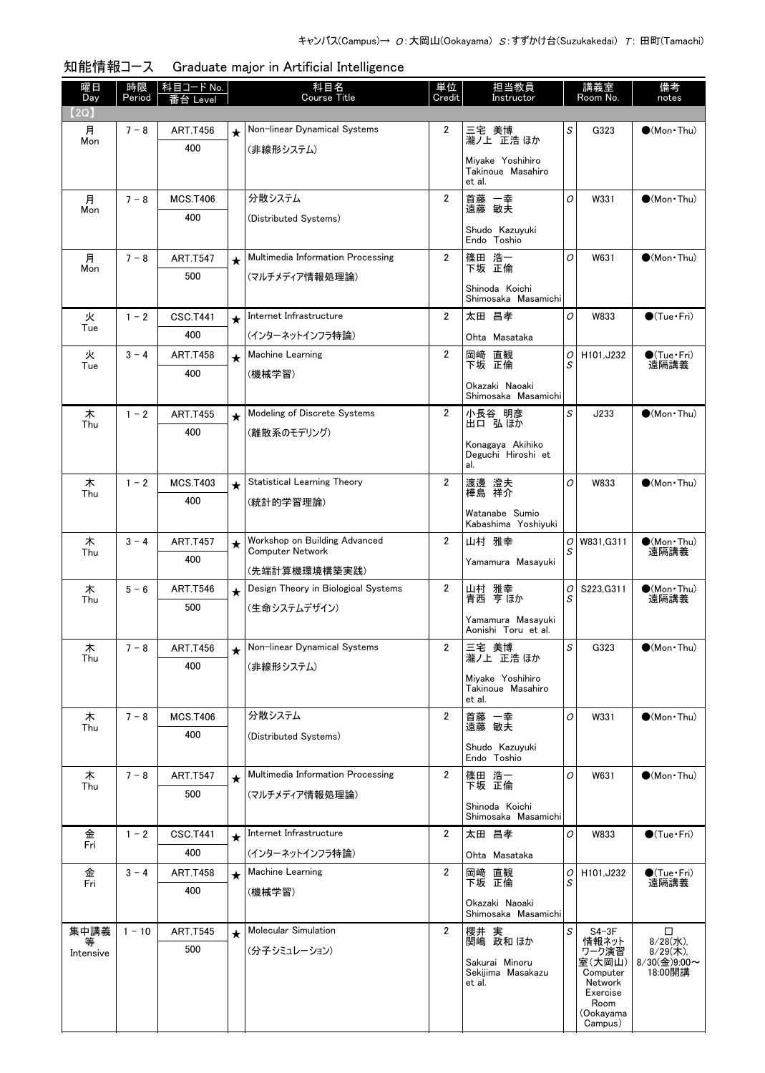| 曜日<br>Day      | 時限<br>Period | <u>科目コード No.</u><br>番台 Level |         | 科目名<br>Course Title                                      | 単位<br>Credit   | 担当教員<br>Instructor                              |         | 講義室<br>Room No.     | 備考<br>notes                                |
|----------------|--------------|------------------------------|---------|----------------------------------------------------------|----------------|-------------------------------------------------|---------|---------------------|--------------------------------------------|
| (2Q)           |              |                              |         |                                                          |                |                                                 |         |                     |                                            |
| 月              | $7 - 8$      | <b>ART.T456</b>              | $\star$ | Non-linear Dynamical Systems                             | 2              | 三宅 美博                                           | S       | G323                | $\bigcirc$ (Mon Thu)                       |
| Mon            |              | 400                          |         | (非線形システム)                                                |                | 瀧ノ上 正浩 ほか                                       |         |                     |                                            |
|                |              |                              |         |                                                          |                | Miyake Yoshihiro<br>Takinoue Masahiro<br>et al. |         |                     |                                            |
| 月              | $7 - 8$      | <b>MCS.T406</b>              |         | 分散システム                                                   | $\overline{2}$ | 首藤 一幸<br>遠藤 敏夫                                  | O       | W331                | $\bigcirc$ (Mon Thu)                       |
| Mon            |              | 400                          |         | (Distributed Systems)                                    |                |                                                 |         |                     |                                            |
|                |              |                              |         |                                                          |                | Shudo Kazuvuki<br>Endo Toshio                   |         |                     |                                            |
| 月<br>Mon       | $7 - 8$      | <b>ART.T547</b>              | $\star$ | Multimedia Information Processing                        | $\overline{2}$ | 篠田 浩一<br>下坂 正倫                                  | O       | W631                | $\bigcirc$ (Mon Thu)                       |
|                |              | 500                          |         | (マルチメディア情報処理論)                                           |                | Shinoda Koichi                                  |         |                     |                                            |
|                |              |                              |         |                                                          |                | Shimosaka Masamichi                             |         |                     |                                            |
| 火<br>Tue       | $1 - 2$      | <b>CSC.T441</b>              |         | Internet Infrastructure                                  | $\overline{2}$ | 太田 昌孝                                           | 0       | W833                | $\bigcirc$ (Tue · Fri)                     |
|                |              | 400                          |         | (インターネットインフラ特論)                                          |                | Ohta Masataka                                   |         |                     |                                            |
| 火              | $3 - 4$      | <b>ART.T458</b>              | $\star$ | Machine Learning                                         | $\overline{2}$ | 岡崎 直観<br>下坂 正倫                                  | 0<br>S  | H101, J232          | $\bullet$ (Tue•Fri)<br>遠隔講義                |
| Tue            |              | 400                          |         | (機械学習)                                                   |                |                                                 |         |                     |                                            |
|                |              |                              |         |                                                          |                | Okazaki Naoaki<br>Shimosaka Masamichi           |         |                     |                                            |
| 木<br>Thu       | $1 - 2$      | <b>ART.T455</b>              | $\star$ | Modeling of Discrete Systems                             | $\overline{2}$ | 小長谷 明彦<br>出口 弘ほか                                | S       | J233                | $\bullet$ (Mon Thu)                        |
|                |              | 400                          |         | (離散系のモデリング)                                              |                |                                                 |         |                     |                                            |
|                |              |                              |         |                                                          |                | Konagaya Akihiko<br>Deguchi Hiroshi et          |         |                     |                                            |
|                |              |                              |         |                                                          |                | al.                                             |         |                     |                                            |
| 木<br>Thu       | $1 - 2$      | <b>MCS.T403</b>              | $\star$ | <b>Statistical Learning Theory</b>                       | $\overline{2}$ | 渡邊 澄夫<br>樺島 祥介                                  | O       | W833                | $(Mon\cdot Thu)$                           |
|                |              | 400                          |         | (統計的学習理論)                                                |                | Watanabe Sumio                                  |         |                     |                                            |
|                |              |                              |         |                                                          |                | Kabashima Yoshiyuki                             |         |                     |                                            |
| 木<br>Thu       | $3 - 4$      | <b>ART.T457</b>              | $\star$ | Workshop on Building Advanced<br><b>Computer Network</b> | 2              | 山村 雅幸                                           | O <br>S | W831, G311          | $\bullet$ (Mon Thu)<br>遠隔講義                |
|                |              | 400                          |         | (先端計算機環境構築実践)                                            |                | Yamamura Masayuki                               |         |                     |                                            |
| 木              | $5 - 6$      | <b>ART.T546</b>              | $\star$ | Design Theory in Biological Systems                      | 2              | 山村 雅幸<br>青西 亨ほか                                 | 0       | S223, G311          | $\bullet$ (Mon Thu)                        |
| Thu            |              | 500                          |         | (生命システムデザイン)                                             |                |                                                 | S       |                     | 遠隔講義                                       |
|                |              |                              |         |                                                          |                | Yamamura Masayuki<br>Aonishi Toru et al.        |         |                     |                                            |
| 木              | $7 - 8$      | <b>ART.T456</b>              |         | Non-linear Dynamical Systems                             | 2              | 三宅 美博                                           | S       | G323                | $\bullet$ (Mon Thu)                        |
| Thu            |              | 400                          |         | (非線形システム)                                                |                | 瀧ノ上 正浩 ほか                                       |         |                     |                                            |
|                |              |                              |         |                                                          |                | Miyake Yoshihiro<br>Takinoue Masahiro           |         |                     |                                            |
|                |              |                              |         |                                                          |                | et al.                                          |         |                     |                                            |
| 木<br>Thu       | $7 - 8$      | <b>MCS.T406</b>              |         | 分散システム                                                   | $\overline{2}$ | 首藤 一幸<br>遠藤 敏夫                                  | 0       | W331                | $\bullet$ (Mon Thu)                        |
|                |              | 400                          |         | (Distributed Systems)                                    |                | Shudo Kazuyuki                                  |         |                     |                                            |
|                |              |                              |         |                                                          |                | Endo Toshio                                     |         |                     |                                            |
| 木<br>Thu       | $7 - 8$      | <b>ART.T547</b>              | $\star$ | Multimedia Information Processing                        | 2              | 篠田 浩一<br>下坂 正倫                                  | 0       | W631                | $\bullet$ (Mon Thu)                        |
|                |              | 500                          |         | (マルチメディア情報処理論)                                           |                | Shinoda Koichi                                  |         |                     |                                            |
|                |              |                              |         |                                                          |                | Shimosaka Masamichi                             |         |                     |                                            |
| 金<br>Fri       | $1 - 2$      | <b>CSC.T441</b>              | $\star$ | Internet Infrastructure                                  | $\overline{2}$ | 太田 昌孝                                           | 0       | W833                | $\bullet$ (Tue · Fri)                      |
|                |              | 400                          |         | (インターネットインフラ特論)                                          |                | Ohta Masataka                                   |         |                     |                                            |
| 金<br>Fri       | $3 - 4$      | <b>ART.T458</b>              | $\star$ | Machine Learning                                         | $\overline{2}$ | 岡崎 直観<br>下坂 正倫                                  | 0<br>S  | H101, J232          | $\bullet$ (Tue · Fri)<br>遠隔講義              |
|                |              | 400                          |         | (機械学習)                                                   |                |                                                 |         |                     |                                            |
|                |              |                              |         |                                                          |                | Okazaki Naoaki<br>Shimosaka Masamichi           |         |                     |                                            |
| 集中講義           | $1 - 10$     | <b>ART.T545</b>              | $\star$ | Molecular Simulation                                     | $\overline{2}$ | 櫻井 実<br>関嶋 政和 ほか                                | S       | $S4-3F$             | $\Box$                                     |
| 等<br>Intensive |              | 500                          |         | (分子シミュレーション)                                             |                |                                                 |         | 情報ネット<br>ワーク演習      | $\frac{8}{28}$ (水),<br>$\frac{8}{29}$ (木), |
|                |              |                              |         |                                                          |                | Sakurai Minoru<br>Sekijima Masakazu             |         | 室(大岡山)<br>Computer  | 8/30(金)9:00~<br>18:00開講                    |
|                |              |                              |         |                                                          |                | et al.                                          |         | Network<br>Exercise |                                            |
|                |              |                              |         |                                                          |                |                                                 |         | Room<br>(Ookayama   |                                            |
|                |              |                              |         |                                                          |                |                                                 |         | Campus)             |                                            |

知能情報コース Graduate major in Artificial Intelligence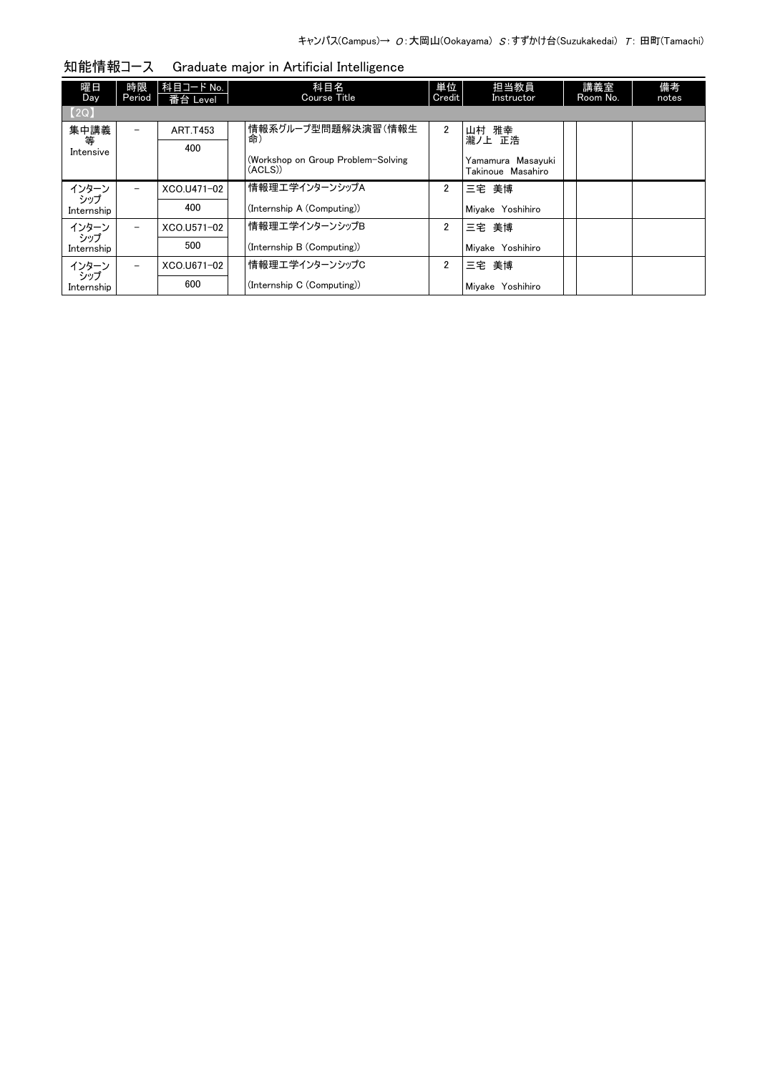| 曜日<br>Day         | 時限<br>Period             | 科目コード No.  <br>番台 Level | 科目名<br><b>Course Title</b>                    | 単位<br>Credit   | 担当教員<br>Instructor                     | 講義室<br>Room No. | 備考<br>notes |
|-------------------|--------------------------|-------------------------|-----------------------------------------------|----------------|----------------------------------------|-----------------|-------------|
| [2Q]              |                          |                         |                                               |                |                                        |                 |             |
| 集中講義              | $\overline{\phantom{0}}$ | <b>ART.T453</b>         | 情報系グループ型問題解決演習(情報生<br>命)                      | $\overline{2}$ | 山村 雅幸                                  |                 |             |
| 等<br>Intensive    |                          | 400                     |                                               |                | 瀧ノ上 正浩                                 |                 |             |
|                   |                          |                         | (Workshop on Group Problem-Solving<br>(ACLS)) |                | Yamamura Masavuki<br>Takinoue Masahiro |                 |             |
| インターン             |                          | XCO.U471-02             | 情報理工学インターンシップA                                | $\overline{2}$ | 三宅 美博                                  |                 |             |
| シップ<br>Internship |                          | 400                     | (Internship A (Computing))                    |                | Mivake Yoshihiro                       |                 |             |
| インターン             | $\overline{\phantom{0}}$ | XCO.U571-02             | 情報理工学インターンシップB                                | $\overline{2}$ | 三宅 美博                                  |                 |             |
| シップ<br>Internship |                          | 500                     | (Internship B (Computing))                    |                | Mivake Yoshihiro                       |                 |             |
| インターン             |                          | XCO.U671-02             | 情報理エ学インターンシップC                                | $\overline{2}$ | 三宅 美博                                  |                 |             |
| シップ<br>Internship |                          | 600                     | (Internship C (Computing))                    |                | Mivake Yoshihiro                       |                 |             |

知能情報コース Graduate major in Artificial Intelligence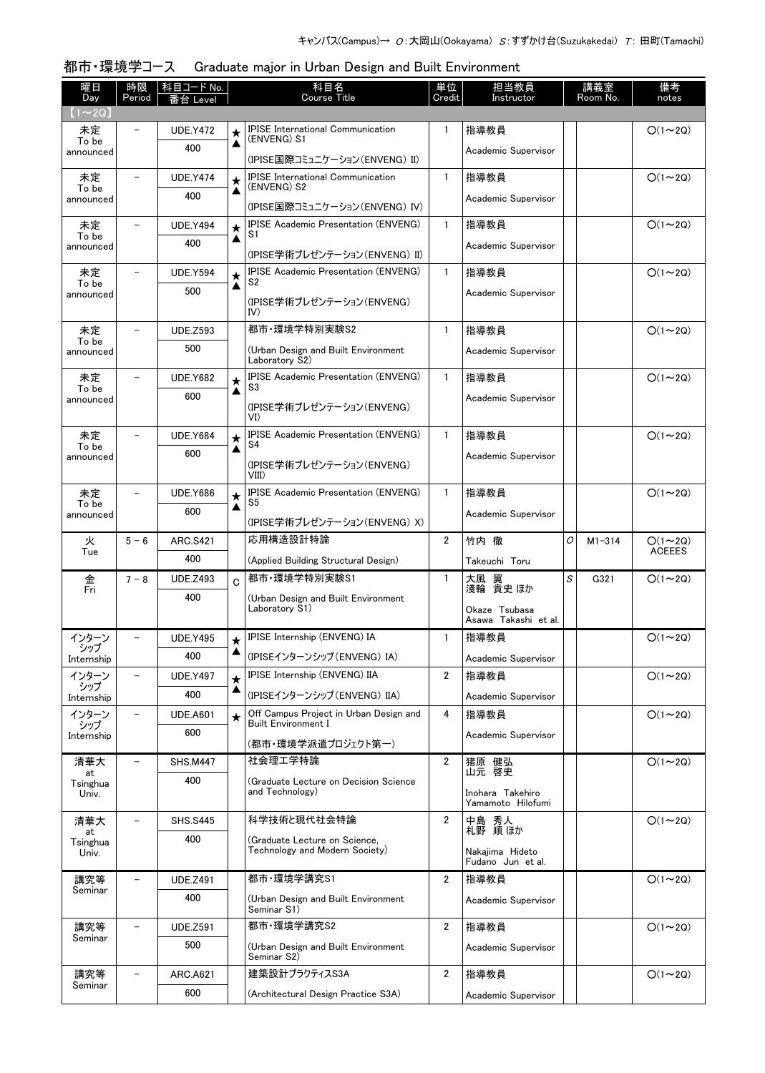| 曜日<br>Day          | 時限<br>Period             | <u>科目コード No.</u><br>番台 Level |                 | 科目名<br><b>Course Title</b>                              | 単位<br>Credit   | 担当教員<br>Instructor                    |   | 講義室<br>Room No. | 備考<br>notes    |
|--------------------|--------------------------|------------------------------|-----------------|---------------------------------------------------------|----------------|---------------------------------------|---|-----------------|----------------|
| $(1 \sim 2Q)$      |                          |                              |                 |                                                         |                |                                       |   |                 |                |
| 未定                 |                          | <b>UDE.Y472</b>              | ★               | <b>IPISE International Communication</b><br>(ENVENG) S1 | 1              | 指導教員                                  |   |                 | $O(1\sim 2Q)$  |
| To be<br>announced |                          | 400                          | ▲               | (IPISE国際コミュニケーション(ENVENG) II)                           |                | Academic Supervisor                   |   |                 |                |
| 未定                 | $\qquad \qquad -$        | <b>UDE.Y474</b>              |                 | <b>IPISE International Communication</b>                | $\mathbf{1}$   | 指導教員                                  |   |                 | $O(1\sim 2Q)$  |
| To be<br>announced |                          | 400                          | $\star$<br>▲    | (ENVENG) S2                                             |                | Academic Supervisor                   |   |                 |                |
|                    |                          |                              |                 | (IPISE国際コミュニケーション(ENVENG) IV)                           |                |                                       |   |                 |                |
| 未定<br>To be        |                          | <b>UDE.Y494</b>              | $\bigstar$<br>▲ | <b>IPISE Academic Presentation (ENVENG)</b><br>S1       | $\mathbf{1}$   | 指導教員                                  |   |                 | $O(1\sim 2Q)$  |
| announced          |                          | 400                          |                 | (IPISE学術プレゼンテーション(ENVENG) II)                           |                | Academic Supervisor                   |   |                 |                |
| 未定                 |                          | <b>UDE.Y594</b>              | $\star$         | <b>IPISE Academic Presentation (ENVENG)</b>             | $\mathbf{1}$   | 指導教員                                  |   |                 | $O(1\sim 2Q)$  |
| To be<br>announced |                          | 500                          | ▲               | S2                                                      |                | Academic Supervisor                   |   |                 |                |
|                    |                          |                              |                 | (IPISE学術プレゼンテーション(ENVENG)<br>IV)                        |                |                                       |   |                 |                |
| 未定                 |                          | <b>UDE.Z593</b>              |                 | 都市·環境学特別実験S2                                            | $\mathbf{1}$   | 指導教員                                  |   |                 | $O(1\sim 2Q)$  |
| To be<br>announced |                          | 500                          |                 | (Urban Design and Built Environment<br>Laboratory S2)   |                | Academic Supervisor                   |   |                 |                |
| 未定                 | $\overline{\phantom{0}}$ | <b>UDE.Y682</b>              |                 | <b>IPISE Academic Presentation (ENVENG)</b>             | $\mathbf{1}$   | 指導教員                                  |   |                 | $O(1\sim 2Q)$  |
| To be<br>announced |                          | 600                          | $\bigstar$<br>▲ | S3                                                      |                | Academic Supervisor                   |   |                 |                |
|                    |                          |                              |                 | (IPISE学術プレゼンテーション(ENVENG)<br>VI)                        |                |                                       |   |                 |                |
| 未定                 |                          | <b>UDE.Y684</b>              | $\star$         | <b>IPISE Academic Presentation (ENVENG)</b>             | $\mathbf{1}$   | 指導教員                                  |   |                 | $O(1\sim 2Q)$  |
| To be<br>announced |                          | 600                          | ▲               | S4                                                      |                | Academic Supervisor                   |   |                 |                |
|                    |                          |                              |                 | (IPISE学術プレゼンテーション(ENVENG)<br>$VIII$ )                   |                |                                       |   |                 |                |
| 未定                 |                          | <b>UDE.Y686</b>              | $\star$         | <b>IPISE Academic Presentation (ENVENG)</b>             | $\mathbf{1}$   | 指導教員                                  |   |                 | $O(1\sim 2Q)$  |
| To be<br>announced |                          | 600                          | ▲               | S5                                                      |                | Academic Supervisor                   |   |                 |                |
| 火                  | $5 - 6$                  | <b>ARC.S421</b>              |                 | (IPISE学術プレゼンテーション(ENVENG) X)<br>応用構造設計特論                | $\overline{2}$ | 竹内 徹                                  | O | $M1 - 314$      | $O(1\sim 2Q)$  |
| Tue                |                          | 400                          |                 | (Applied Building Structural Design)                    |                | Takeuchi Toru                         |   |                 | <b>ACEEES</b>  |
| 金                  | $7 - 8$                  | <b>UDE.Z493</b>              | C               | 都市·環境学特別実験S1                                            | $\mathbf{1}$   | 大風 翼                                  | S | G321            | $O(1\sim 2Q)$  |
| Fri                |                          | 400                          |                 | (Urban Design and Built Environment                     |                | 淺輪 貴史 ほか                              |   |                 |                |
|                    |                          |                              |                 | Laboratory S1)                                          |                | Okaze Tsubasa<br>Asawa Takashi et al. |   |                 |                |
| インターン              |                          | <b>UDE.Y495</b>              | $\star$         | IPISE Internship (ENVENG) IA                            | 1              | 指導教員                                  |   |                 | $O(1\sim 2Q)$  |
| シッフ<br>Internship  |                          | 400                          | ▲               | (IPISEインターンシップ (ENVENG) IA)                             |                | Academic Supervisor                   |   |                 |                |
| インターン              | $\qquad \qquad -$        | <b>UDE.Y497</b>              | $\star$         | IPISE Internship (ENVENG) IIA                           | $\overline{2}$ | 指導教員                                  |   |                 | $O(1\sim 2Q)$  |
| シップ<br>Internship  |                          | 400                          | ▲               | (IPISEインターンシップ (ENVENG) IIA)                            |                | Academic Supervisor                   |   |                 |                |
| インターン              | $\overline{\phantom{a}}$ | <b>UDE.A601</b>              | $\star$         | Off Campus Project in Urban Design and                  | 4              | 指導教員                                  |   |                 | $O(1\sim 2Q)$  |
| シップ<br>Internship  |                          | 600                          |                 | <b>Built Environment I</b><br>(都市・環境学派遣プロジェクト第一)        |                | Academic Supervisor                   |   |                 |                |
| 清華大                |                          | <b>SHS.M447</b>              |                 | 社会理工学特論                                                 | 2              | 猪原 健弘                                 |   |                 | $O(1\sim 2Q)$  |
| at                 |                          | 400                          |                 | (Graduate Lecture on Decision Science                   |                | 山元 啓史                                 |   |                 |                |
| Tsinghua<br>Univ.  |                          |                              |                 | and Technology)                                         |                | Inohara Takehiro<br>Yamamoto Hilofumi |   |                 |                |
| 清華大                | $\overline{\phantom{a}}$ | <b>SHS.S445</b>              |                 | 科学技術と現代社会特論                                             | $\overline{2}$ |                                       |   |                 | $O(1\sim 2Q)$  |
| at<br>Tsinghua     |                          | 400                          |                 | (Graduate Lecture on Science,                           |                | 中島 秀人<br>札野 順ほか                       |   |                 |                |
| Univ.              |                          |                              |                 | Technology and Modern Society)                          |                | Nakajima Hideto<br>Fudano Jun et al.  |   |                 |                |
| 講究等                | $\overline{\phantom{0}}$ | <b>UDE.Z491</b>              |                 | 都市·環境学講究S1                                              | 2              | 指導教員                                  |   |                 | $O(1\sim 2Q)$  |
| Seminar            |                          | 400                          |                 | (Urban Design and Built Environment                     |                | Academic Supervisor                   |   |                 |                |
|                    |                          |                              |                 | Seminar S1)<br>都市·環境学講究S2                               |                |                                       |   |                 |                |
| 講究等<br>Seminar     | $\overline{\phantom{0}}$ | <b>UDE.Z591</b><br>500       |                 |                                                         | 2              | 指導教員                                  |   |                 | $O(1\sim 2Q)$  |
|                    |                          |                              |                 | (Urban Design and Built Environment<br>Seminar S2)      |                | Academic Supervisor                   |   |                 |                |
| 講究等<br>Seminar     | $\overline{\phantom{0}}$ | <b>ARC.A621</b>              |                 | 建築設計プラクティスS3A                                           | 2              | 指導教員                                  |   |                 | $O(1 \sim 2Q)$ |
|                    |                          | 600                          |                 | (Architectural Design Practice S3A)                     |                | Academic Supervisor                   |   |                 |                |

#### 都市・環境学コース Graduate major in Urban Design and Built Environment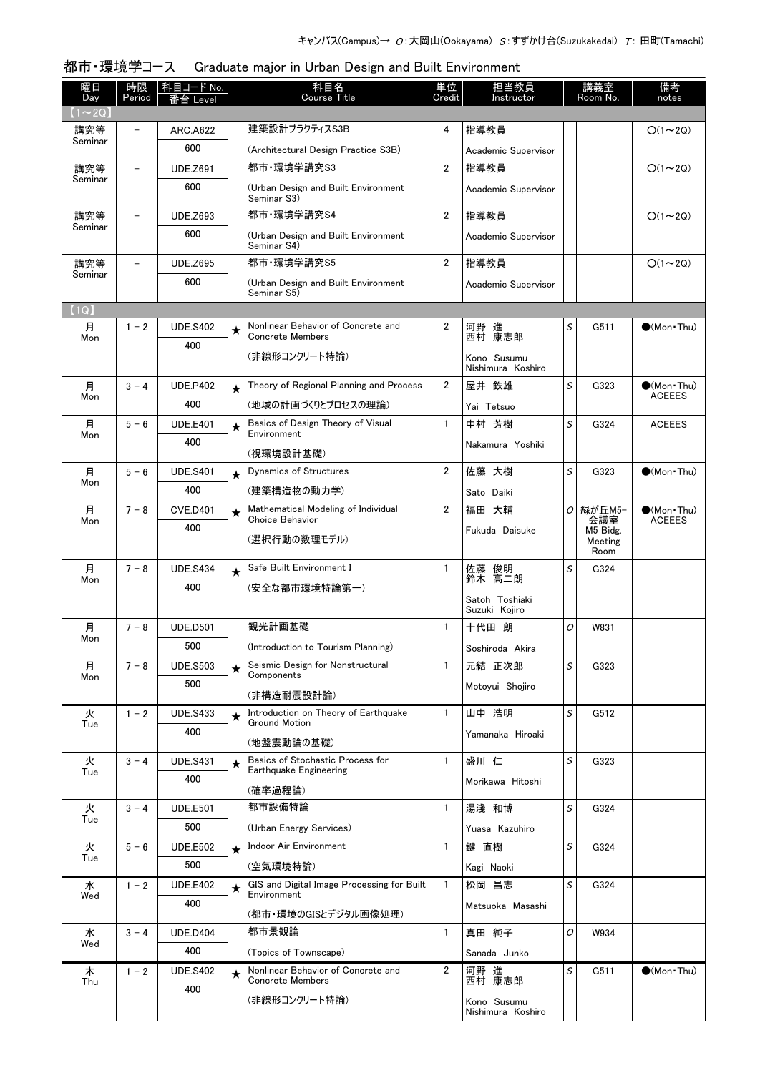| 曜日<br>Day    | 時限<br>Period             | 科目コード No.<br>番台 Level  |         | 科目名<br><b>Course Title</b>                            | 単位<br>Credit   | 担当教員<br>Instructor               |   | 講義室<br>Room No. | 備考<br>notes          |
|--------------|--------------------------|------------------------|---------|-------------------------------------------------------|----------------|----------------------------------|---|-----------------|----------------------|
| $(1\sim 2Q)$ |                          |                        |         |                                                       |                |                                  |   |                 |                      |
| 講究等          |                          | <b>ARC.A622</b>        |         | 建築設計プラクティスS3B                                         | 4              | 指導教員                             |   |                 | $O(1\sim 2Q)$        |
| Seminar      |                          | 600                    |         | (Architectural Design Practice S3B)                   |                | Academic Supervisor              |   |                 |                      |
| 講究等          |                          | <b>UDE.Z691</b>        |         | 都市·環境学講究S3                                            | $\overline{2}$ | 指導教員                             |   |                 | $O(1\sim 2Q)$        |
| Seminar      |                          | 600                    |         | (Urban Design and Built Environment<br>Seminar S3)    |                | Academic Supervisor              |   |                 |                      |
| 講究等          | $\overline{\phantom{0}}$ | <b>UDE.Z693</b>        |         | 都市·環境学講究S4                                            | $\overline{2}$ | 指導教員                             |   |                 | $O(1\sim 2Q)$        |
| Seminar      |                          | 600                    |         | (Urban Design and Built Environment<br>Seminar S4)    |                | Academic Supervisor              |   |                 |                      |
| 講究等          | $\overline{\phantom{0}}$ | <b>UDE.Z695</b>        |         | 都市·環境学講究S5                                            | $\overline{2}$ | 指導教員                             |   |                 | $O(1\sim 2Q)$        |
| Seminar      |                          | 600                    |         | (Urban Design and Built Environment                   |                | Academic Supervisor              |   |                 |                      |
| (1Q)         |                          |                        |         | Seminar S5)                                           |                |                                  |   |                 |                      |
| 月            | $1 - 2$                  | <b>UDE.S402</b>        | $\star$ | Nonlinear Behavior of Concrete and                    | $\overline{2}$ | 河野 進                             | S | G511            | $\bigcirc$ (Mon Thu) |
| Mon          |                          | 400                    |         | <b>Concrete Members</b>                               |                | 西村 康志郎                           |   |                 |                      |
|              |                          |                        |         | (非線形コンクリート特論)                                         |                | Kono Susumu<br>Nishimura Koshiro |   |                 |                      |
| 月            | $3 - 4$                  | <b>UDE.P402</b>        | $\star$ | Theory of Regional Planning and Process               | $\overline{2}$ | 屋井 鉄雄                            | S | G323            | $\bullet$ (Mon•Thu)  |
| Mon          |                          | 400                    |         | (地域の計画づくりとプロセスの理論)                                    |                | Yai Tetsuo                       |   |                 | <b>ACEEES</b>        |
| 月            | $5 - 6$                  | <b>UDE.E401</b>        | $\star$ | Basics of Design Theory of Visual                     | $\mathbf{1}$   | 中村 芳樹                            | S | G324            | <b>ACEEES</b>        |
| Mon          |                          | 400                    |         | Environment<br>(視環境設計基礎)                              |                | Nakamura Yoshiki                 |   |                 |                      |
| 月            | $5 - 6$                  | <b>UDE.S401</b>        | $\star$ | Dynamics of Structures                                | $\overline{2}$ | 佐藤 大樹                            | S | G323            | $\bigcirc$ (Mon Thu) |
| Mon          |                          | 400                    |         | (建築構造物の動力学)                                           |                | Sato Daiki                       |   |                 |                      |
| 月            | $7 - 8$                  | <b>CVE.D401</b>        | $\star$ | Mathematical Modeling of Individual                   | $\overline{2}$ | 福田 大輔                            | 0 | 緑が丘M5-          | $\bullet$ (Mon•Thu)  |
| Mon          |                          | 400                    |         | Choice Behavior                                       |                | Fukuda Daisuke                   |   | 会議室<br>M5 Bidg. | <b>ACEEES</b>        |
|              |                          |                        |         | (選択行動の数理モデル)                                          |                |                                  |   | Meeting<br>Room |                      |
| 月            | $7 - 8$                  | <b>UDE.S434</b>        | $\star$ | Safe Built Environment I                              | $\mathbf{1}$   | 佐藤 俊明<br>鈴木 高二朗                  | S | G324            |                      |
| Mon          |                          | 400                    |         | (安全な都市環境特論第一)                                         |                |                                  |   |                 |                      |
|              |                          |                        |         |                                                       |                | Satoh Toshiaki<br>Suzuki Kojiro  |   |                 |                      |
| 月            | $7 - 8$                  | <b>UDE.D501</b>        |         | 観光計画基礎                                                | $\mathbf{1}$   | 十代田 朗                            | 0 | W831            |                      |
| Mon          |                          | 500                    |         | (Introduction to Tourism Planning)                    |                | Soshiroda Akira                  |   |                 |                      |
| 月            | $7 - 8$                  | <b>UDE.S503</b>        | $\star$ | Seismic Design for Nonstructural                      | $\mathbf{1}$   | 元結 正次郎                           | S | G323            |                      |
| Mon          |                          | 500                    |         | Components                                            |                | Motovui Shoiiro                  |   |                 |                      |
|              |                          |                        |         | (非構造耐震設計論)                                            |                |                                  |   |                 |                      |
| 火<br>Tue     | $1 - 2$                  | <b>UDE.S433</b>        | $\star$ | Introduction on Theory of Earthquake<br>Ground Motion | $\mathbf{1}$   | 山中 浩明                            | S | G512            |                      |
|              |                          | 400                    |         | (地盤震動論の基礎)                                            |                | Yamanaka Hiroaki                 |   |                 |                      |
| 火            | $3 - 4$                  | <b>UDE.S431</b>        | $\star$ | Basics of Stochastic Process for                      | $\mathbf{1}$   | 盛川 仁                             | S | G323            |                      |
| Tue          |                          | 400                    |         | Earthquake Engineering                                |                | Morikawa Hitoshi                 |   |                 |                      |
|              |                          |                        |         | (確率過程論)<br>都市設備特論                                     | $\mathbf{1}$   |                                  | S |                 |                      |
| 火<br>Tue     | $3 - 4$                  | <b>UDE.E501</b>        |         |                                                       |                | 湯淺 和博                            |   | G324            |                      |
|              |                          | 500                    |         | (Urban Energy Services)                               |                | Yuasa Kazuhiro                   |   |                 |                      |
| 火<br>Tue     | $5 - 6$                  | <b>UDE.E502</b><br>500 | $\star$ | Indoor Air Environment<br>(空気環境特論)                    | $\mathbf{1}$   | 鍵 直樹                             | S | G324            |                      |
|              |                          |                        |         | GIS and Digital Image Processing for Built            |                | Kagi Naoki                       |   |                 |                      |
| 水<br>Wed     | $1 - 2$                  | <b>UDE.E402</b><br>400 | $\star$ | Environment                                           | $\mathbf{1}$   | 松岡 昌志                            | S | G324            |                      |
|              |                          |                        |         | (都市・環境のGISとデジタル画像処理)                                  |                | Matsuoka Masashi                 |   |                 |                      |
| 水            | $3 - 4$                  | <b>UDE.D404</b>        |         | 都市景観論                                                 | $\mathbf{1}$   | 真田 純子                            | 0 | W934            |                      |
| Wed          |                          | 400                    |         | (Topics of Townscape)                                 |                | Sanada Junko                     |   |                 |                      |
| 木            | $1 - 2$                  | <b>UDE.S402</b>        | $\star$ | Nonlinear Behavior of Concrete and                    | $\overline{2}$ | 河野 進                             | S | G511            | $\bullet$ (Mon•Thu)  |
| Thu          |                          | 400                    |         | <b>Concrete Members</b>                               |                | 西村 康志郎                           |   |                 |                      |
|              |                          |                        |         | (非線形コンクリート特論)                                         |                | Kono Susumu<br>Nishimura Koshiro |   |                 |                      |

#### 都市・環境学コース Graduate major in Urban Design and Built Environment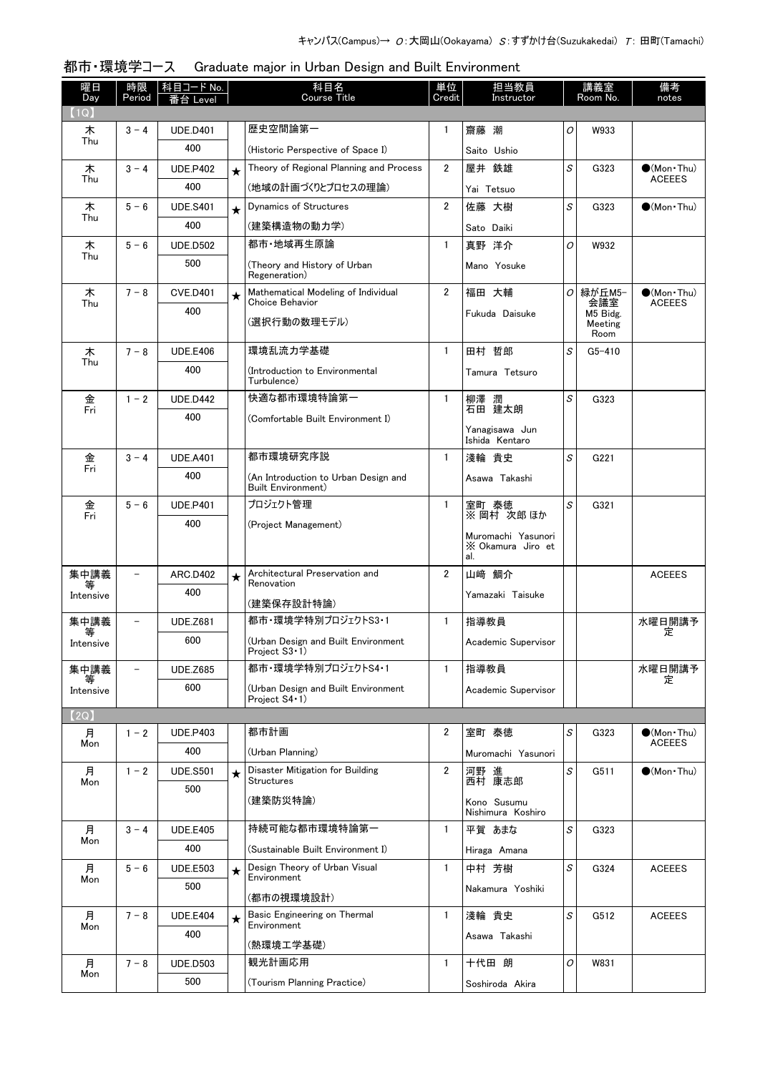| 曜日<br>Day      | 時限<br>Period             | 科目コード No.<br>Level     |         | 科目名<br>Course Title                                        | 単位<br>Credit   | 担当教員<br>Instructor                             |   | 講義室<br>Room No.             | 備考<br>notes                          |
|----------------|--------------------------|------------------------|---------|------------------------------------------------------------|----------------|------------------------------------------------|---|-----------------------------|--------------------------------------|
| (1Q)           |                          |                        |         |                                                            |                |                                                |   |                             |                                      |
| 木              | $3 - 4$                  | <b>UDE.D401</b>        |         | 歴史空間論第一                                                    | $\mathbf{1}$   | 齋藤 潮                                           | 0 | W933                        |                                      |
| Thu            |                          | 400                    |         | (Historic Perspective of Space I)                          |                | Saito Ushio                                    |   |                             |                                      |
| 木              | $3 - 4$                  | <b>UDE.P402</b>        | $\star$ | Theory of Regional Planning and Process                    | $\overline{2}$ | 屋井 鉄雄                                          | S | G323                        | $(Mon\cdot Thu)$                     |
| Thu            |                          | 400                    |         | (地域の計画づくりとプロセスの理論)                                         |                | Yai Tetsuo                                     |   |                             | <b>ACEEES</b>                        |
| 木              | $5 - 6$                  | <b>UDE.S401</b>        | $\star$ | Dynamics of Structures                                     | $\overline{2}$ | 佐藤 大樹                                          | S | G323                        | $\bigcirc$ (Mon Thu)                 |
| Thu            |                          | 400                    |         | (建築構造物の動力学)                                                |                | Sato Daiki                                     |   |                             |                                      |
| 木              | $5 - 6$                  | <b>UDE.D502</b>        |         | 都市・地域再生原論                                                  | $\mathbf{1}$   | 真野 洋介                                          | O | W932                        |                                      |
| Thu            |                          | 500                    |         | (Theory and History of Urban<br>Regeneration)              |                | Mano Yosuke                                    |   |                             |                                      |
| 木<br>Thu       | $7 - 8$                  | <b>CVE.D401</b>        | $\star$ | Mathematical Modeling of Individual<br>Choice Behavior     | $\overline{2}$ | 福田 大輔                                          | 0 | 緑が丘M5-<br>会議室               | $\bullet$ (Mon•Thu)<br><b>ACEEES</b> |
|                |                          | 400                    |         | (選択行動の数理モデル)                                               |                | Fukuda Daisuke                                 |   | M5 Bidg.<br>Meeting<br>Room |                                      |
| 木              | $7 - 8$                  | <b>UDE.E406</b>        |         | 環境乱流力学基礎                                                   | $\mathbf{1}$   | 田村 哲郎                                          | S | $G5 - 410$                  |                                      |
| Thu            |                          | 400                    |         | (Introduction to Environmental                             |                | Tamura Tetsuro                                 |   |                             |                                      |
|                |                          |                        |         | Turbulence)<br>快適な都市環境特論第一                                 |                |                                                |   |                             |                                      |
| 金<br>Fri       | $1 - 2$                  | <b>UDE.D442</b><br>400 |         |                                                            | $\mathbf{1}$   | 柳澤 潤<br>石田 建太朗                                 | S | G323                        |                                      |
|                |                          |                        |         | (Comfortable Built Environment I)                          |                | Yanagisawa Jun<br>Ishida Kentaro               |   |                             |                                      |
| 金              | $3 - 4$                  | <b>UDE.A401</b>        |         | 都市環境研究序説                                                   | $\mathbf{1}$   | 淺輪 貴史                                          | S | G221                        |                                      |
| Fri            |                          | 400                    |         | (An Introduction to Urban Design and<br>Built Environment) |                | Asawa Takashi                                  |   |                             |                                      |
| 金<br>Fri       | $5 - 6$                  | <b>UDE.P401</b>        |         | プロジェクト管理                                                   | $\mathbf{1}$   | 室町 泰徳<br>※ 岡村 次郎ほか                             | S | G321                        |                                      |
|                |                          | 400                    |         | (Project Management)                                       |                |                                                |   |                             |                                      |
|                |                          |                        |         |                                                            |                | Muromachi Yasunori<br>X Okamura Jiro et<br>al. |   |                             |                                      |
| 集中講義           |                          | <b>ARC.D402</b>        | $\star$ | Architectural Preservation and<br>Renovation               | $\overline{2}$ | 山崎 鯛介                                          |   |                             | <b>ACEEES</b>                        |
| Intensive      |                          | 400                    |         | (建築保存設計特論)                                                 |                | Yamazaki Taisuke                               |   |                             |                                      |
| 集中講義           |                          | <b>UDE.Z681</b>        |         | 都市·環境学特別プロジェクトS3・1                                         | $\mathbf{1}$   | 指導教員                                           |   |                             | 水曜日開講予                               |
| 等<br>Intensive |                          | 600                    |         | (Urban Design and Built Environment<br>Project S3 · 1)     |                | Academic Supervisor                            |   |                             | 定                                    |
| 集中講義           | $\overline{\phantom{0}}$ | <b>UDE.Z685</b>        |         | 都市·環境学特別プロジェクトS4・1                                         | $\mathbf{1}$   | 指導教員                                           |   |                             | 水曜日開講予<br>定                          |
| Intensive      |                          | 600                    |         | (Urban Design and Built Environment<br>Project S4 · 1)     |                | Academic Supervisor                            |   |                             |                                      |
| [2Q]           |                          |                        |         |                                                            |                |                                                |   |                             |                                      |
| 月<br>Mon       | $1 - 2$                  | <b>UDE.P403</b>        |         | 都市計画                                                       | 2              | 室町 泰徳                                          | S | G323                        | $\bullet$ (Mon Thu)<br><b>ACEEES</b> |
|                |                          | 400                    |         | (Urban Planning)                                           |                | Muromachi Yasunori                             |   |                             |                                      |
| 月<br>Mon       | $1 - 2$                  | <b>UDE.S501</b>        | $\star$ | Disaster Mitigation for Building<br><b>Structures</b>      | $\overline{2}$ | 河野 進<br>西村 康志郎                                 | S | G511                        | $\bullet$ (Mon Thu)                  |
|                |                          | 500                    |         | (建築防災特論)                                                   |                | Kono Susumu                                    |   |                             |                                      |
|                |                          |                        |         |                                                            |                | Nishimura Koshiro                              |   |                             |                                      |
| 月<br>Mon       | $3 - 4$                  | <b>UDE.E405</b>        |         | 持続可能な都市環境特論第一                                              | $\mathbf{1}$   | 平賀 あまな                                         | S | G323                        |                                      |
|                |                          | 400                    |         | (Sustainable Built Environment I)                          |                | Hiraga Amana                                   |   |                             |                                      |
| 月<br>Mon       | $5 - 6$                  | <b>UDE.E503</b>        | $\star$ | Design Theory of Urban Visual<br>Environment               | $\mathbf{1}$   | 中村 芳樹                                          | S | G324                        | <b>ACEEES</b>                        |
|                |                          | 500                    |         | (都市の視環境設計)                                                 |                | Nakamura Yoshiki                               |   |                             |                                      |
| 月              | $7 - 8$                  | <b>UDE.E404</b>        | $\star$ | Basic Engineering on Thermal                               | $\mathbf{1}$   | 淺輪 貴史                                          | S | G512                        | <b>ACEEES</b>                        |
| Mon            |                          | 400                    |         | Environment                                                |                | Asawa Takashi                                  |   |                             |                                      |
|                |                          |                        |         | (熱環境工学基礎)                                                  |                |                                                |   |                             |                                      |
| 月<br>Mon       | $7 - 8$                  | <b>UDE.D503</b>        |         | 観光計画応用                                                     | $\mathbf{1}$   | 十代田 朗                                          | 0 | W831                        |                                      |
|                |                          | 500                    |         | (Tourism Planning Practice)                                |                | Soshiroda Akira                                |   |                             |                                      |

| 都市・環境学コース Graduate major in Urban Design and Built Environment |
|----------------------------------------------------------------|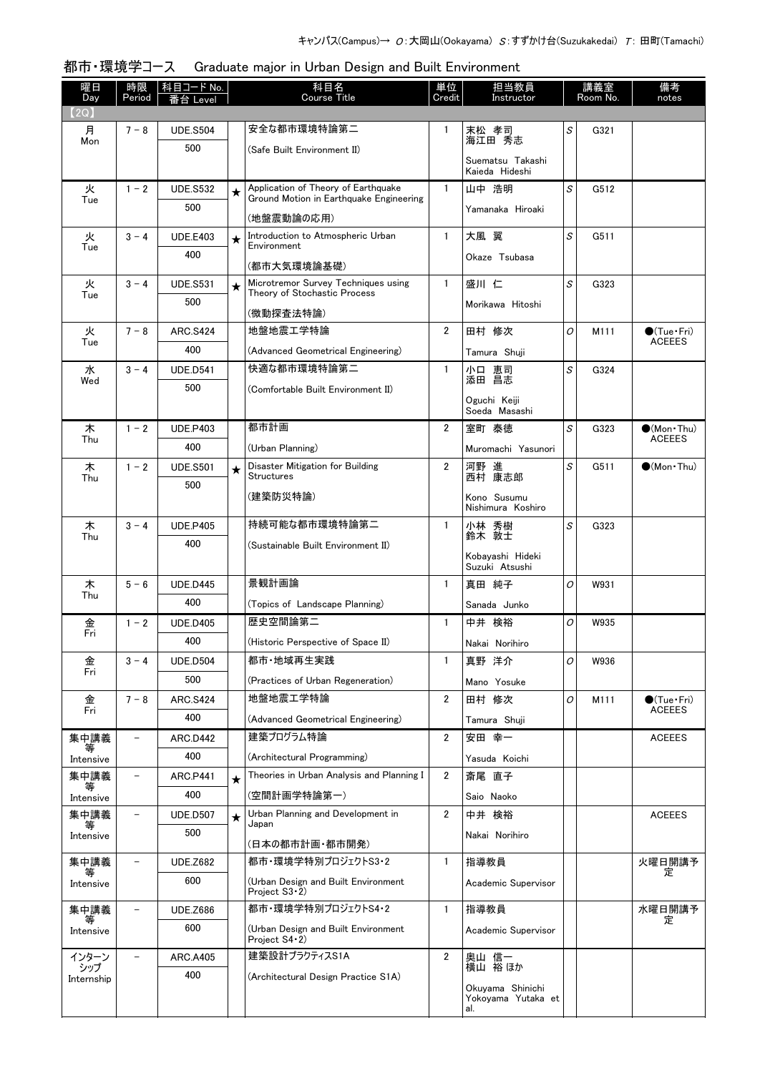| 曜日<br>Day    | 時限<br>Period             | 科目コード No.<br>番台 Level  |         | 科目名<br><b>Course Title</b>                                          | 単位<br>Credit   | 担当教員<br>Instructor                 |   | 講義室<br>Room No. | 備考<br>notes                            |
|--------------|--------------------------|------------------------|---------|---------------------------------------------------------------------|----------------|------------------------------------|---|-----------------|----------------------------------------|
| (2Q)         |                          |                        |         |                                                                     |                |                                    |   |                 |                                        |
| 月<br>Mon     | $7 - 8$                  | <b>UDE.S504</b>        |         | 安全な都市環境特論第二                                                         | $\mathbf{1}$   | 末松 孝司<br>海江田 秀志                    | S | G321            |                                        |
|              |                          | 500                    |         | (Safe Built Environment II)                                         |                | Suematsu Takashi<br>Kaieda Hideshi |   |                 |                                        |
| 火            | $1 - 2$                  | <b>UDE.S532</b>        | $\star$ | Application of Theory of Earthquake                                 | $\mathbf{1}$   | 山中 浩明                              | S | G512            |                                        |
| Tue          |                          | 500                    |         | Ground Motion in Earthquake Engineering<br>(地盤震動論の応用)               |                | Yamanaka Hiroaki                   |   |                 |                                        |
| 火            | $3 - 4$                  | <b>UDE.E403</b>        | $\star$ | Introduction to Atmospheric Urban<br>Environment                    | $\mathbf{1}$   | 大風 翼                               | S | G511            |                                        |
| Tue          |                          | 400                    |         | (都市大気環境論基礎)                                                         |                | Okaze Tsubasa                      |   |                 |                                        |
| 火            | $3 - 4$                  | <b>UDE.S531</b>        | $\star$ | Microtremor Survey Techniques using<br>Theory of Stochastic Process | $\mathbf{1}$   | 盛川 仁                               | S | G323            |                                        |
| Tue          |                          | 500                    |         | (微動探査法特論)                                                           |                | Morikawa Hitoshi                   |   |                 |                                        |
| 火            | $7 - 8$                  | <b>ARC.S424</b>        |         | 地盤地震工学特論                                                            | $\overline{2}$ | 田村 修次                              | 0 | M111            | $\bullet$ (Tue•Fri)                    |
| Tue          |                          | 400                    |         | (Advanced Geometrical Engineering)                                  |                | Tamura Shuii                       |   |                 | <b>ACEEES</b>                          |
| 水            | $3 - 4$                  | <b>UDE.D541</b>        |         | 快適な都市環境特論第二                                                         | $\mathbf{1}$   | 小口 恵司<br>添田 昌志                     | S | G324            |                                        |
| Wed          |                          | 500                    |         | (Comfortable Built Environment II)                                  |                |                                    |   |                 |                                        |
|              |                          |                        |         |                                                                     |                | Oguchi Keiji<br>Soeda Masashi      |   |                 |                                        |
| 木            | $1 - 2$                  | <b>UDE,P403</b>        |         | 都市計画                                                                | $\overline{2}$ | 室町 泰徳                              | S | G323            | $\bullet$ (Mon Thu)                    |
| Thu          |                          | 400                    |         | (Urban Planning)                                                    |                | Muromachi Yasunori                 |   |                 | <b>ACEEES</b>                          |
| 木<br>Thu     | $1 - 2$                  | <b>UDE.S501</b>        | $\star$ | Disaster Mitigation for Building<br><b>Structures</b>               | $\overline{2}$ | 河野 進<br>西村 康志郎                     | S | G511            | $\bullet$ (Mon Thu)                    |
|              |                          | 500                    |         | (建築防災特論)                                                            |                | Kono Susumu                        |   |                 |                                        |
|              |                          |                        |         | 持続可能な都市環境特論第二                                                       | $\mathbf{1}$   | Nishimura Koshiro                  | S |                 |                                        |
| 木<br>Thu     | $3 - 4$                  | <b>UDE.P405</b><br>400 |         |                                                                     |                | 小林 秀樹<br>鈴木 敦士                     |   | G323            |                                        |
|              |                          |                        |         | (Sustainable Built Environment II)                                  |                | Kobayashi Hideki<br>Suzuki Atsushi |   |                 |                                        |
| 木            | $5 - 6$                  | <b>UDE.D445</b>        |         | 景観計画論                                                               | $\mathbf{1}$   | 真田 純子                              | O | W931            |                                        |
| Thu          |                          | 400                    |         | (Topics of Landscape Planning)                                      |                | Sanada Junko                       |   |                 |                                        |
| 金            | $1 - 2$                  | <b>UDE.D405</b>        |         | 歴史空間論第二                                                             | $\mathbf{1}$   | 中井 検裕                              | O | W935            |                                        |
| Fri          |                          | 400                    |         | (Historic Perspective of Space II)                                  |                | Nakai Norihiro                     |   |                 |                                        |
| 金            | $3 - 4$                  | <b>UDE.D504</b>        |         | 都市•地域再生実践                                                           | $\mathbf{1}$   | 真野 洋介                              | 0 | W936            |                                        |
| Fri          |                          | 500                    |         | (Practices of Urban Regeneration)                                   |                | Mano Yosuke                        |   |                 |                                        |
| 金<br>Fri     | $7 - 8$                  | <b>ARC.S424</b>        |         | 地盤地震工学特論                                                            | $\overline{2}$ | 田村 修次                              | O | M111            | $\bullet$ (Tue · Fri)<br><b>ACEEES</b> |
|              |                          | 400                    |         | (Advanced Geometrical Engineering)                                  |                | Tamura Shuji                       |   |                 |                                        |
| 集中講義<br>等    | $\overline{\phantom{0}}$ | ARC.D442               |         | 建築プログラム特論                                                           | $\overline{2}$ | 安田 幸一                              |   |                 | <b>ACEEES</b>                          |
| Intensive    |                          | 400                    |         | (Architectural Programming)                                         |                | Yasuda Koichi                      |   |                 |                                        |
| 集中講義<br>等    | $\qquad \qquad -$        | <b>ARC P441</b>        | $\star$ | Theories in Urban Analysis and Planning I                           | $\overline{2}$ | 斎尾 直子                              |   |                 |                                        |
| Intensive    |                          | 400                    |         | (空間計画学特論第一)                                                         |                | Saio Naoko                         |   |                 |                                        |
| 集中講義<br>等    | $\overline{\phantom{a}}$ | <b>UDE.D507</b>        | $\star$ | Urban Planning and Development in<br>Japan                          | $\overline{2}$ | 中井 検裕                              |   |                 | <b>ACEEES</b>                          |
| Intensive    |                          | 500                    |         | (日本の都市計画・都市開発)                                                      |                | Nakai Norihiro                     |   |                 |                                        |
| 集中講義         |                          | <b>UDE.Z682</b>        |         | 都市・環境学特別プロジェクトS3・2                                                  | $\mathbf{1}$   | 指導教員                               |   |                 | 火曜日開講予<br>定                            |
| Intensive    |                          | 600                    |         | (Urban Design and Built Environment<br>Project $S3 \cdot 2$         |                | Academic Supervisor                |   |                 |                                        |
| 集中講義         | $\overline{\phantom{0}}$ | <b>UDE.Z686</b>        |         | 都市・環境学特別プロジェクトS4・2                                                  | $\mathbf{1}$   | 指導教員                               |   |                 | 水曜日開講予<br>定                            |
| Intensive    |                          | 600                    |         | (Urban Design and Built Environment<br>Project S4 · 2)              |                | Academic Supervisor                |   |                 |                                        |
| インターン<br>シップ | $\equiv$                 | <b>ARC.A405</b>        |         | 建築設計プラクティスS1A                                                       | $\overline{2}$ | 奥山 信一<br>横山 裕ほか                    |   |                 |                                        |
| Internship   |                          | 400                    |         | (Architectural Design Practice S1A)                                 |                | Okuyama Shinichi                   |   |                 |                                        |
|              |                          |                        |         |                                                                     |                | Yokoyama Yutaka et<br>al.          |   |                 |                                        |

#### 都市・環境学コース Graduate major in Urban Design and Built Environment